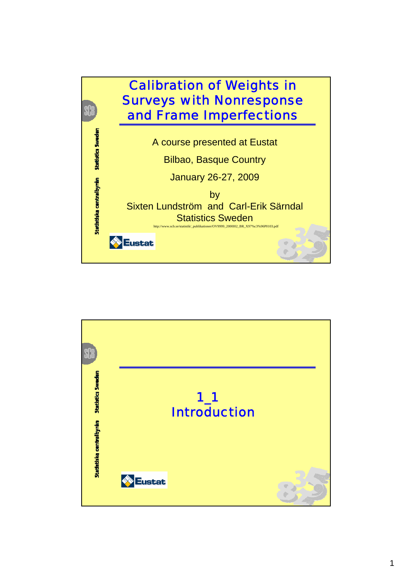

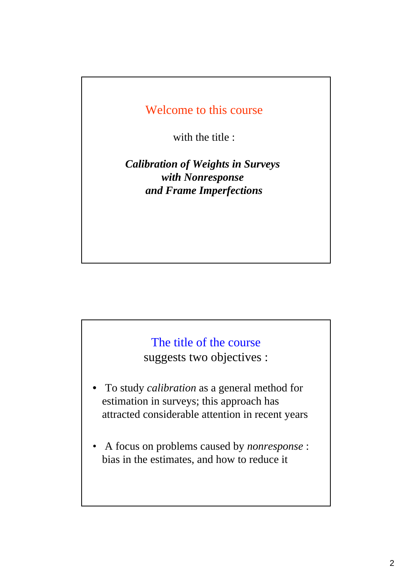## Welcome to this course

with the title :

*Calibration of Weights in Surveys with Nonresponse and Frame Imperfections*

## The title of the course

suggests two objectives :

- To study *calibration* as a general method for estimation in surveys; this approach has attracted considerable attention in recent years
- A focus on problems caused by *nonresponse* : bias in the estimates, and how to reduce it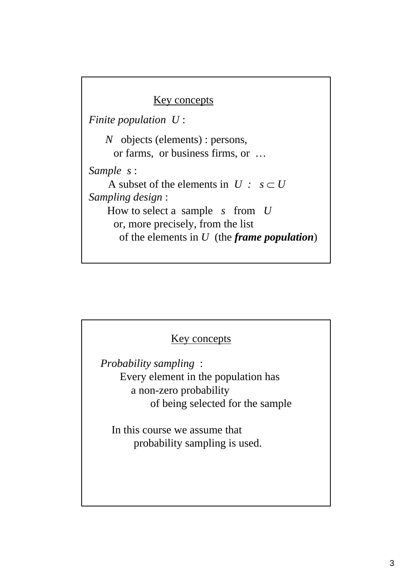### Key concepts

*Finite population U* :

*N* objects (elements) : persons, or farms, or business firms, or … *Sample s* : A subset of the elements in  $U : s \subset U$ *Sampling design* : How to select a sample *s* from *U* or, more precisely, from the list of the elements in *U* (the *frame population*)

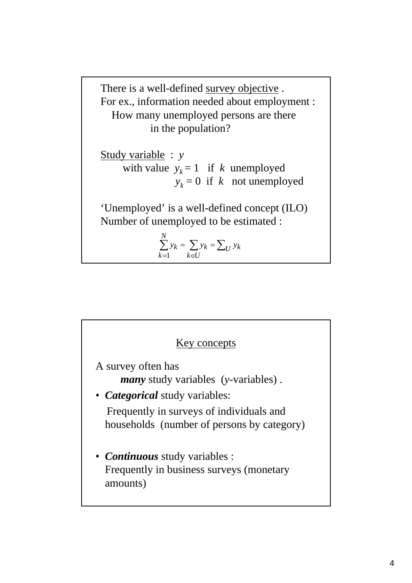There is a well-defined survey objective . For ex., information needed about employment : How many unemployed persons are there in the population?

Study variable : *y* with value  $y_k = 1$  if *k* unemployed  $y_k = 0$  if *k* not unemployed

'Unemployed' is a well-defined concept (ILO) Number of unemployed to be estimated :

$$
\sum_{k=1}^N y_k = \sum_{k \in U} y_k = \sum_U y_k
$$

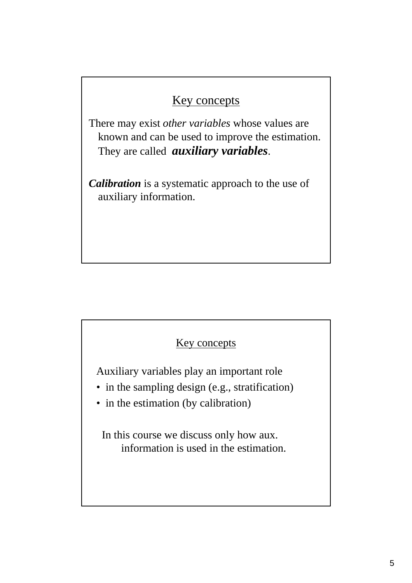# Key concepts

There may exist *other variables* whose values are known and can be used to improve the estimation. They are called *auxiliary variables*.

*Calibration* is a systematic approach to the use of auxiliary information.

### Key concepts

Auxiliary variables play an important role

- in the sampling design (e.g., stratification)
- in the estimation (by calibration)

In this course we discuss only how aux. information is used in the estimation.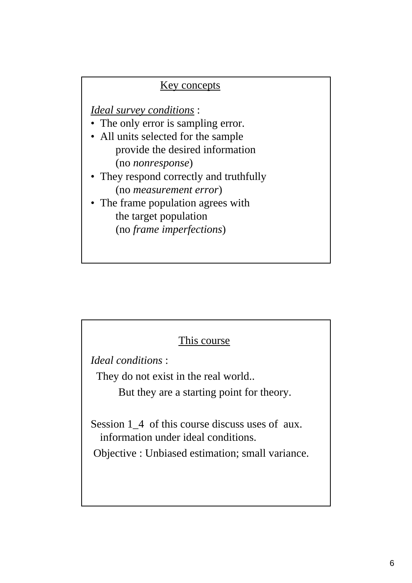### Key concepts

*Ideal survey conditions* :

- The only error is sampling error.
- All units selected for the sample provide the desired information (no *nonresponse*)
- They respond correctly and truthfully (no *measurement error*)
- The frame population agrees with the target population (no *frame imperfections*)

### This course

*Ideal conditions* :

They do not exist in the real world..

But they are a starting point for theory.

Session 1\_4 of this course discuss uses of aux. information under ideal conditions.

Objective : Unbiased estimation; small variance.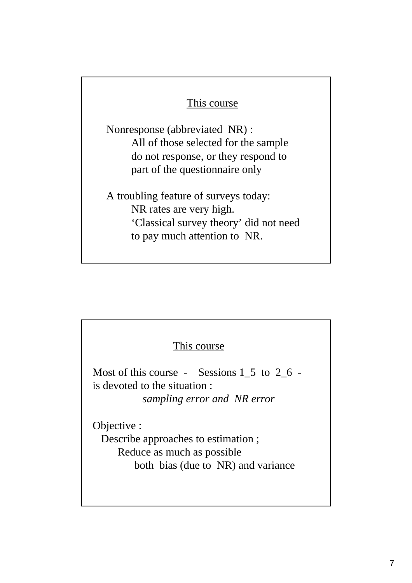### This course

Nonresponse (abbreviated NR) : All of those selected for the sample do not response, or they respond to part of the questionnaire only

A troubling feature of surveys today: NR rates are very high. 'Classical survey theory' did not need to pay much attention to NR.

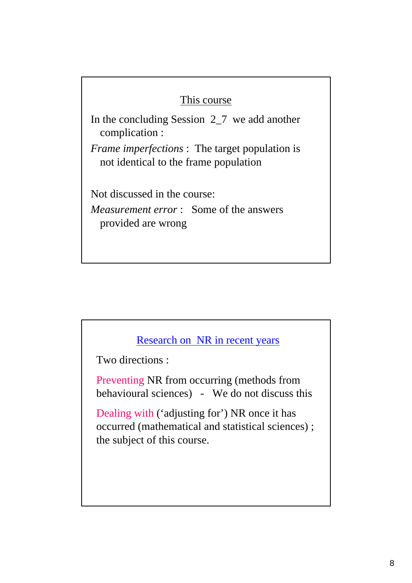### This course

In the concluding Session 2\_7 we add another complication :

*Frame imperfections* : The target population is not identical to the frame population

Not discussed in the course:

*Measurement error* : Some of the answers provided are wrong

### Research on NR in recent years

Two directions :

Preventing NR from occurring (methods from behavioural sciences) - We do not discuss this

Dealing with ('adjusting for') NR once it has occurred (mathematical and statistical sciences) ; the subject of this course.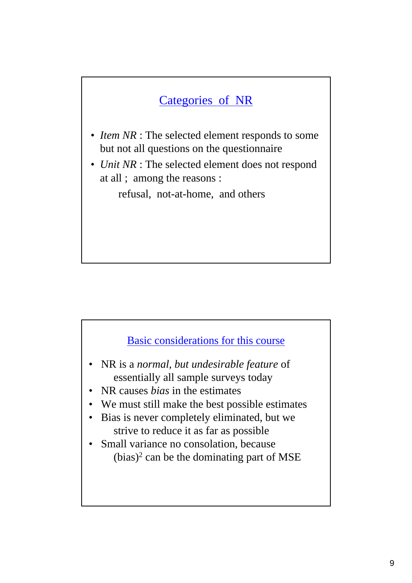# Categories of NR

- *Item NR* : The selected element responds to some but not all questions on the questionnaire
- *Unit NR* : The selected element does not respond at all ; among the reasons :

refusal, not-at-home, and others



- NR is a *normal, but undesirable feature* of essentially all sample surveys today
- NR causes *bias* in the estimates
- We must still make the best possible estimates
- Bias is never completely eliminated, but we strive to reduce it as far as possible
- Small variance no consolation, because  $(bias)^2$  can be the dominating part of MSE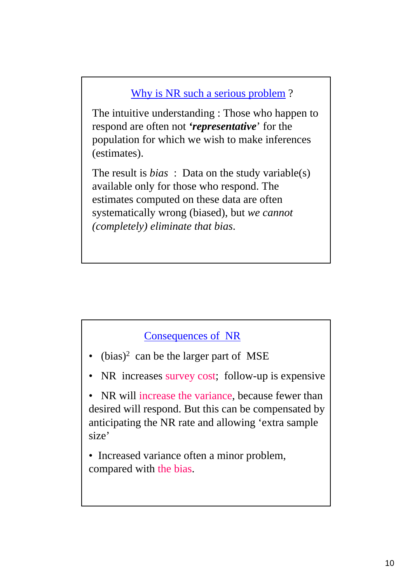## Why is NR such a serious problem ?

The intuitive understanding : Those who happen to respond are often not *'representative*' for the population for which we wish to make inferences (estimates).

The result is *bias* : Data on the study variable(s) available only for those who respond. The estimates computed on these data are often systematically wrong (biased), but *we cannot (completely) eliminate that bias*.

### Consequences of NR

- $\bullet$  (bias)<sup>2</sup> can be the larger part of MSE
- NR increases survey cost; follow-up is expensive

• NR will increase the variance, because fewer than desired will respond. But this can be compensated by anticipating the NR rate and allowing 'extra sample size'

• Increased variance often a minor problem, compared with the bias.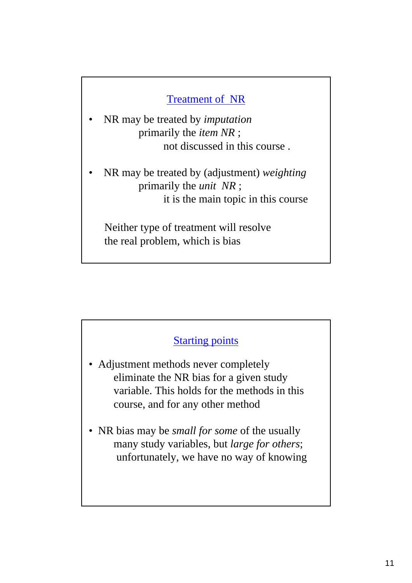## Treatment of NR

- NR may be treated by *imputation* primarily the *item NR* ; not discussed in this course .
- NR may be treated by (adjustment) *weighting* primarily the *unit NR* ; it is the main topic in this course

Neither type of treatment will resolve the real problem, which is bias

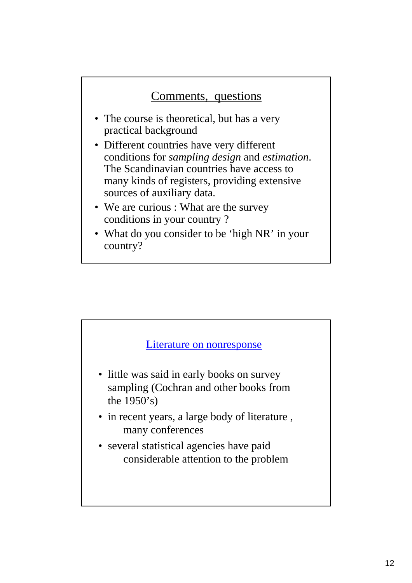# Comments, questions

- The course is theoretical, but has a very practical background
- Different countries have very different conditions for *sampling design* and *estimation*. The Scandinavian countries have access to many kinds of registers, providing extensive sources of auxiliary data.
- We are curious : What are the survey conditions in your country ?
- What do you consider to be 'high NR' in your country?

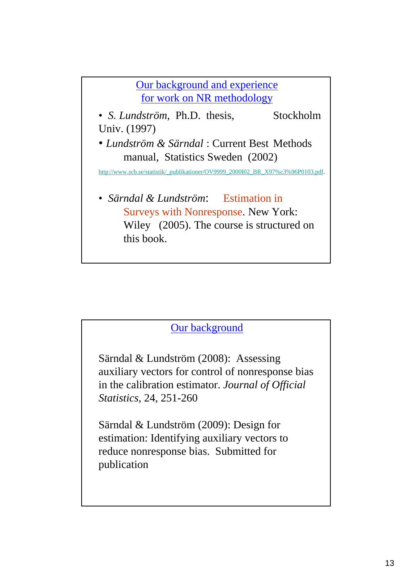Our background and experience for work on NR methodology

- *S. Lundström*, Ph.D. thesis, Stockholm Univ. (1997)
- *Lundström & Särndal* : Current Best Methods manual, Statistics Sweden (2002)

http://www.scb.se/statistik/\_publikationer/OV9999\_2000I02\_BR\_X97%c3%96P0103.pdf.

• *Särndal & Lundström*: Estimation in Surveys with Nonresponse. New York: Wiley (2005). The course is structured on this book.



Särndal & Lundström (2008): Assessing auxiliary vectors for control of nonresponse bias in the calibration estimator. *Journal of Official Statistics*, 24, 251-260

Särndal & Lundström (2009): Design for estimation: Identifying auxiliary vectors to reduce nonresponse bias. Submitted for publication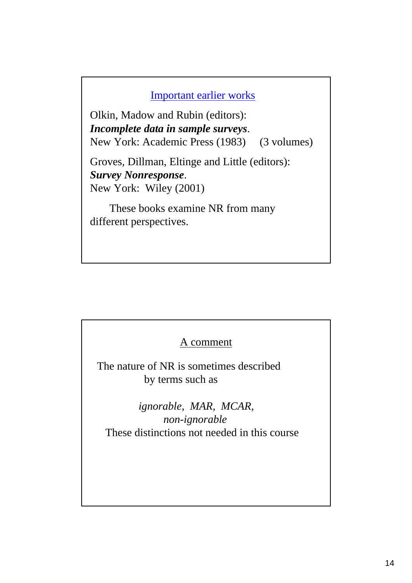#### Important earlier works

Olkin, Madow and Rubin (editors): *Incomplete data in sample surveys*. New York: Academic Press (1983) (3 volumes)

Groves, Dillman, Eltinge and Little (editors): *Survey Nonresponse*. New York: Wiley (2001)

These books examine NR from many different perspectives.

#### A comment

The nature of NR is sometimes described by terms such as

*ignorable, MAR, MCAR, non-ignorable* These distinctions not needed in this course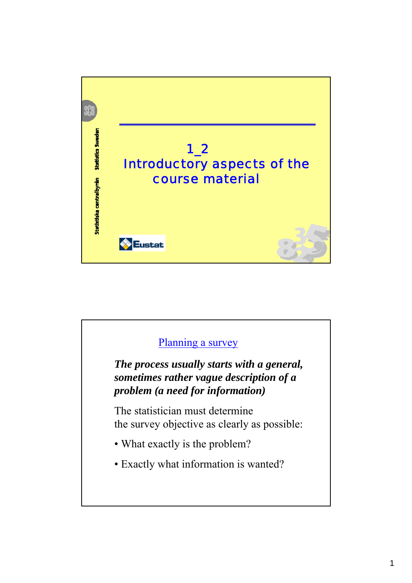

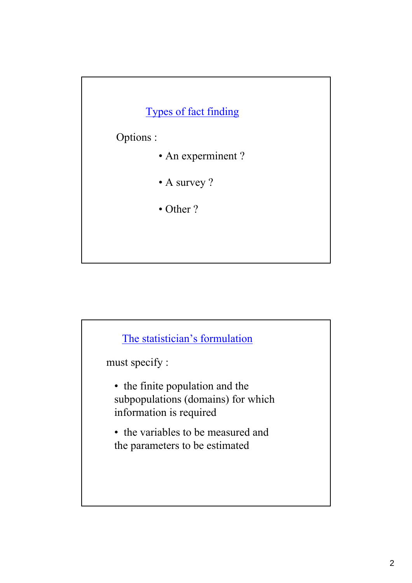

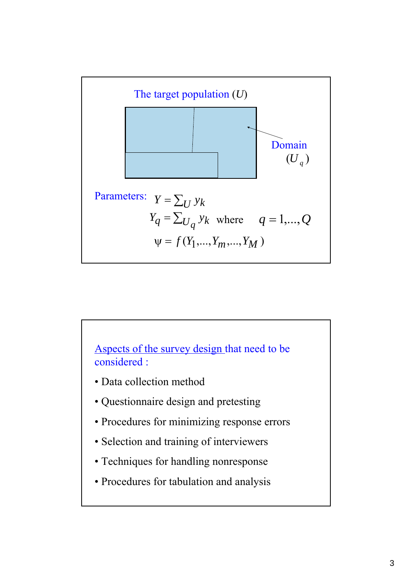

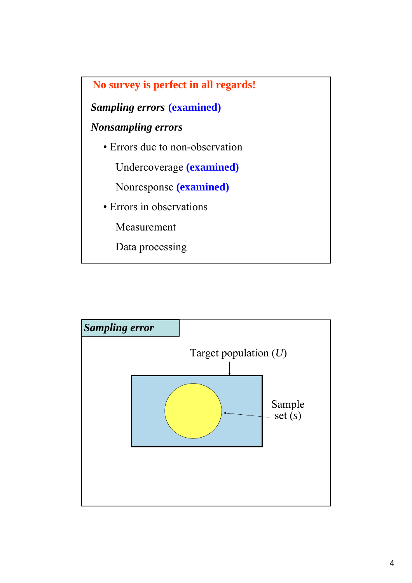

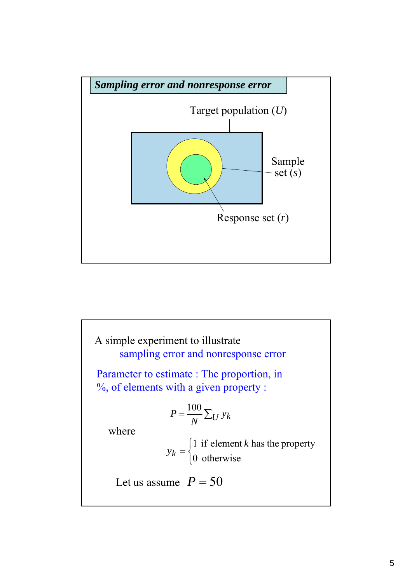

A simple experiment to illustrate  
\nsampling error and nonresponse error  
\nParameter to estimate : The proportion, in  
\n%, of elements with a given property :  
\n
$$
P = \frac{100}{N} \sum_U y_k
$$
\nwhere  
\n
$$
y_k = \begin{cases} 1 & \text{if element } k \text{ has the property} \\ 0 & \text{otherwise} \end{cases}
$$
\nLet us assume  $P = 50$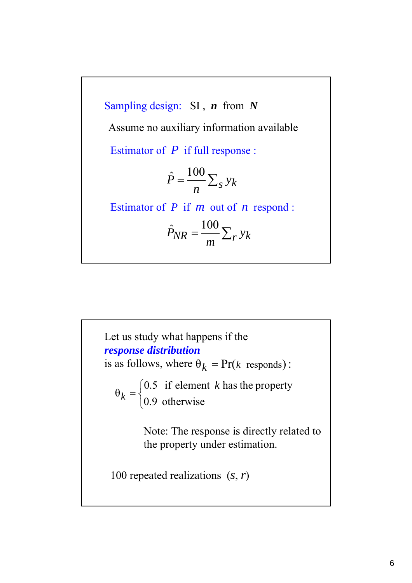Sampling design: SI , *n* from *N*  $=\frac{100}{n}\sum_{s} y_k$  $\hat{P} = \frac{100}{ }$ Estimator of *P* if full response : Estimator of *P* if *m* out of *n* respond :  $P_{NR} = \frac{100}{m} \sum_{r} y_k$  $\hat{P}_{NR} = \frac{100}{100}$ Assume no auxiliary information available

Let us study what happens if the *response distribution* is as follows, where  $\theta_k = Pr(k \text{ responds})$ :  $\overline{a}$ ⎨  $\theta_k = \begin{cases} 0.5 & \text{if element } k \text{ has the property} \\ 0.9 & \text{otherwise} \end{cases}$ *k* Note: The response is directly related to the property under estimation. 100 repeated realizations (*s*, *r*)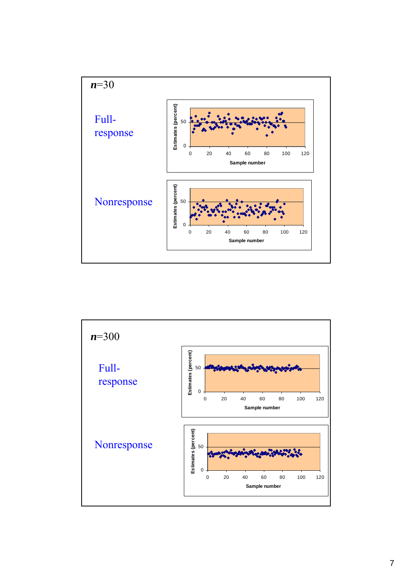

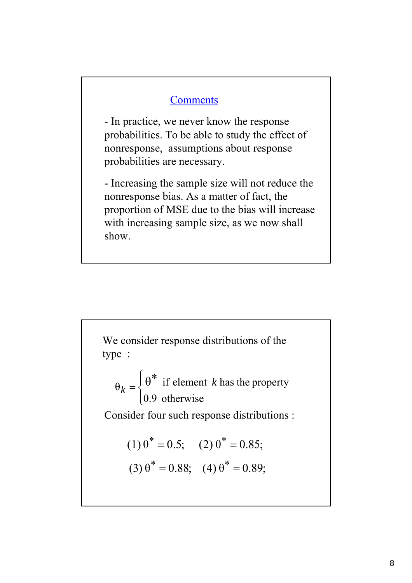#### **Comments**

- In practice, we never know the response probabilities. To be able to study the effect of nonresponse, assumptions about response probabilities are necessary.

- Increasing the sample size will not reduce the nonresponse bias. As a matter of fact, the proportion of MSE due to the bias will increase with increasing sample size, as we now shall show.

We consider response distributions of the type :  $\overline{\mathcal{L}}$  $\vert$ ⎨  $=\bigg\{\theta^*$ 0.9 otherwise  $\theta_k = \begin{cases} \theta^* & \text{if element } k \text{ has the property} \\ 0 & \text{otherwise.} \end{cases}$ Consider four such response distributions :  $(1) \theta^* = 0.5; \quad (2) \theta^* = 0.85;$  $(3) \theta^* = 0.88; \quad (4) \theta^* = 0.89;$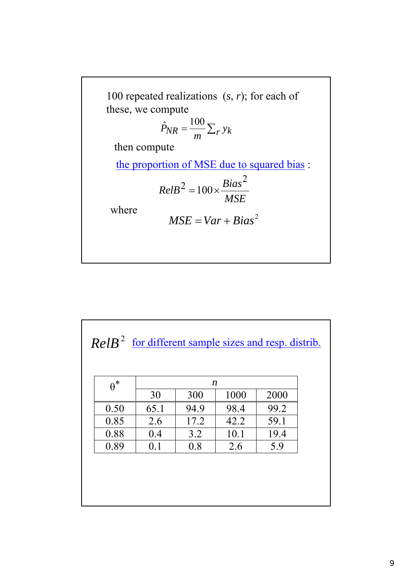100 repeated realizations (*s*, *r*); for each of these, we compute

$$
\hat{P}_{NR} = \frac{100}{m} \sum_{r} y_k
$$

then compute

the proportion of MSE due to squared bias :

$$
RelB2 = 100 \times \frac{Bias2}{MSE}
$$

where

$$
MSE = Var + Bias^2
$$

 $ReIB<sup>2</sup>$  for different sample sizes and resp. distrib.

| $\theta^*$ | n    |      |      |      |
|------------|------|------|------|------|
|            | 30   | 300  | 1000 | 2000 |
| 0.50       | 65.1 | 94.9 | 98.4 | 99.2 |
| 0.85       | 2.6  | 17.2 | 42.2 | 59.1 |
| 0.88       | 0.4  | 3.2  | 10.1 | 19.4 |
| 0.89       | 0.1  | 0.8  | 2.6  | 5.9  |
|            |      |      |      |      |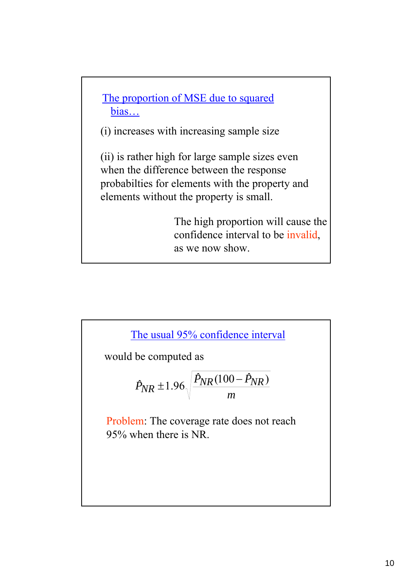

(i) increases with increasing sample size

(ii) is rather high for large sample sizes even when the difference between the response probabilties for elements with the property and elements without the property is small.

> The high proportion will cause the confidence interval to be invalid, as we now show.



would be computed as

$$
\hat{P}_{NR} \pm 1.96 \sqrt{\frac{\hat{P}_{NR}(100 - \hat{P}_{NR})}{m}}
$$

Problem: The coverage rate does not reach 95% when there is NR.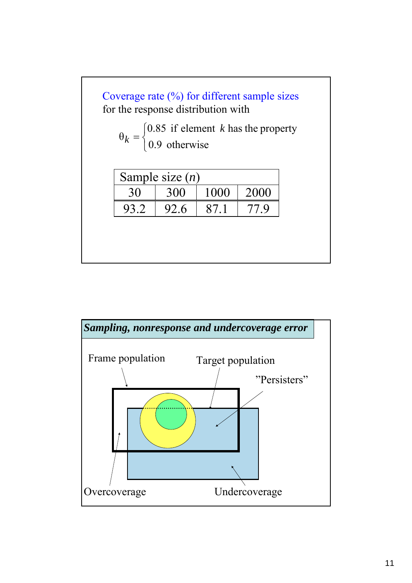

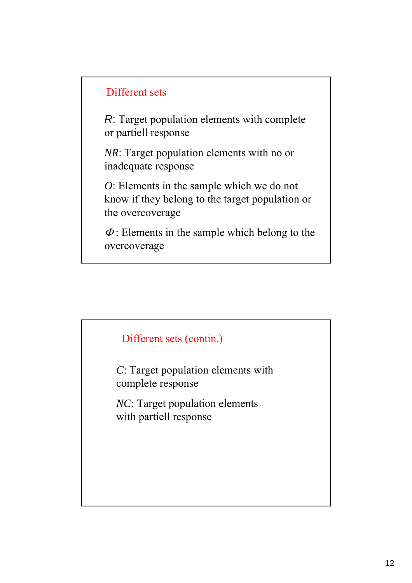## Different sets

*R*: Target population elements with complete or partiell response

*NR*: Target population elements with no or inadequate response

*O*: Elements in the sample which we do not know if they belong to the target population or the overcoverage

 $\Phi$ : Elements in the sample which belong to the overcoverage

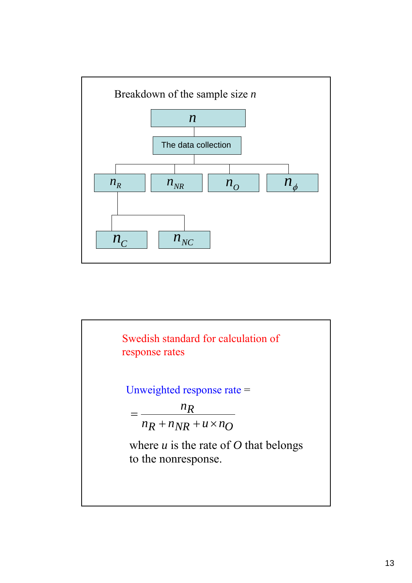

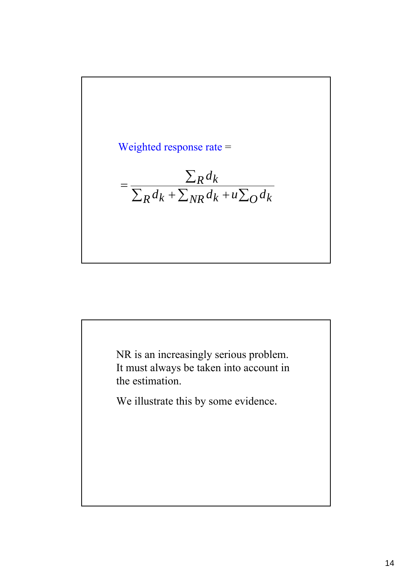

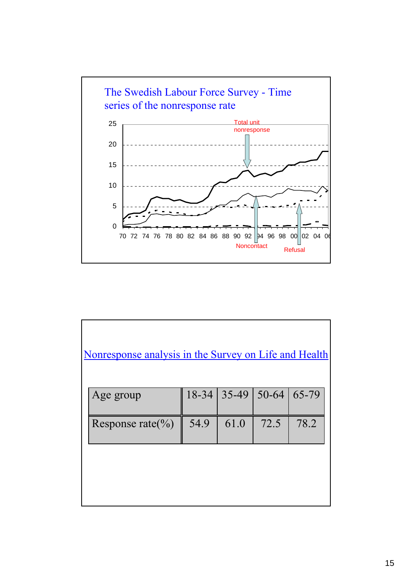

| Nonresponse analysis in the Survey on Life and Health |           |         |           |       |
|-------------------------------------------------------|-----------|---------|-----------|-------|
| Age group                                             | $18 - 34$ | $35-49$ | $50 - 64$ | 65-79 |
| Response rate $\left(\frac{0}{0}\right)$              | 54.9      | 61.0    | 72.5      | 78.2  |
|                                                       |           |         |           |       |
|                                                       |           |         |           |       |
|                                                       |           |         |           |       |
|                                                       |           |         |           |       |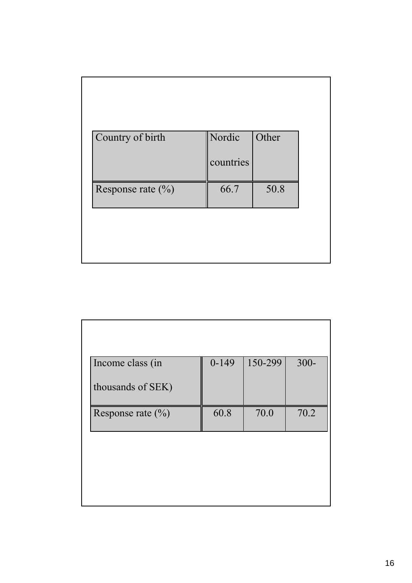| Country of birth      | Nordic    | Other |
|-----------------------|-----------|-------|
|                       | countries |       |
| Response rate $(\% )$ | 66.7      | 50.8  |

| Income class (in      | $0-149$ | 150-299 | $300 -$ |
|-----------------------|---------|---------|---------|
| thousands of SEK)     |         |         |         |
| Response rate $(\% )$ | 60.8    | 70.0    | 70.2    |
|                       |         |         |         |
|                       |         |         |         |
|                       |         |         |         |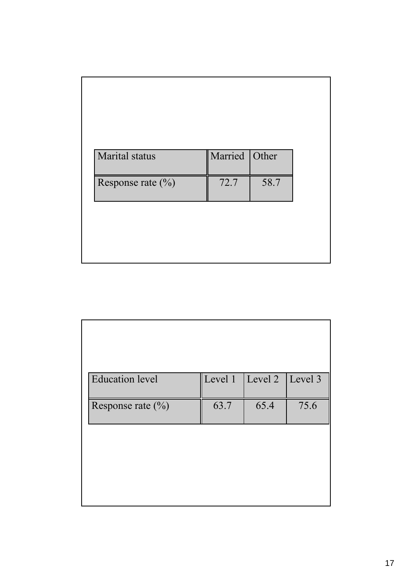| <b>Marital</b> status | Married Other |      |
|-----------------------|---------------|------|
| Response rate $(\% )$ | 72.7          | 58.7 |

| <b>Education</b> level | Level 1 | Level 2 | Level 3 |
|------------------------|---------|---------|---------|
| Response rate $(\% )$  | 63.7    | 65.4    | 75.6    |
|                        |         |         |         |
|                        |         |         |         |
|                        |         |         |         |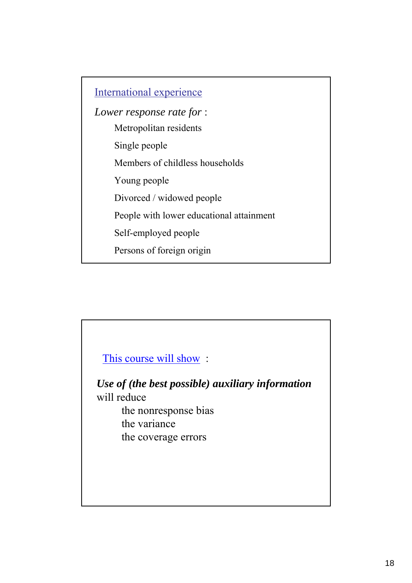Metropolitan residents Single people Members of childless households Young people Divorced / widowed people People with lower educational attainment Self-employed people Persons of foreign origin International experience *Lower response rate for* :

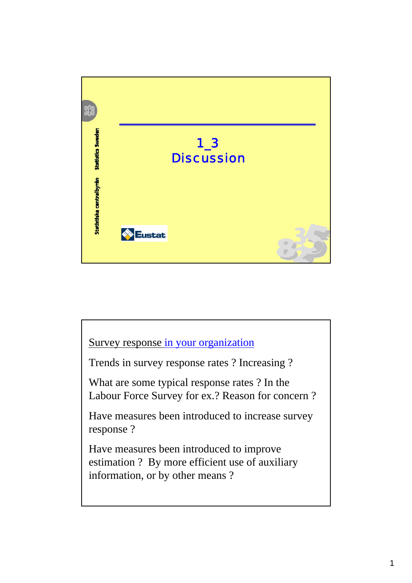

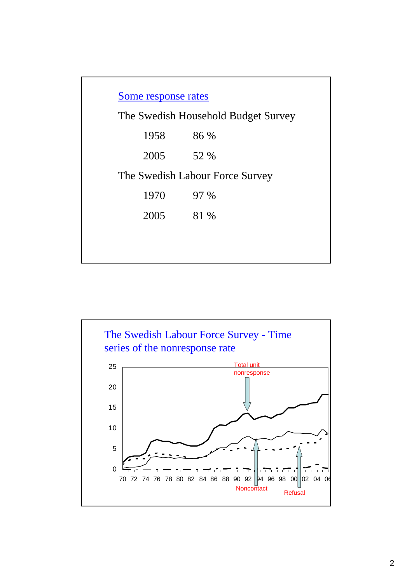| Some response rates |                                     |  |  |  |
|---------------------|-------------------------------------|--|--|--|
|                     | The Swedish Household Budget Survey |  |  |  |
| 1958                | 86 %                                |  |  |  |
| 2005                | 52 %                                |  |  |  |
|                     | The Swedish Labour Force Survey     |  |  |  |
| 1970                | 97 %                                |  |  |  |
| 2005                | 81 %                                |  |  |  |
|                     |                                     |  |  |  |
|                     |                                     |  |  |  |

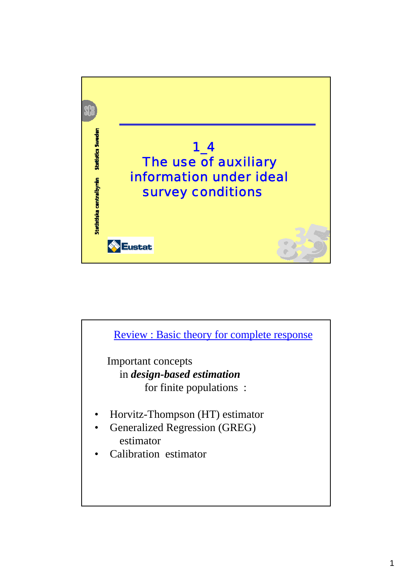

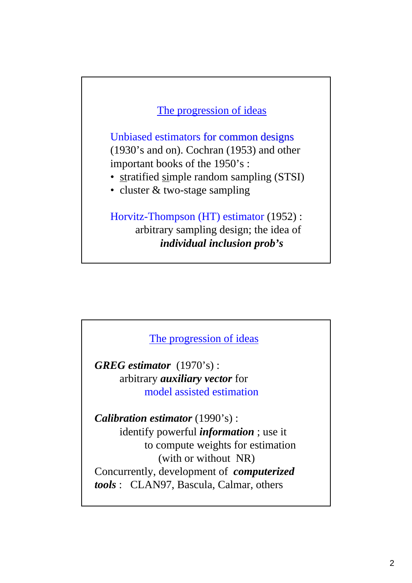### The progression of ideas

Unbiased estimators for common designs (1930's and on). Cochran (1953) and other important books of the 1950's :

- stratified simple random sampling (STSI)
- cluster & two-stage sampling

Horvitz-Thompson (HT) estimator (1952) : arbitrary sampling design; the idea of *individual inclusion prob's*

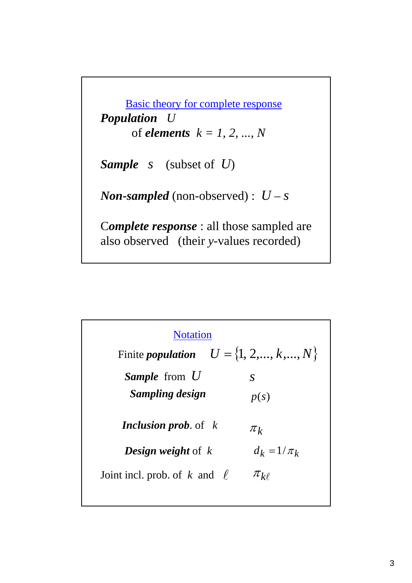Basic theory for complete response *Population U*  of *elements k = 1, 2, ..., N Sample s* (subset of *U*) *Non-sampled* (non-observed) :  $U - s$ C*omplete response* : all those sampled are also observed (their *y*-values recorded)

| <b>Notation</b>                                   |                 |  |
|---------------------------------------------------|-----------------|--|
| Finite <i>population</i> $U = \{1, 2, , k, , N\}$ |                 |  |
| <b>Sample</b> from U                              | $\mathcal{S}$   |  |
| Sampling design                                   | p(s)            |  |
| <b>Inclusion prob.</b> of $k$                     | $\pi_k$         |  |
| <b>Design weight</b> of $k$                       | $d_k = 1/\pi_k$ |  |
| Joint incl. prob. of k and $\ell$                 | $\pi_{k\ell}$   |  |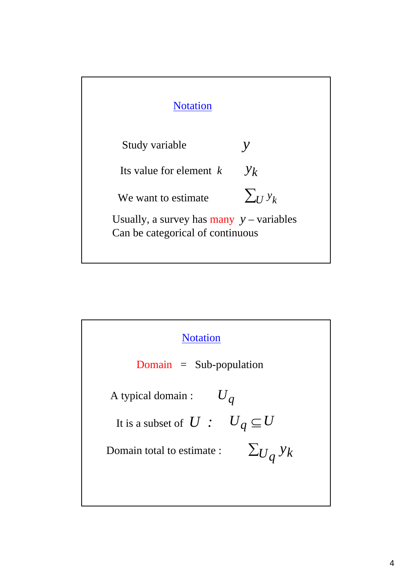

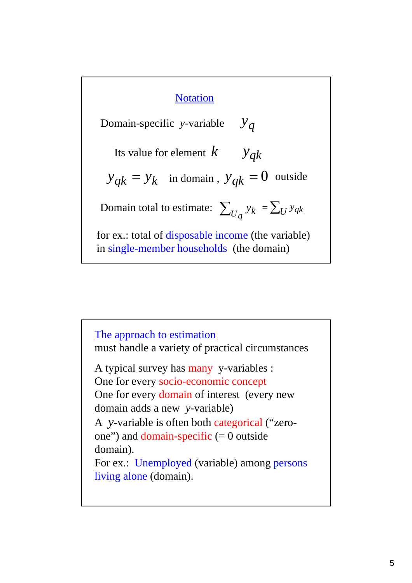## **Notation**

 $y_{qk}$ Domain total to estimate:  $\sum_{U_q} y_k = \sum_{U} y_{qk}$ Domain-specific *y*-variable Its value for element *k*  $y_q$  $y_{qk} = y_k$  in domain,  $y_{qk} = 0$  outside for ex.: total of disposable income (the variable) in single-member households (the domain)

A typical survey has many y-variables : One for every socio-economic concept One for every domain of interest (every new domain adds a new *y*-variable) A *y*-variable is often both categorical ("zeroone") and domain-specific  $(= 0$  outside domain). For ex.: Unemployed (variable) among persons living alone (domain). The approach to estimation must handle a variety of practical circumstances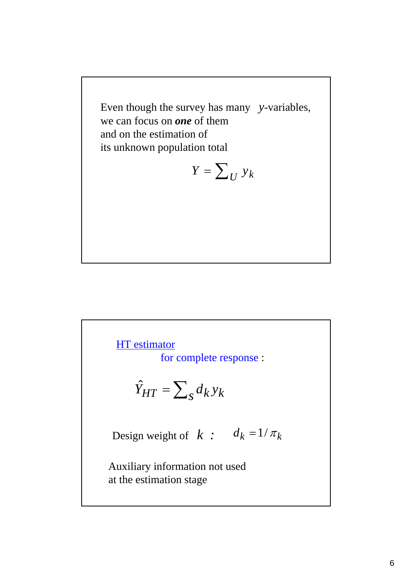Even though the survey has many *y*-variables, we can focus on *one* of them and on the estimation of its unknown population total

$$
Y = \sum_{U} y_k
$$

# $\hat{Y}_{HT} = \sum_{s} d_k y_k$ **HT** estimator for complete response : Auxiliary information not used at the estimation stage Design weight of *k* :  $d_k = 1/\pi_k$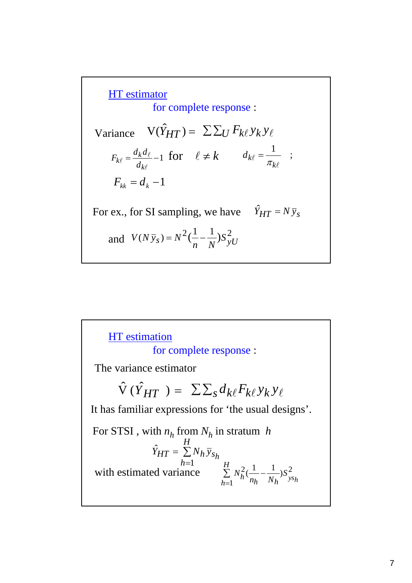Variance  $V(\hat{Y}_{HT}) = \sum \sum_U F_{k\ell} y_k y_\ell$ HT estimator for complete response :  $=\frac{a_k a_\ell}{\epsilon}-1$ l  $\ell$  $\ell - \frac{d}{d_k}$ *k*  $k\ell = \frac{d}{d}$  $F_{k\ell} = \frac{d_k d_\ell}{dt} - 1$  for  $\ell \neq k$   $d_{k\ell} = \frac{1}{\pi}$ ; l  $\ell$ *k* for  $\ell \neq k$   $d_{k\ell} = \frac{1}{\pi}$  $F_{kk} = d_k - 1$ For ex., for SI sampling, we have  $\hat{Y}_{HT} = N \bar{y}_s$  $(N \bar{y}_s) = N^2 (\frac{1}{n} - \frac{1}{N}) S_{yU}^2$ *and*  $V(Ny_s) = N^2(\frac{1}{n} -$ 

 $\hat{V}(\hat{Y}_{HT}) = \sum \sum_{s} d_{k\ell} F_{k\ell} y_k y_{\ell}$ HT estimation for complete response : The variance estimator It has familiar expressions for 'the usual designs'. ∑ =  $\sum_{k=1}^{H} N_{k}^{2}(\frac{1}{1-\frac{1}{1-\frac{1}{1-\frac{1}{1-\frac{1}{1-\frac{1}{1-\frac{1}{1-\frac{1}{1-\frac{1}{1-\frac{1}{1-\frac{1}{1-\frac{1}{1-\frac{1}{1-\frac{1}{1-\frac{1}{1-\frac{1}{1-\frac{1}{1-\frac{1}{1-\frac{1}{1-\frac{1}{1-\frac{1}{1-\frac{1}{1-\frac{1}{1-\frac{1}{1-\frac{1}{1-\frac{1}{1-\frac{1}{1-\frac{1}{1-\frac{1}{1-\frac{1}{1-\frac{1}{1-\frac{1}{1-\frac{1}{1-\frac{1}{$  $\sum_{h=1}^{N_h^2} \frac{N_h^2}{n_h} - \frac{1}{N_h} S_{y s_h}^2$  $n_h$  *N N* 1 *h*=1  $\sum_{i=1}^{n} H_i$   $N_h^2(\frac{1}{1} - \frac{1}{1})S_1^2$ *hs H*  $\hat{Y}_{HT} = \sum_{h} N_h \overline{y}$ For STSI, with  $n_h$  from  $N_h$  in stratum  $h$ with estimated variance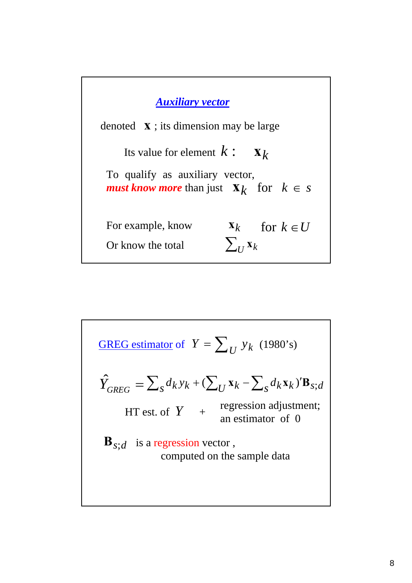

**GREG estimator of** 
$$
Y = \sum_{U} y_k
$$
 (1980's)  
\n
$$
\hat{Y}_{GREG} = \sum_{S} d_k y_k + (\sum_{U} x_k - \sum_{S} d_k x_k) \mathbf{B}_{S;d}
$$
\nHT est. of  $Y + \text{regression adjustment; an estimator of 0}$   
\n $\mathbf{B}_{S;d}$  is a regression vector, computed on the sample data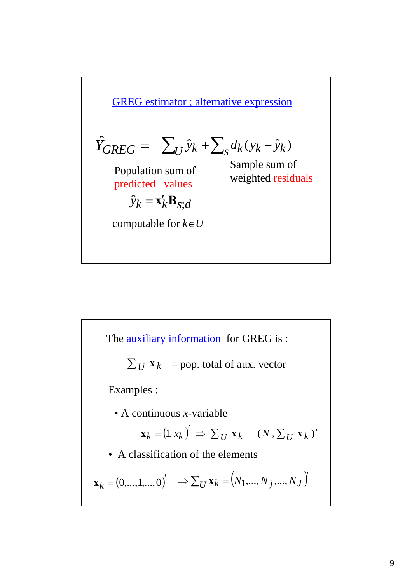**GREG estimator**; alternative expression  
\n
$$
\hat{Y}_{GREG} = \sum_{U} \hat{y}_k + \sum_{S} d_k (y_k - \hat{y}_k)
$$
\nPopulation sum of  
\npredicted values  
\n
$$
\hat{y}_k = \mathbf{x}_k' \mathbf{B}_{S;d}
$$
\ncomputable for  $k \in U$ 

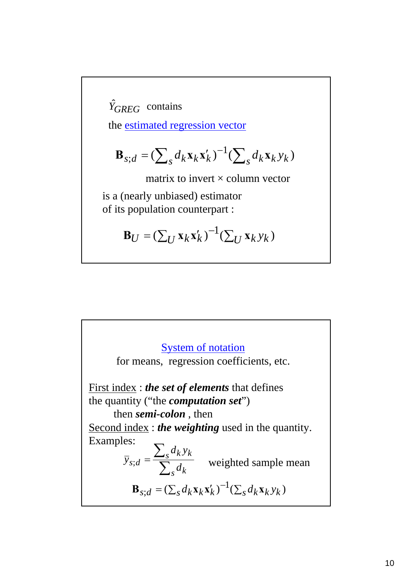$\hat{Y}_{GREG}$  contains

the estimated regression vector

$$
\mathbf{B}_{s;d} = (\sum_{s} d_k \mathbf{x}_k \mathbf{x}'_k)^{-1} (\sum_{s} d_k \mathbf{x}_k y_k)
$$

matrix to invert  $\times$  column vector

is a (nearly unbiased) estimator of its population counterpart :

$$
\mathbf{B}_U = \left(\sum_U \mathbf{x}_k \mathbf{x}'_k\right)^{-1} \left(\sum_U \mathbf{x}_k y_k\right)
$$

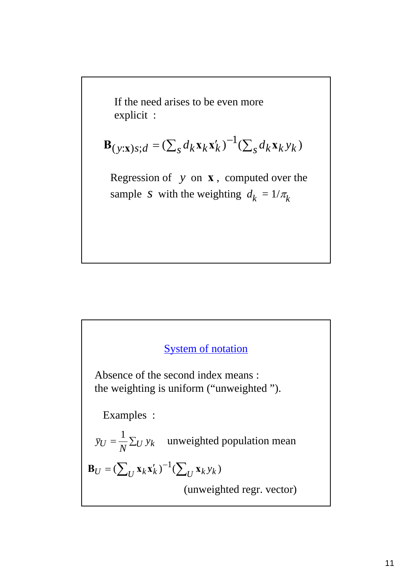If the need arises to be even more explicit :

$$
\mathbf{B}_{(y; \mathbf{x})s;d} = (\sum_s d_k \mathbf{x}_k \mathbf{x}'_k)^{-1} (\sum_s d_k \mathbf{x}_k y_k)
$$

Regression of *y* on **x** , computed over the sample *s* with the weighting  $d_k = 1/\pi_k$ 

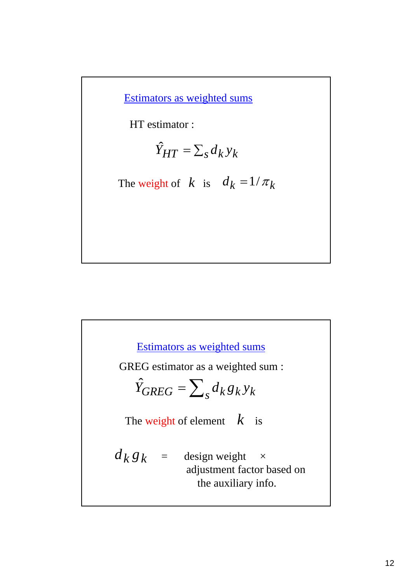Estimators as weighted sums

HT estimator :

$$
\hat{Y}_{HT} = \sum_{s} d_k y_k
$$

The weight of  $k$  is  $d_k = 1/\pi_k$ 

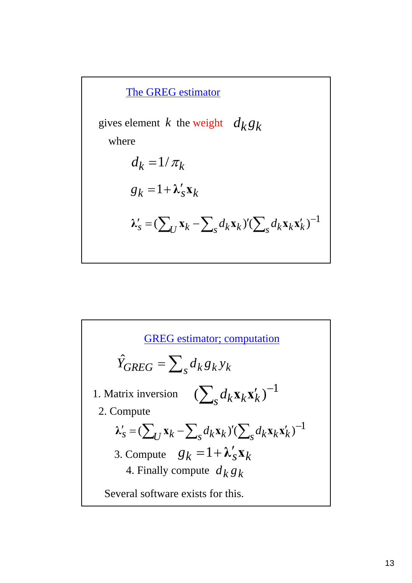

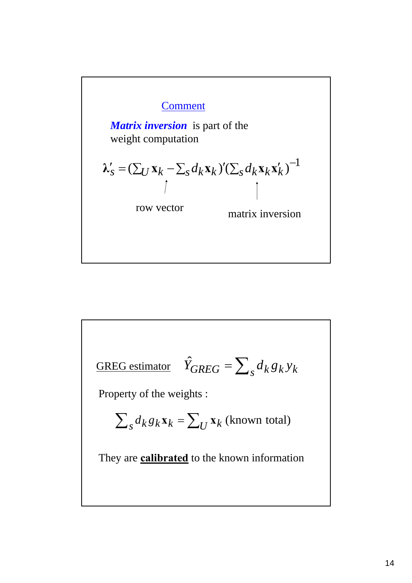

**GREG estimator**

\n
$$
\hat{Y}_{GREG} = \sum_{s} d_k g_k y_k
$$
\nProperty of the weights:

\n
$$
\sum_{s} d_k g_k \mathbf{x}_k = \sum_{s} \mathbf{x}_k \text{ (known total)}
$$
\nThey are **calibrated** to the known information.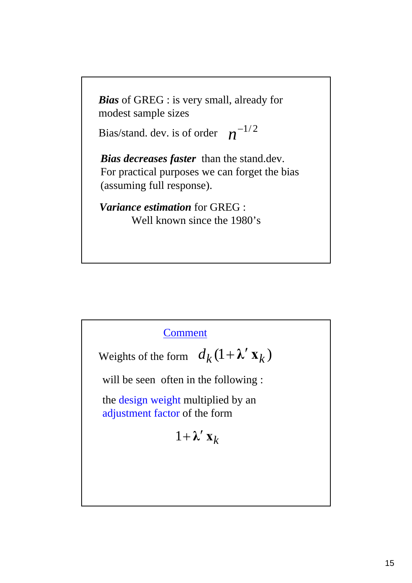*Bias* of GREG : is very small, already for modest sample sizes

Bias/stand. dev. is of order  $n^{-1/2}$ 

*Bias decreases faster* than the stand.dev. For practical purposes we can forget the bias (assuming full response).

*Variance estimation* for GREG : Well known since the 1980's

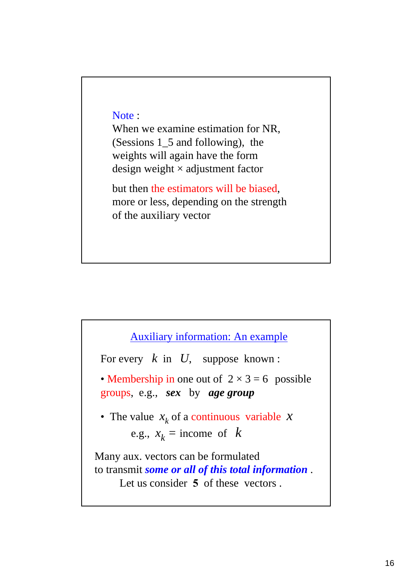#### Note :

When we examine estimation for NR, (Sessions 1\_5 and following), the weights will again have the form design weight  $\times$  adjustment factor

but then the estimators will be biased, more or less, depending on the strength of the auxiliary vector

### Auxiliary information: An example

For every *k* in *U*, suppose known :

• Membership in one out of  $2 \times 3 = 6$  possible groups, e.g., *sex* by *age group*

• The value  $x_k$  of a continuous variable  $x$ e.g.,  $x_k$  = income of *k* 

Many aux. vectors can be formulated to transmit *some or all of this total information* . Let us consider **5** of these vectors.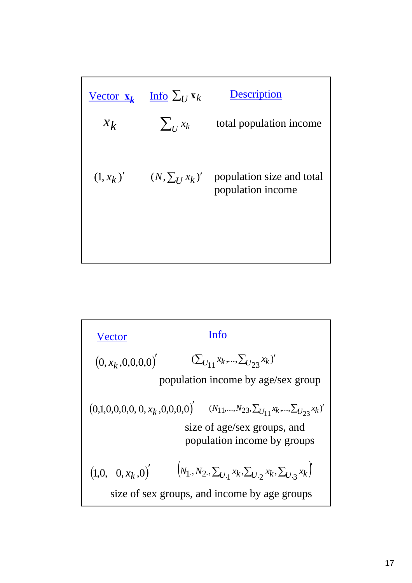|       | Vector $\mathbf{x}_k$ Info $\Sigma_U \mathbf{x}_k$ | <b>Description</b>                                                              |
|-------|----------------------------------------------------|---------------------------------------------------------------------------------|
| $x_k$ | $\sum_{I} x_k$                                     | total population income                                                         |
|       |                                                    | $(1, x_k)'$ $(N, \sum_{I} x_k)'$ population size and total<br>population income |
|       |                                                    |                                                                                 |

| Vector                                                  | Info                                                                  |
|---------------------------------------------------------|-----------------------------------------------------------------------|
| $(0, x_k, 0, 0, 0, 0)$                                  | $(\sum_{U_{11}} x_k, ..., \sum_{U_{23}} x_k)$                         |
| population income by age/sec group                      |                                                                       |
| $(0, 1, 0, 0, 0, 0, 0, x_k, 0, 0, 0, 0)$                | $(N_{11}, ..., N_{23}, \sum_{U_{11}} x_k, ..., \sum_{U_{23}} x_k)$    |
| size of age/sec groups, and population income by groups |                                                                       |
| $(1, 0, 0, x_k, 0)$                                     | $(N_1, N_2, \sum_{U_{11}} x_k, \sum_{U_{12}} x_k, \sum_{U_{13}} x_k)$ |
| size of sex groups, and income by age groups            |                                                                       |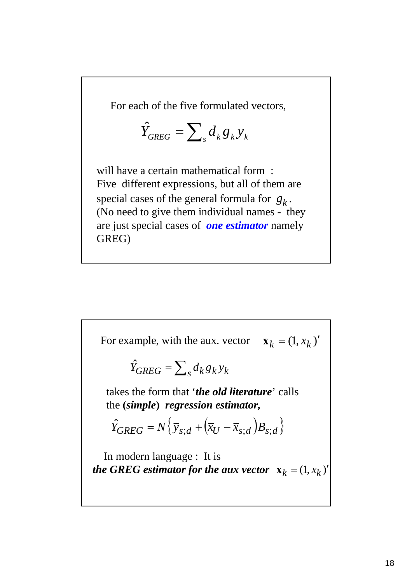For each of the five formulated vectors,

$$
\hat{Y}_{GREG} = \sum_{s} d_{k} g_{k} y_{k}
$$

will have a certain mathematical form: Five different expressions, but all of them are special cases of the general formula for  $g_k$ . (No need to give them individual names - they are just special cases of *one estimator* namely GREG)

For example, with the aux. vector  $\mathbf{x}_k = (1, x_k)'$ 

$$
\hat{Y}_{GREG} = \sum_{s} d_k g_k y_k
$$

takes the form that '*the old literature*' calls the **(***simple***)** *regression estimator,*

$$
\hat{Y}_{GREG} = N \left\{ \overline{y}_{s;d} + \left( \overline{x}_U - \overline{x}_{s;d} \right) B_{s;d} \right\}
$$

In modern language : It is *the GREG estimator for the aux vector*  $\mathbf{x}_k = (1, x_k)'$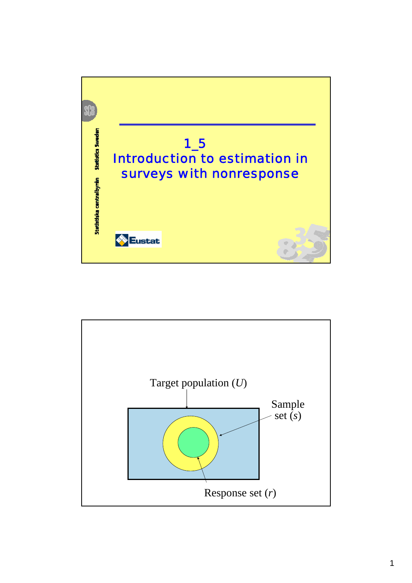

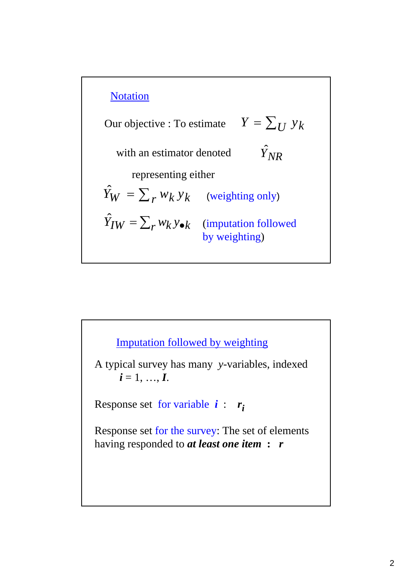

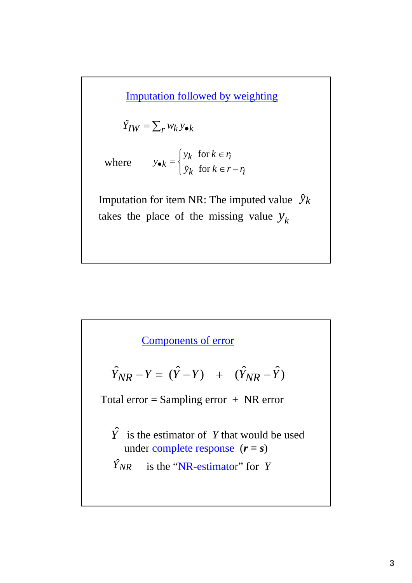Imputation followed by weighting

$$
\hat{Y}_{IW} = \sum_{r} w_k y_{\bullet k}
$$

where  $y_{\bullet k} = \begin{cases}$  $\left\lceil \right\rceil$  $\in$   $r-$ ∈  $\bullet_k =$  $k$  for  $k \in r - r_i$  $k$  *i* or  $k \in r_i$  $k = \begin{cases} k \\ 2k \end{cases}$  for  $k \in r - r$ *y*<sub>*k*</sub> for  $k \in r$  $y_{\bullet k} = \begin{cases} y_k & \text{for } k \\ y_k & \text{for } k \end{cases}$ for

Imputation for item NR: The imputed value  $\hat{y}_k$ takes the place of the missing value  $y_k$ 

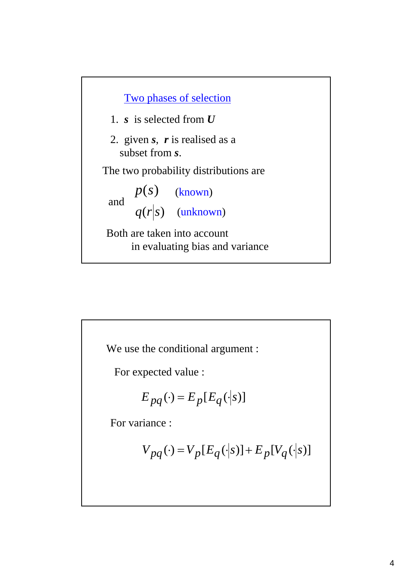

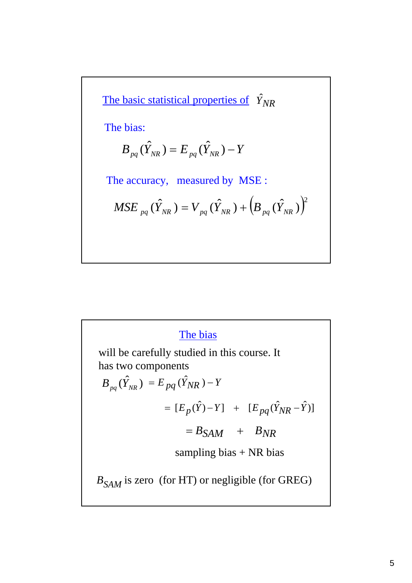The basic statistical properties of 
$$
\hat{Y}_{NR}
$$
  
\nThe bias:  
\n
$$
B_{pq}(\hat{Y}_{NR}) = E_{pq}(\hat{Y}_{NR}) - Y
$$
\nThe accuracy, measured by MSE:  
\n
$$
MSE_{pq}(\hat{Y}_{NR}) = V_{pq}(\hat{Y}_{NR}) + (B_{pq}(\hat{Y}_{NR}))^2
$$

# The bias

will be carefully studied in this course. It has two components

$$
B_{pq}(\hat{Y}_{NR}) = E_{pq}(\hat{Y}_{NR}) - Y
$$
  

$$
= [E_p(\hat{Y}) - Y] + [E_{pq}(\hat{Y}_{NR} - \hat{Y})]
$$
  

$$
= B_{SAM} + B_{NR}
$$
  
sampling bias + NR bias  

$$
B_{SAM}
$$
 is zero (for HT) or negligible (for GREG)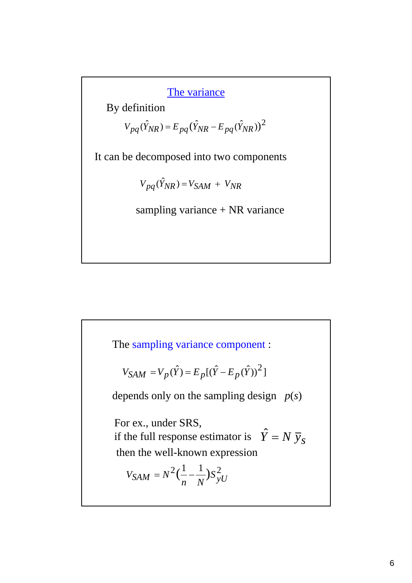The variance

By definition

$$
V_{pq}(\hat{Y}_{NR}) = E_{pq}(\hat{Y}_{NR} - E_{pq}(\hat{Y}_{NR}))^{2}
$$

It can be decomposed into two components

 $V_{pq}(\hat{Y}_{NR}) = V_{SAM} + V_{NR}$ 

sampling variance + NR variance

The sampling variance component :

$$
V_{SAM} = V_p(\hat{Y}) = E_p[(\hat{Y} - E_p(\hat{Y}))^2]
$$

depends only on the sampling design *p*(*s*)

For ex., under SRS,

if the full response estimator is  $\hat{Y} = N \overline{y}_s$ then the well-known expression

$$
V_{SAM} = N^2 \left(\frac{1}{n} - \frac{1}{N}\right) S_{yU}^2
$$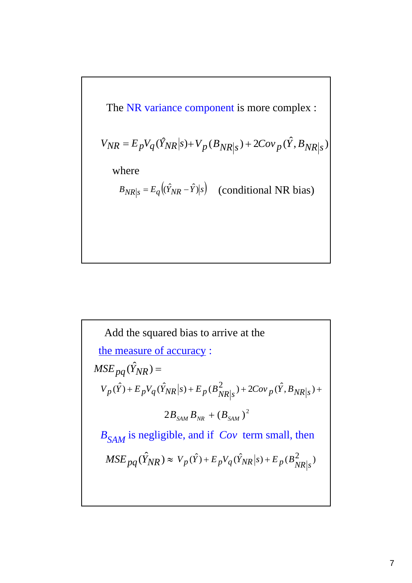The NR variance component is more complex :  
\n
$$
V_{NR} = E_p V_q(\hat{Y}_{NR}|s) + V_p(B_{NR}|s) + 2Cov_p(\hat{Y}, B_{NR}|s)
$$
\nwhere  
\n
$$
B_{NR}|s = E_q((\hat{Y}_{NR} - \hat{Y})|s)
$$
 (conditional NR bias)

*BSAM* is negligible, and if *Cov* term small, then the measure of accuracy :  $MSE_{pq}(\hat{Y}_{NR}) =$  $MSE_{pq}(\hat{Y}_{NR}) \approx V_p(\hat{Y}) + E_pV_q(\hat{Y}_{NR}|s) + E_p(B_{NR|s}^2)$  $V_p(\hat{Y}) + E_p V_q(\hat{Y}_{NR} | s) + E_p(B_{NR|s}^2) + 2Cov_p(\hat{Y}, B_{NR|s}) +$  $2 B_{SAM} B_{NR} + (B_{SAM})^2$ Add the squared bias to arrive at the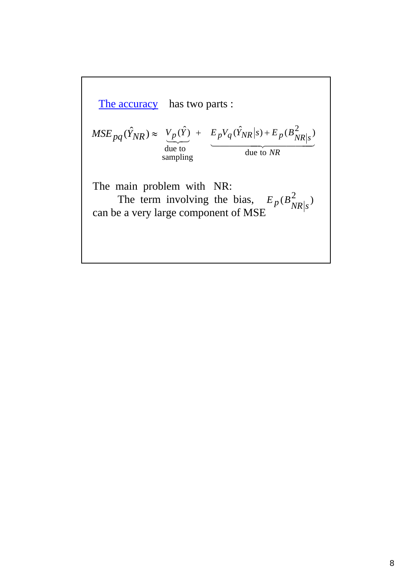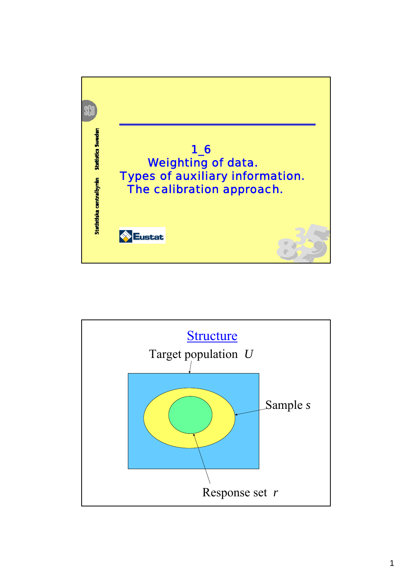

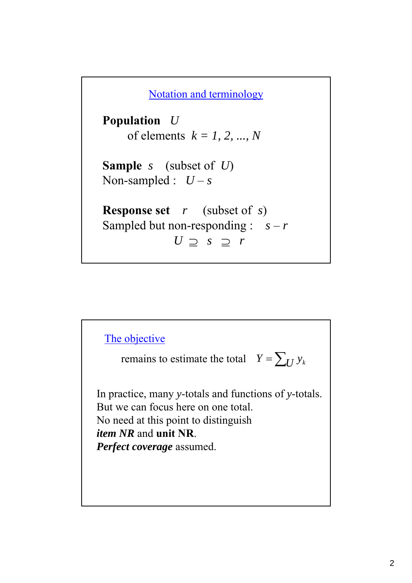Notation and terminology

**Population** *U*  of elements *k = 1, 2, ..., N*

**Sample** *s* (subset of *U*) Non-sampled :  $U - s$ 

**Response set** *r* (subset of *s*) Sampled but non-responding :  $s - r$ *U* ⊇ *s* ⊇ *r*

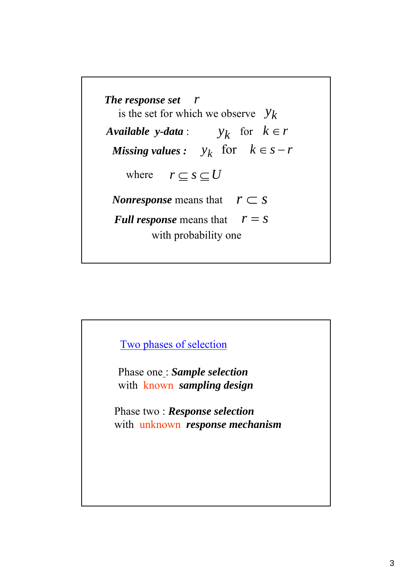

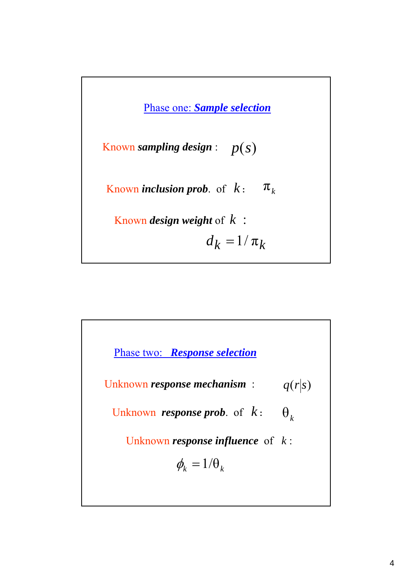

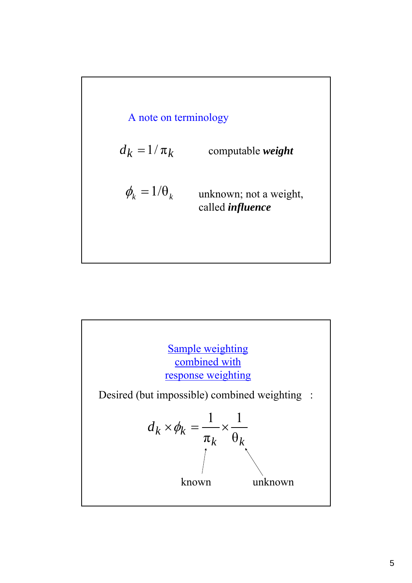

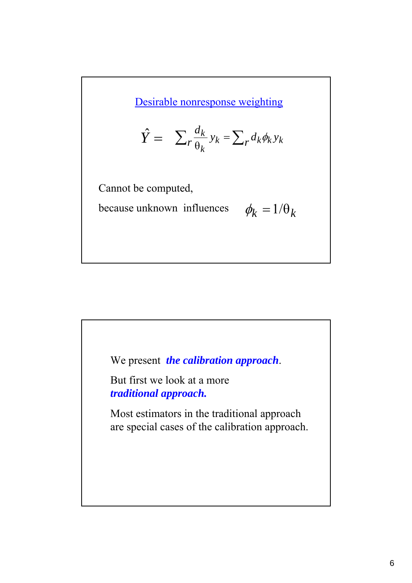Desirable nonresponse weighting

$$
\hat{Y} = \sum_{r} \frac{d_k}{\theta_k} y_k = \sum_{r} d_k \phi_k y_k
$$

Cannot be computed,

**because unknown influences** 

$$
\phi_k = 1/\theta_k
$$

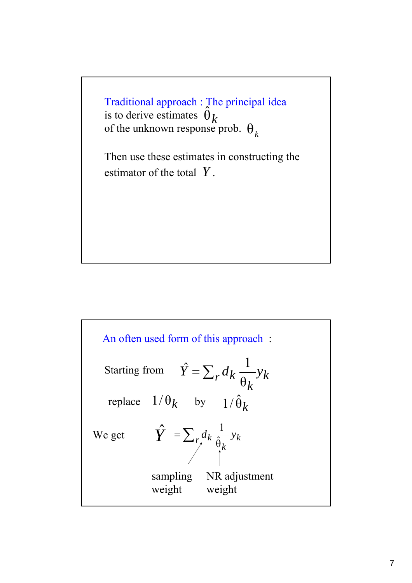Traditional approach : The principal idea is to derive estimates  $\hat{\theta}$ of the unknown response prob.  $\theta_k$ 

Then use these estimates in constructing the estimator of the total *Y* .

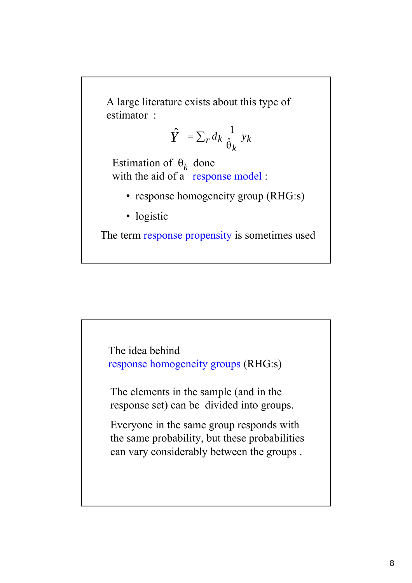A large literature exists about this type of estimator :

$$
\hat{Y} = \sum_r d_k \frac{1}{\hat{\theta}_k} y_k
$$

Estimation of  $\theta_k$  done with the aid of a response model :

- response homogeneity group (RHG:s)
- logistic

The term response propensity is sometimes used

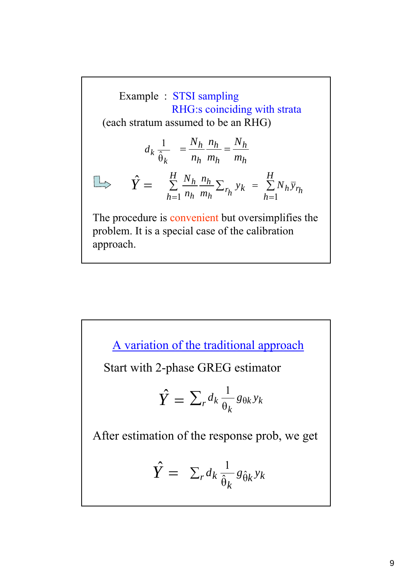Example : STSI sampling RHG:s coinciding with strata (each stratum assumed to be an RHG)  $r_h$ <sup>*yk*</sup> =  $\sum_{h=1}^{N_h} N_h$ *y*<sub> $r_h$ </sub> *h h h*  $\frac{h}{h} \frac{nh}{h} \sum_{r} y_k = \sum_{r} N_h \overline{y}$ *m n n*  $N_h$   $n_h$   $\sum$ *h k H h*  $\sum \frac{N_h}{n} \frac{n_h}{n} \sum_{r_i} y_k = \sum$  $=$  1  $n_h$   $m_h$   $n$   $h=$ =  $1 h h m_h$   $n h = 1$  $\hat{Y} =$ The procedure is convenient but oversimplifies the problem. It is a special case of the calibration approach. *h h h h h h m N m n n*  $\frac{N_h}{n} \frac{n_h}{n}$ *k*  $d_k$  $\hat{\theta}$ 1

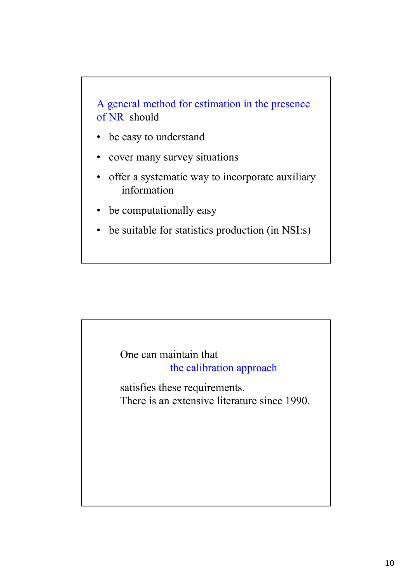

- be easy to understand
- cover many survey situations
- offer a systematic way to incorporate auxiliary information
- be computationally easy
- be suitable for statistics production (in NSI:s)

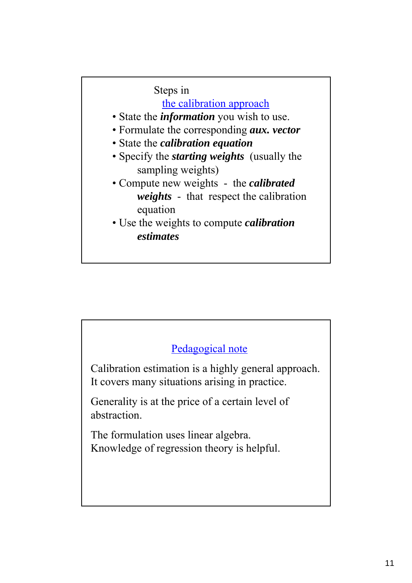Steps in the calibration approach • State the *information* you wish to use. • Formulate the corresponding *aux. vector* • State the *calibration equation* • Specify the *starting weights* (usually the sampling weights) • Compute new weights - the *calibrated weights* - that respect the calibration equation • Use the weights to compute *calibration estimates*

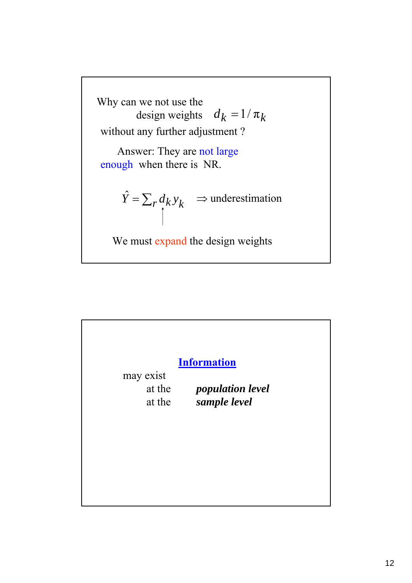

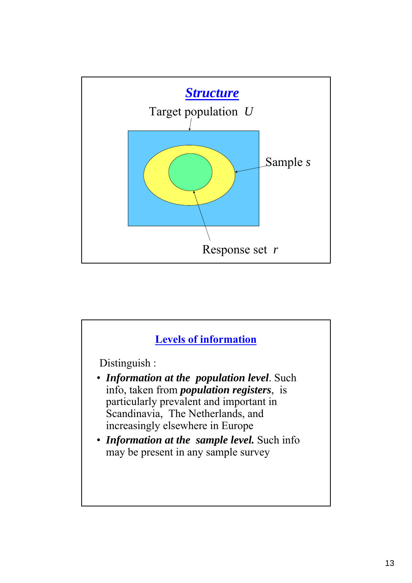

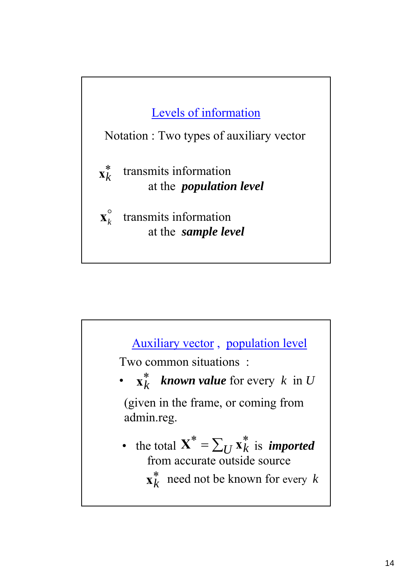

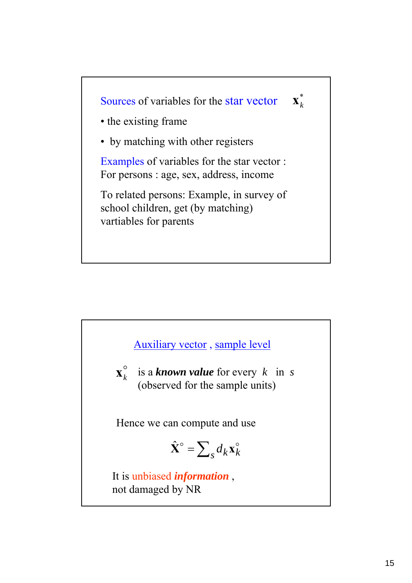

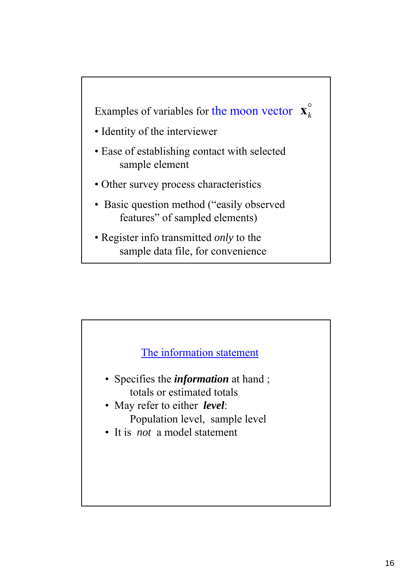

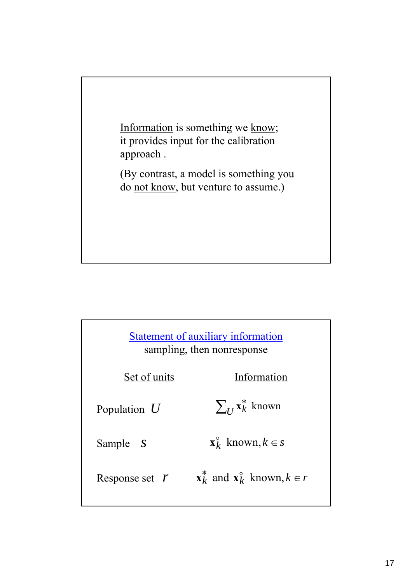

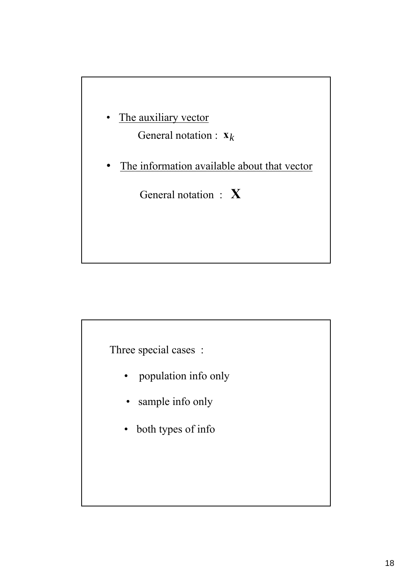

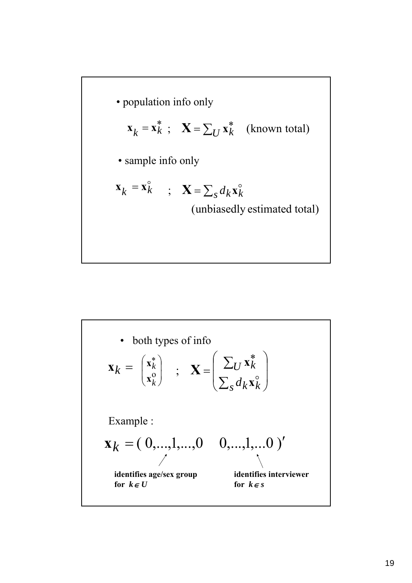

\n- both types of info
\n- \n
$$
\mathbf{x}_{k} = \begin{pmatrix} \mathbf{x}_{k}^{*} \\ \mathbf{x}_{k}^{0} \end{pmatrix} ; \quad \mathbf{X} = \begin{pmatrix} \sum_{U} \mathbf{x}_{k}^{*} \\ \sum_{S} d_{K} \mathbf{x}_{k}^{0} \end{pmatrix}
$$
\n Example:\n 
$$
\mathbf{x}_{k} = (0, \ldots, 1, \ldots, 0 \quad 0, \ldots, 1, \ldots, 0)'
$$
\n identifies age/sec group\n for  $k \in U$ \n
\n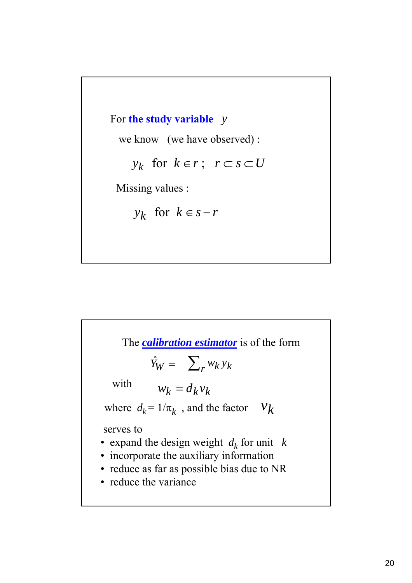

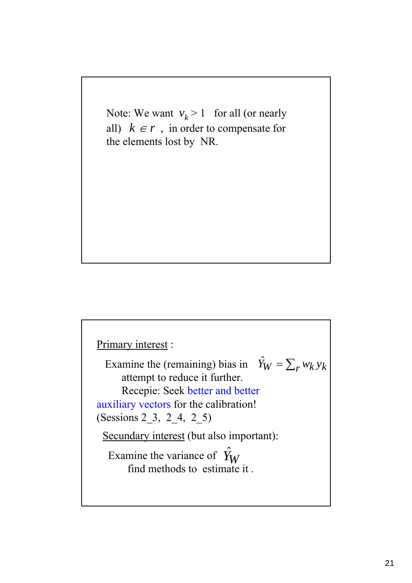Note: We want  $v_k > 1$  for all (or nearly all)  $k \in r$ , in order to compensate for the elements lost by NR.

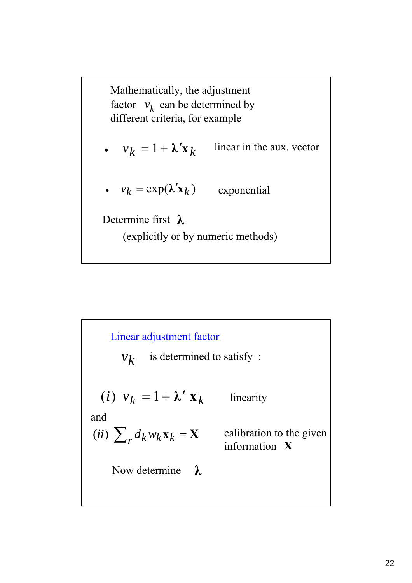Mathematically, the adjustment factor  $v_k$  can be determined by different criteria, for example

- $v_k = 1 + \lambda' \mathbf{x}_k$ linear in the aux. vector
- $v_k = \exp(\lambda' \mathbf{x}_k)$  exponential

Determine first **λ**

(explicitly or by numeric methods)

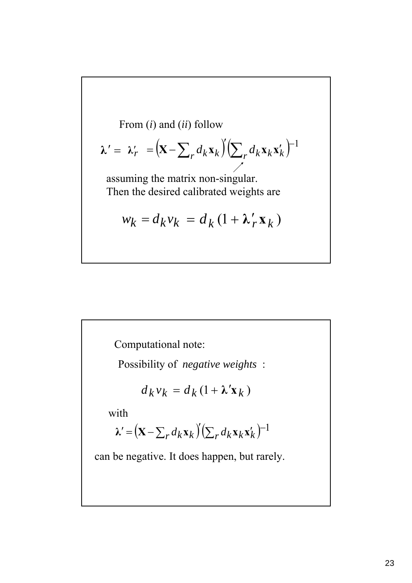From (i) and (ii) follow  
\n
$$
\lambda' = \lambda'_r = \left(\mathbf{X} - \sum_r d_k \mathbf{x}_k\right) \left(\sum_r d_k \mathbf{x}_k \mathbf{x}'_k\right)^{-1}
$$
\nassuming the matrix non-singular.  
\nThen the desired calibrated weights are

$$
w_k = d_k v_k = d_k (1 + \lambda'_r \mathbf{x}_k)
$$

Computational note:

Possibility of *negative weights* :

$$
d_k v_k = d_k (1 + \lambda' \mathbf{x}_k)
$$

with

$$
\lambda' = (\mathbf{X} - \sum_r d_k \mathbf{x}_k)' (\sum_r d_k \mathbf{x}_k \mathbf{x}_k')^{-1}
$$

can be negative. It does happen, but rarely.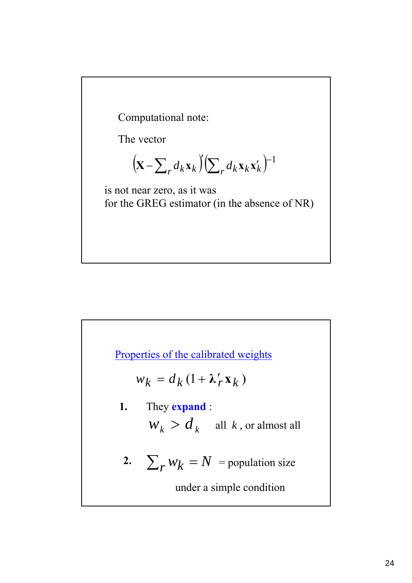Computational note:

The vector

$$
\left(\mathbf{X} - \sum_{r} d_{k} \mathbf{x}_{k}\right) \left(\sum_{r} d_{k} \mathbf{x}_{k} \mathbf{x}'_{k}\right)^{-1}
$$

is not near zero, as it was for the GREG estimator (in the absence of NR)

Properties of the calibrated weights

$$
w_k = d_k (1 + \lambda'_r \mathbf{x}_k)
$$

- $W_k > d_k$  all *k*, or almost all **1.** They **expand** :
- **2.**  $\sum_{r} w_k = N$  = population size

under a simple condition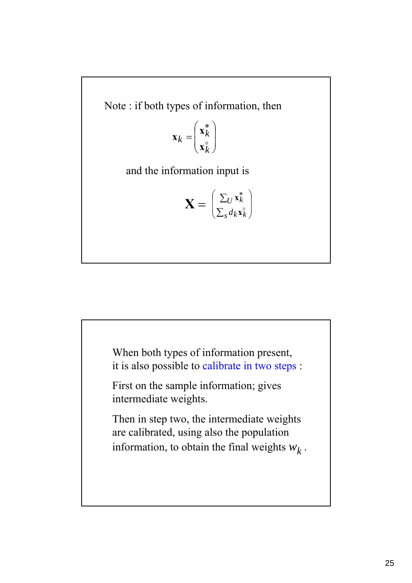Note : if both types of information, then

$$
\mathbf{x}_k = \begin{pmatrix} \mathbf{x}_k^* \\ \mathbf{x}_k^{\circ} \end{pmatrix}
$$

and the information input is

$$
\mathbf{X} = \begin{pmatrix} \sum_{U} \mathbf{x}_k^* \\ \sum_{S} d_k \mathbf{x}_k^{\circ} \end{pmatrix}
$$

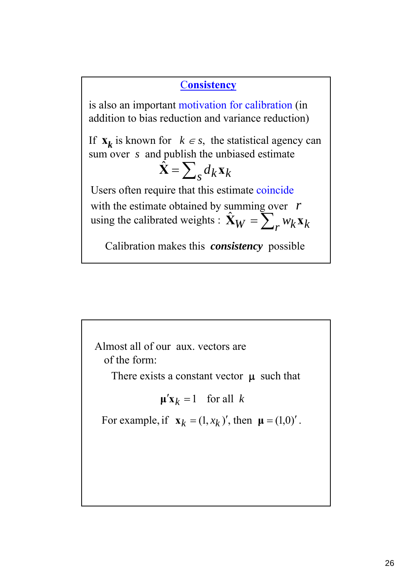## C**onsistency**

is also an important motivation for calibration (in addition to bias reduction and variance reduction)

If  $\mathbf{x}_k$  is known for  $k \in s$ , the statistical agency can sum over *s* and publish the unbiased estimate

$$
\hat{\mathbf{X}} = \sum_{s} d_k \mathbf{x}_k
$$

Users often require that this estimate coincide with the estimate obtained by summing over *r* using the calibrated weights :  $\hat{\mathbf{X}}_W = \sum_r w_k \mathbf{x}_k$ 

Calibration makes this *consistency* possible

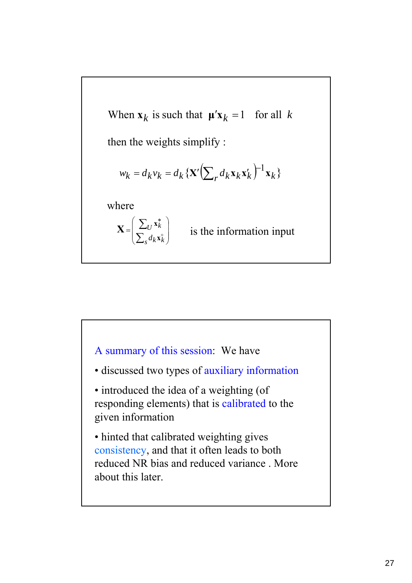

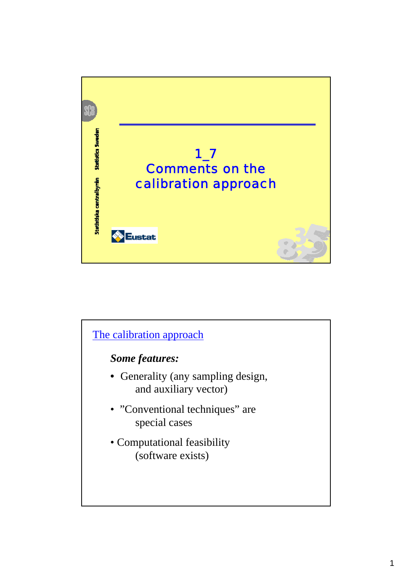

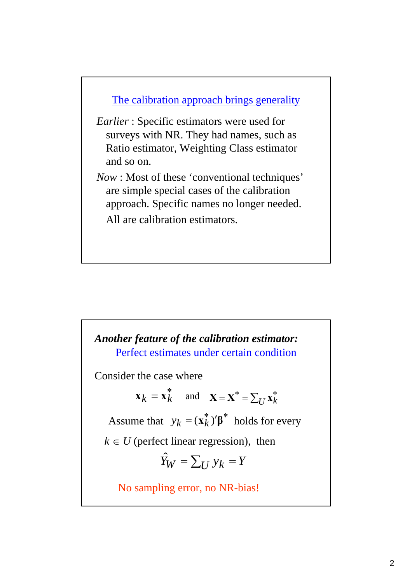

- *Earlier* : Specific estimators were used for surveys with NR. They had names, such as Ratio estimator, Weighting Class estimator and so on.
- *Now* : Most of these 'conventional techniques' are simple special cases of the calibration approach. Specific names no longer needed. All are calibration estimators.

*Another feature of the calibration estimator:* No sampling error, no NR-bias! Assume that  $y_k = (\mathbf{x}_k^*)' \boldsymbol{\beta}^*$  holds for every  $\mathbf{x}_k = \mathbf{x}_k^*$  and  $\mathbf{x} = \mathbf{x}^* = \sum_U \mathbf{x}_k^*$ Consider the case where  $\hat{Y}_W = \sum_U y_k = Y$  $k \in U$  (perfect linear regression), then Perfect estimates under certain condition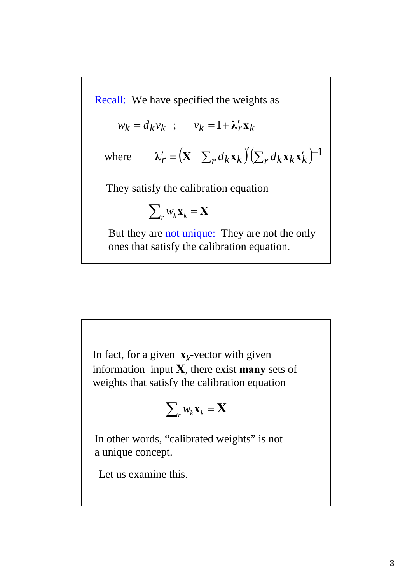Recall: We have specified the weights as

$$
w_k = d_k v_k \quad ; \quad v_k = 1 + \lambda'_r \mathbf{x}_k
$$

where 
$$
\lambda'_{r} = (\mathbf{X} - \sum_{r} d_{k} \mathbf{x}_{k})^{r} (\sum_{r} d_{k} \mathbf{x}_{k} \mathbf{x}'_{k})^{-1}
$$

They satisfy the calibration equation

$$
\sum\nolimits_r w_k \mathbf{x}_k = \mathbf{X}
$$

But they are not unique: They are not the only ones that satisfy the calibration equation.

In fact, for a given  $\mathbf{x}_k$ -vector with given information input **X**, there exist **many** sets of weights that satisfy the calibration equation

$$
\sum\nolimits_r w_k \mathbf{x}_k = \mathbf{X}
$$

In other words, "calibrated weights" is not a unique concept.

Let us examine this.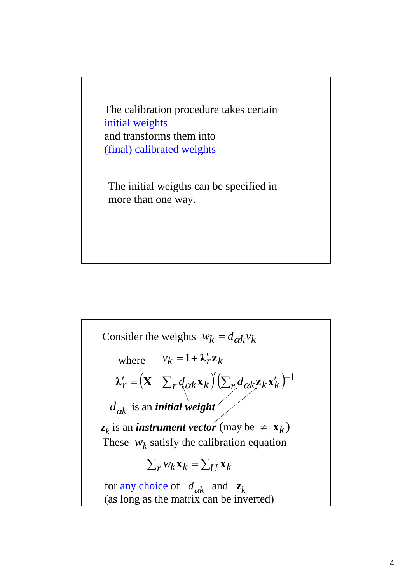The calibration procedure takes certain initial weights and transforms them into (final) calibrated weights

The initial weigths can be specified in more than one way.

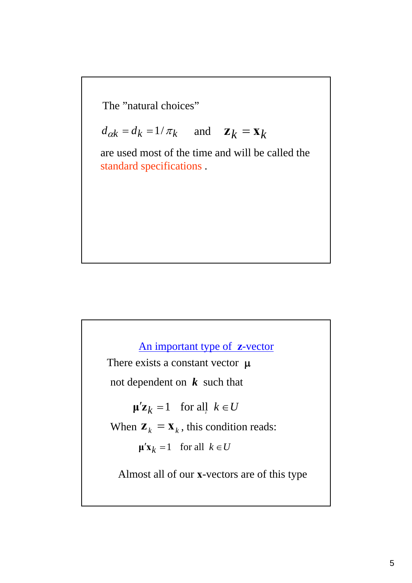The "natural choices"

 $d_{\alpha k} = d_k = 1/\pi_k$  and  $\mathbf{z}_k = \mathbf{x}_k$ 

are used most of the time and will be called the standard specifications .

An important type of **z**-vector There exists a constant vector  $\mu$  $\mu' \mathbf{z}_k = 1$  for all  $k \in U$ not dependent on *k* such that  $\mu'$ **x**<sub>*k*</sub> = 1 for all  $k \in U$ When  $\mathbf{z}_k = \mathbf{x}_k$ , this condition reads: Almost all of our **x**-vectors are of this type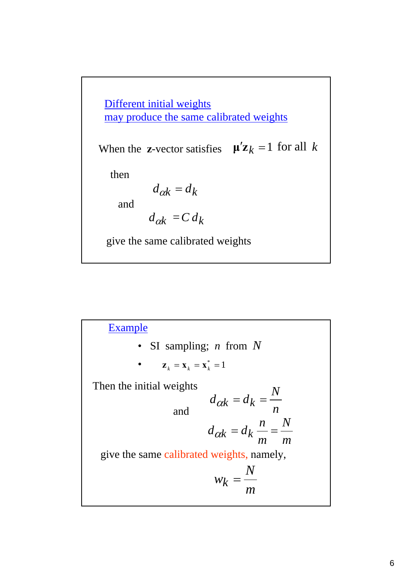$d_{\alpha k} = d_k$  $d_{\alpha k} = C d_k$ and then give the same calibrated weights When the **z**-vector satisfies  $\mu' \mathbf{z}_k = 1$  for all *k* Different initial weights may produce the same calibrated weights

Example • SI sampling; *n* from *N* Then the initial weights and give the same calibrated weights, namely, *m N m*  $d_{\alpha k} = d_k \frac{n}{m}$ *m N*  $w_k =$ *n*  $d_{\alpha k} = d_k = \frac{N}{n}$ •  $z_k = x_k = x_k^* = 1$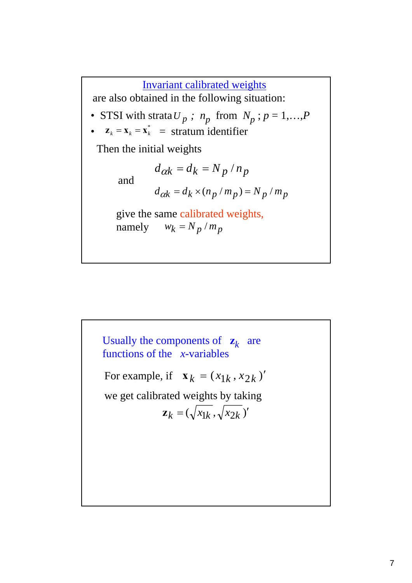## Invariant calibrated weights

are also obtained in the following situation:

- STSI with strata  $U_p$ ;  $n_p$  from  $N_p$ ;  $p = 1,...,P$
- $z_k = x_k = x_k^* = \text{stratum identifier}$

Then the initial weights

 $d_{\alpha k} = d_k = N_p / n_p$ and  $d_{\alpha k} = d_k \times (n_p / m_p) = N_p / m_p$ give the same calibrated weights, namely  $w_k = N_p / m_p$ 

Usually the components of  $\mathbf{z}_k$  are functions of the *x*-variables For example, if  $\mathbf{x}_k = (x_{1k}, x_{2k})'$  $z_k = (\sqrt{x_{1k}}, \sqrt{x_{2k}})'$ we get calibrated weights by taking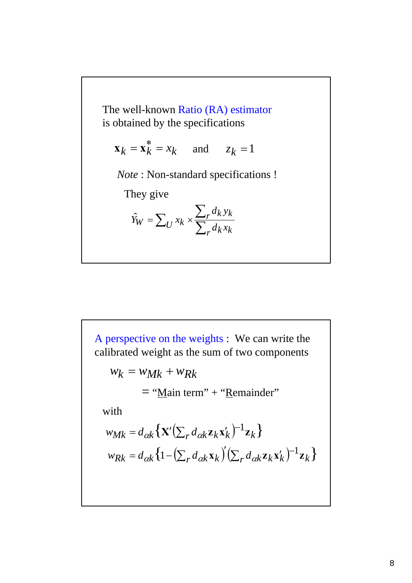The well-known Ratio (RA) estimator is obtained by the specifications

$$
\mathbf{x}_k = \mathbf{x}_k^* = x_k
$$
 and  $z_k = 1$ 

*Note* : Non-standard specifications !

They give

$$
\hat{Y}_W = \sum_U x_k \times \frac{\sum_r d_k y_k}{\sum_r d_k x_k}
$$

A perspective on the weights : We can write the calibrated weight as the sum of two components  ${w_{Mk}} = d_{\alpha k} \left\{ \mathbf{X}'(\sum_r d_{\alpha k} \mathbf{z}_k \mathbf{x}'_k)^{-1} \mathbf{z}_k \right\}$  $w_k = w_{Mk} + w_{Rk}$  ${w_{Rk}} = d_{\alpha k} \left\{ 1 - \left( \sum_r d_{\alpha k} \mathbf{x}_k \right)^r \left( \sum_r d_{\alpha k} \mathbf{z}_k \mathbf{x}'_k \right)^{-1} \mathbf{z}_k \right\}$  $=$  "Main term" + "Remainder" with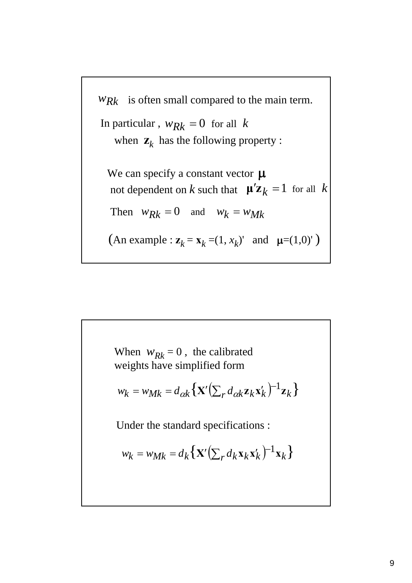

When  $w_{Rk} = 0$ , the calibrated weights have simplified form  ${w_k} = {w_{Mk}} = d_{\alpha k} \left\{ {\bf X}' (\sum_r d_{\alpha k} {\bf z}_k {\bf x}'_k)^{-1} {\bf z}_k \right\}$  $w_k = w_{Mk} = d_k \{ \mathbf{X}' (\sum_r d_k \mathbf{x}_k \mathbf{x}'_k)^{-1} \mathbf{x}_k \}$ Under the standard specifications :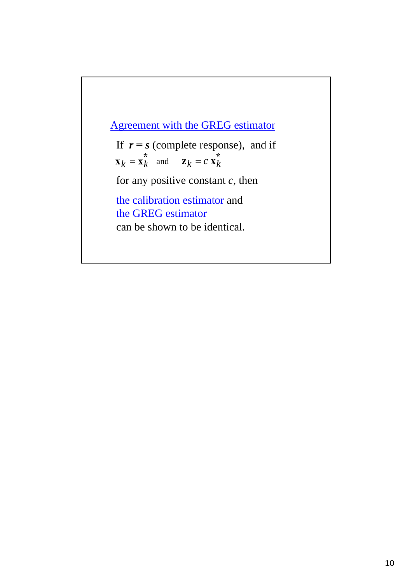If  $r = s$  (complete response), and if  $\mathbf{x}_k = \mathbf{x}_k^*$  and  $\mathbf{z}_k = c \mathbf{x}_k^*$ for any positive constant *c*, then the calibration estimator and the GREG estimator can be shown to be identical. Agreement with the GREG estimator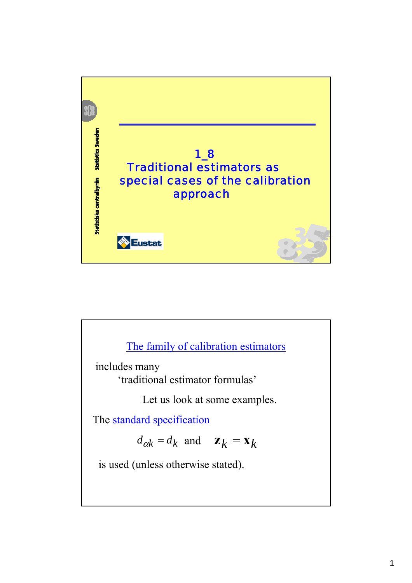

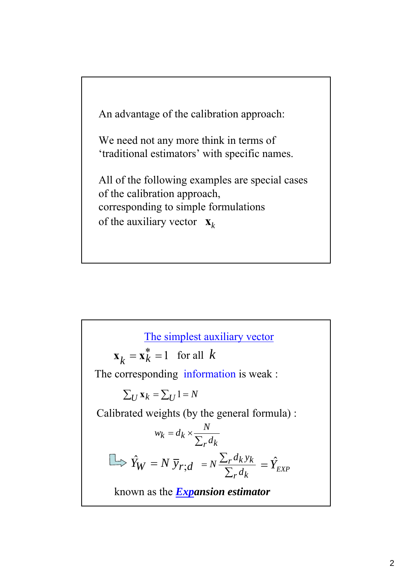

The simplest auxiliary vector  $\hat{Y}_W = N \overline{y}_{r,d} = N \frac{\sum_r}{\sum_{r=1}^{r}}$ *r k*  $r^d$ *k*  $y$ *k d*  $N\frac{\sum_r d_k y_k}{\sum d_r} = \hat{Y}_{EXP}$ known as the *Expansion estimator*  $\mathbf{x}_k = \mathbf{x}_k^* = 1$  for all *k* The corresponding information is weak :  $\sum_{U}$  **x**<sub> $k$ </sub> =  $\sum_{U}$  1 = *N*  $a_k = d_k \times \frac{d}{\sum_r d_k}$ *N*  $w_k = d$ Calibrated weights (by the general formula) :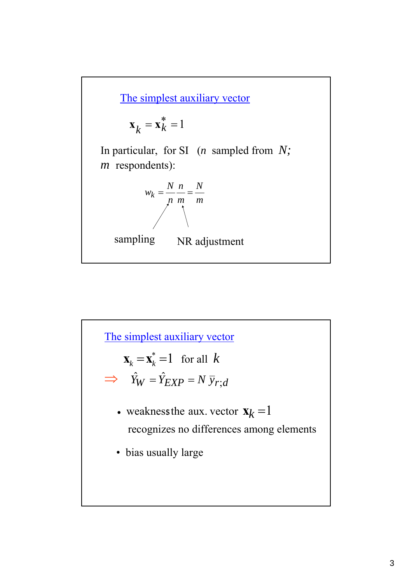

$$
\mathbf{x}_k = \mathbf{x}_k^* = 1
$$

In particular, for SI (*n* sampled from *N; m* respondents):

$$
w_k = \frac{N}{n} \frac{n}{m} = \frac{N}{m}
$$



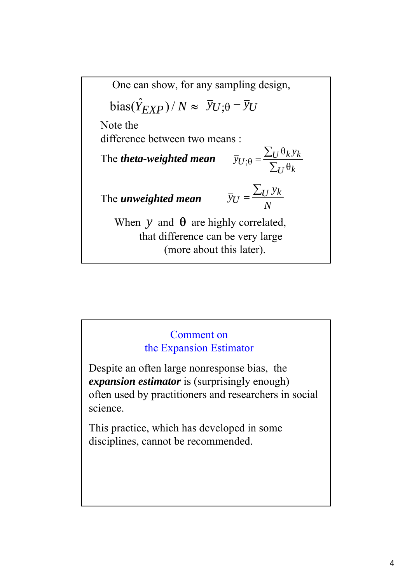$\frac{\partial \hat{y}}{\partial x}$  *bias*( $\hat{Y}_{EXP}$ )/  $N \approx \overline{y}_{U;\theta} - \overline{y}_{U}$ Note the difference between two means : The *theta-weighted mean* The *unweighted mean* ∑  $=\frac{\sum}{}$  $U^{\mathsf{U}}$  $U^{\mathbf{\mathsf{U}}}$ *U y*  $\bar{y}_U$ <sub>;</sub> $\theta = \frac{\sum_{U} \epsilon_K}{\sum_{U} \theta}$ θ ;θ *N*  $\overline{y}_U = \frac{\sum_U y_k}{N}$ When  $y$  and  $\theta$  are highly correlated, that difference can be very large (more about this later). One can show, for any sampling design,

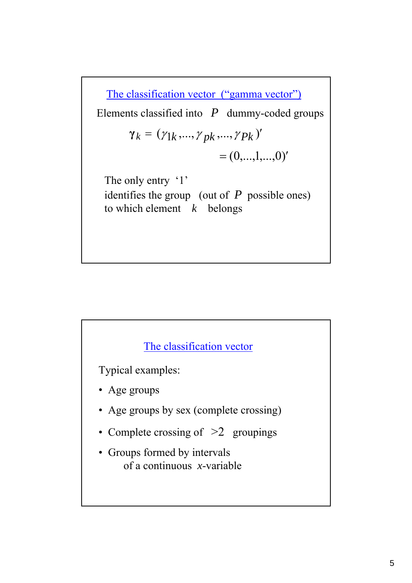$\gamma_k = (\gamma_{1k}, ..., \gamma_{pk}, ..., \gamma_{Pk})'$ The classification vector ("gamma vector")  $=(0,...,1,...,0)'$ The only entry '1' identifies the group (out of *P* possible ones) to which element *k* belongs Elements classified into *P* dummy-coded groups

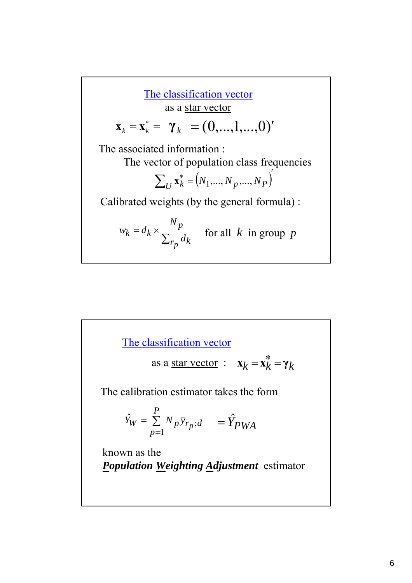**Solution**  
\n**EXECUTE:** 
$$
\mathbf{x}_{k} = \mathbf{x}_{k}^{*} = \gamma_{k} = (0, ..., 1, ..., 0)'
$$
\nThe associated information:  
\nThe vector of population class frequencies  
\n
$$
\sum_{U} \mathbf{x}_{k}^{*} = (N_{1}, ..., N_{p}, ..., N_{P})'
$$
\nCalibrated weights (by the general formula):  
\n
$$
w_{k} = d_{k} \times \frac{N_{p}}{\sum_{T_{p}} d_{k}}
$$
 for all  $k$  in group  $p$ 

Г

The classification vector

as a star vector : 
$$
\mathbf{x}_k = \mathbf{x}_k^* = \gamma_k
$$

The calibration estimator takes the form

$$
\hat{Y}_W = \sum_{p=1}^P N_p \bar{y}_{r_p; d} = \hat{Y}_{PWA}
$$

known as the *Population Weighting Adjustment* estimator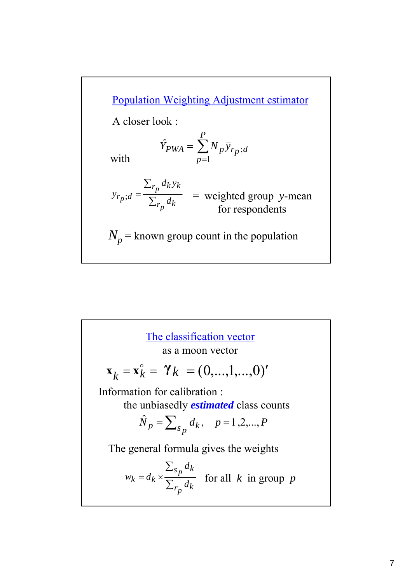

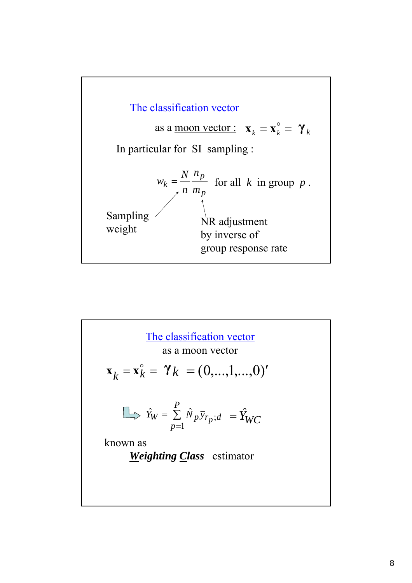

The classification vector  
\nas a moon vector  
\n
$$
\mathbf{x}_{k} = \mathbf{x}_{k}^{\circ} = \gamma_{k} = (0,...,1,...,0)^{r}
$$
\n
$$
\implies \hat{Y}_{W} = \sum_{p=1}^{P} \hat{N}_{p} \bar{y}_{r_{p};d} = \hat{Y}_{WC}
$$
\nknown as  
\nWeighting Class estimator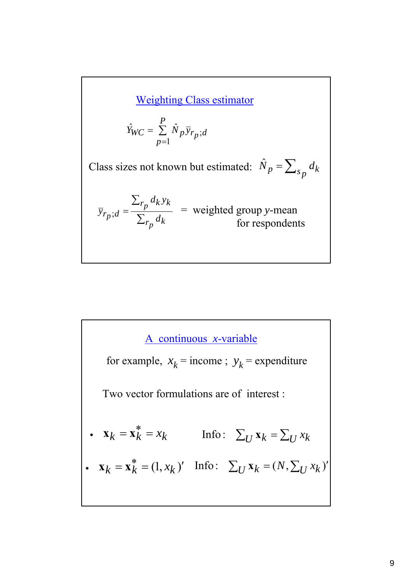Weighting Class estimator

$$
\hat{Y}_{WC} = \sum_{p=1}^{P} \hat{N}_p \bar{y}_{r_p; d}
$$

Class sizes not known but estimated:  $\hat{N}_p = \sum_{s_p} d_k$ 

$$
\overline{y}_{r_p;d} = \frac{\sum_{r_p} d_k y_k}{\sum_{r_p} d_k} = \text{weighted group } y\text{-mean} \text{ for respondents}
$$

## A continuous *x*-variable for example,  $x_k$  = income;  $y_k$  = expenditure

Two vector formulations are of interest :

• 
$$
\mathbf{x}_k = \mathbf{x}_k^* = x_k
$$
 Info:  $\sum_U \mathbf{x}_k = \sum_U x_k$   
\n•  $\mathbf{x}_k = \mathbf{x}_k^* = (1, x_k)'$  Info:  $\sum_U \mathbf{x}_k = (N, \sum_U x_k)'$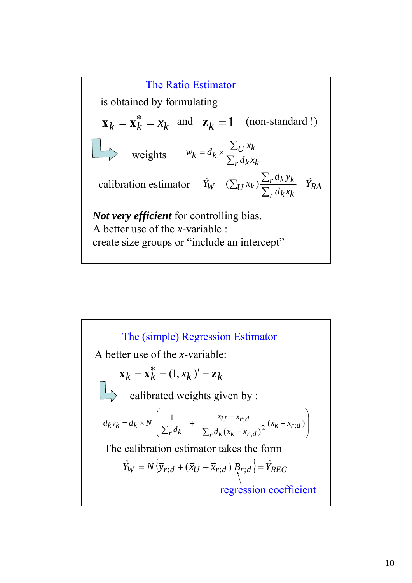*RA*  $r^d$ *k*  $x_k$ *calibration estimator*  $\hat{Y}_W = (\sum_U x_k) \frac{\sum_r d_k y_k}{\sum_r d_k x_k} = \hat{Y}_K$  $\mathbf{x}_k = \mathbf{x}_k^* = x_k$  and  $\mathbf{z}_k = 1$ is obtained by formulating *Not very efficient* for controlling bias. A better use of the *x*-variable : create size groups or "include an intercept" The Ratio Estimator ∑  $=d_k \times \frac{\sum}{\sum}$  $r^d k^x k$ *U k*  $k = d_k \times \frac{d}{\sum_{r} d_k x}$ *x* weights  $w_k = d$ (non-standard !)

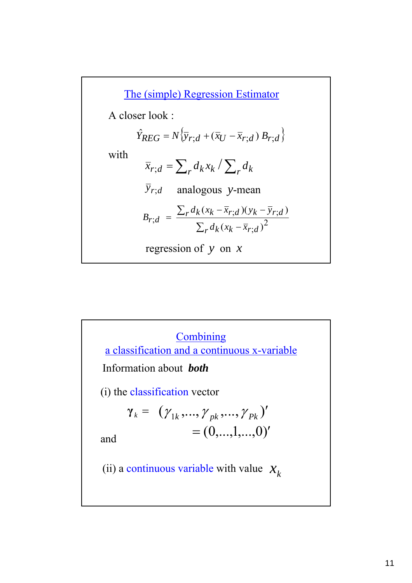$\bar{x}_{r,d} = \sum_r d_k x_k / \sum_r d_k$  $\hat{Y}_{REG} = N\{\overline{y}_{r;d} + (\overline{x}_U - \overline{x}_{r;d}) B_{r;d}\}$  $\bar{y}_{r,d}$  analogous *y*-mean ∑ ∑ −  $=\frac{\sum_{r} d_k (x_k - \bar{x}_{r,d})(y_k - \bar{x}_{r,d})}{2}$  $r^d k$   $(x_k - x_{r,d})$  $r^d k (x_k - x_{r,d}) (y_k - y_{r,d})$ *r d*  $B_{r,d} = \frac{\sum_{r} d_k (x_k - \bar{x}_{r,d})(y_k - \bar{y})}{\sum_{r} d_k (x_k - \bar{x}_{r,d})^2}$ ;  $; d)(y_k - y_r;$  $d = \frac{1}{\sum_{r} d_k (x_k - \overline{x}_{r \cdot d})}$  $(x_k - \overline{x}_{r \cdot d}) (y_k - \overline{y}_{r \cdot d})$ with A closer look : The (simple) Regression Estimator regression of *y* on *x*

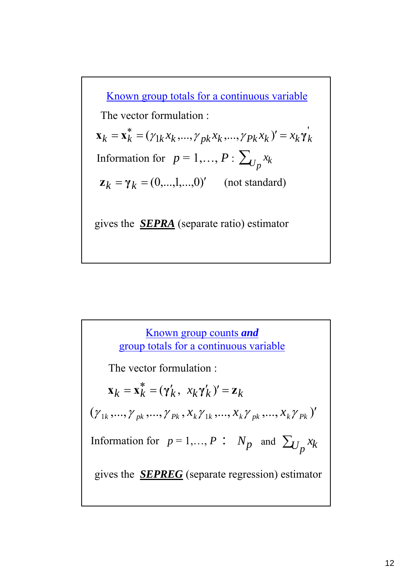$\mathbf{x}_k = \mathbf{x}_k^* = (\gamma_{1k} x_k, ..., \gamma_{pk} x_k, ..., \gamma_{Pk} x_k)' = x_k \mathbf{y}_k'$  $\gamma_{1k}x_{k},...,\gamma_{pk}x_{k},...,\gamma$ Known group totals for a continuous variable gives the *SEPRA* (separate ratio) estimator Information for  $p = 1,..., P: \sum_{U_p} x_k$  $z_k = \gamma_k = (0, ..., 1, ..., 0)'$  *(not standard)* The vector formulation :

 $(\gamma_{1k}, ..., \gamma_{pk}, ..., \gamma_{Pk}, x_k \gamma_{1k}, ..., x_k \gamma_{pk}, ..., x_k \gamma_{Pk})'$ Known group counts *and* group totals for a continuous variable  $\mathbf{x}_k = \mathbf{x}_k^* = (\gamma'_k, x_k \gamma'_k)' = \mathbf{z}_k$ Information for  $p = 1, ..., P$  :  $N_p$  and  $\sum_{U_p} x_k$ The vector formulation : gives the *SEPREG* (separate regression) estimator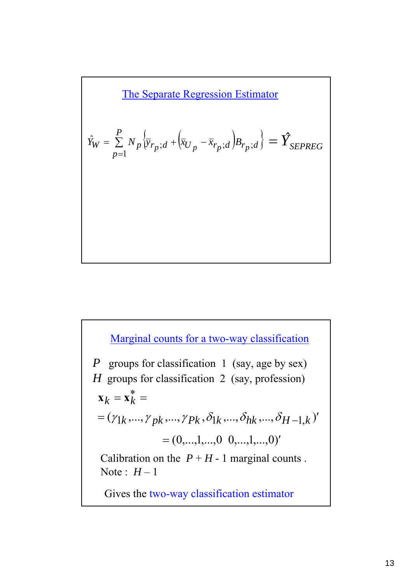The Separate Regression Estimator

$$
\hat{Y}_W = \sum_{p=1}^P N_p \left\{ \overline{y}_{r_p;d} + \left( \overline{x}_{U_p} - \overline{x}_{r_p;d} \right) B_{r_p;d} \right\} = \hat{Y}_{SEPREG}
$$

**Marginal counts for a two-way classification**

\n*P* groups for classification 1 (say, age by sex)

\n*H* groups for classification 2 (say, profession)

\n**x**<sub>k</sub> = **x**<sup>\*</sup><sub>k</sub> =

\n
$$
= (\gamma_{1k}, ..., \gamma_{pk}, ..., \gamma_{Pk}, \delta_{1k}, ..., \delta_{hk}, ..., \delta_{H-1,k})'
$$

\n
$$
= (0, ..., 1, ..., 0, 0, ..., 1, ..., 0)'
$$

\nCalibration on the *P* + *H* - 1 marginal counts. Note: *H* − 1

\nGive the two-way classification estimator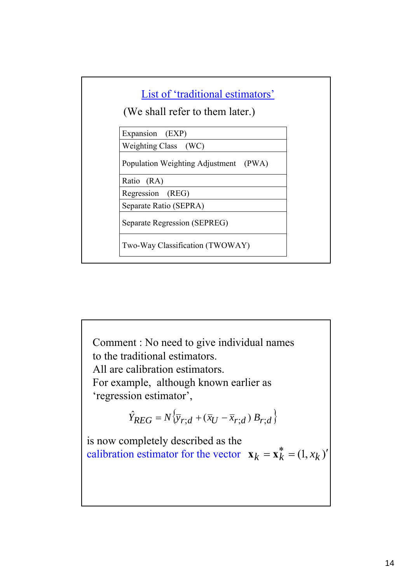

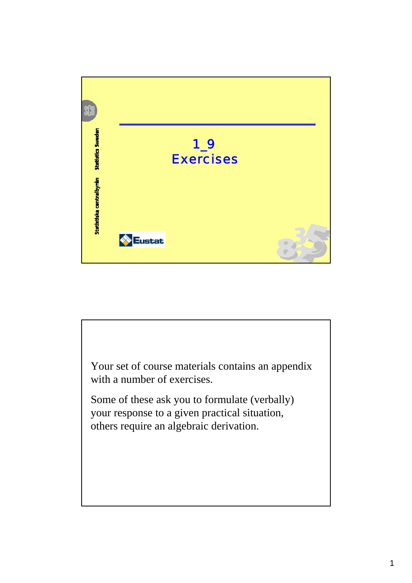

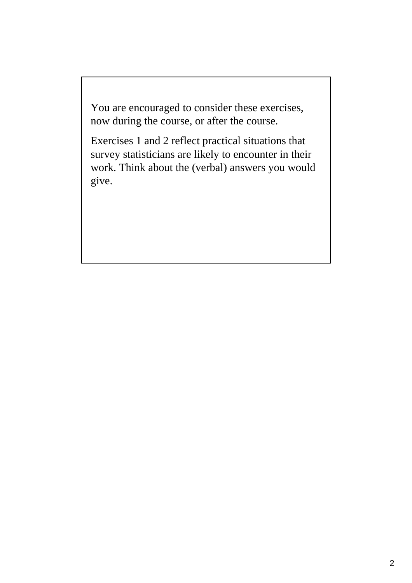You are encouraged to consider these exercises, now during the course, or after the course.

Exercises 1 and 2 reflect practical situations that survey statisticians are likely to encounter in their work. Think about the (verbal) answers you would give.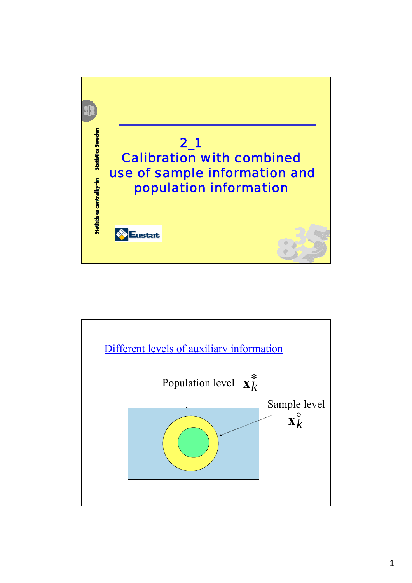

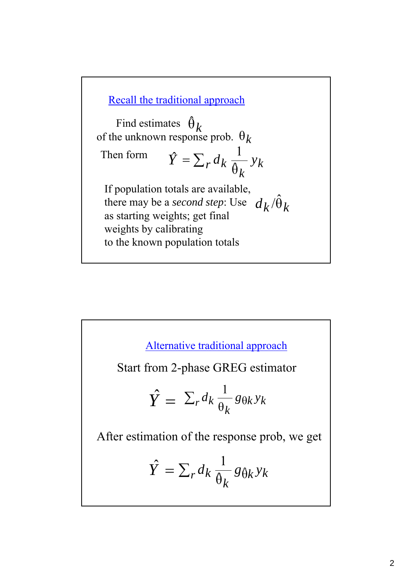Recall the traditional approach

Find estimates  $\hat{\theta}_k$ of the unknown response prob.  $\theta_k$ 

 $\hat{Y} = \sum_r d_k \frac{1}{\hat{\theta}_r} y_k$  $d_k \frac{1}{\hat{\theta}_k} y$ 1 Then form

If population totals are available, there may be a *second step*: Use  $d_k/\hat{\theta}_k$ as starting weights; get final weights by calibrating to the known population totals

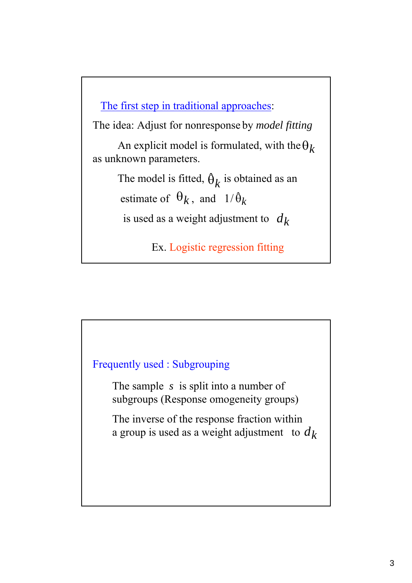The first step in traditional approaches:

The idea: Adjust for nonresponse by *model fitting*

An explicit model is formulated, with the  $\theta_k$ as unknown parameters.

> The model is fitted,  $\hat{\theta}_k$  is obtained as an estimate of  $\theta_k$ , and  $1/\hat{\theta}_k$

is used as a weight adjustment to  $d_k$ 

Ex. Logistic regression fitting

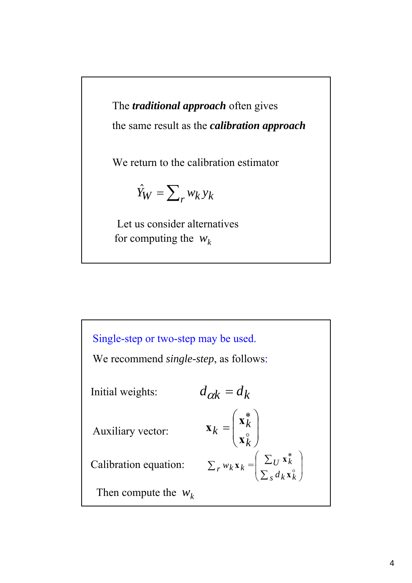The *traditional approach* often gives the same result as the *calibration approach*

We return to the calibration estimator

$$
\hat{Y}_W = \sum_{r} w_k y_k
$$

Let us consider alternatives for computing the  $w_k$ 

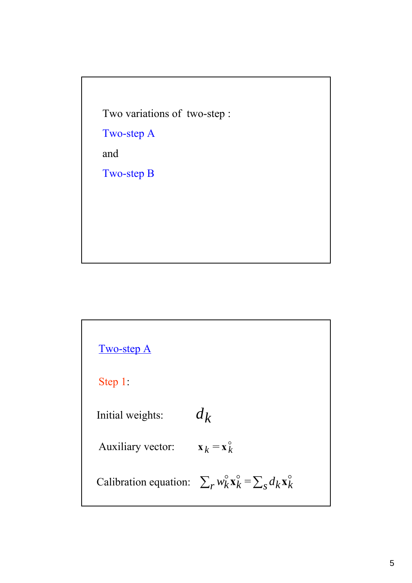Two variations of two-step :

Two-step A

and

Two-step B

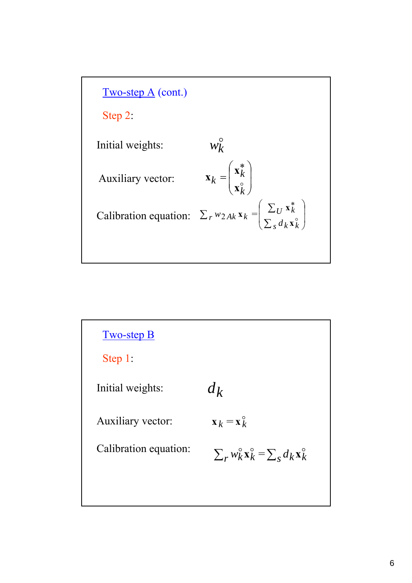

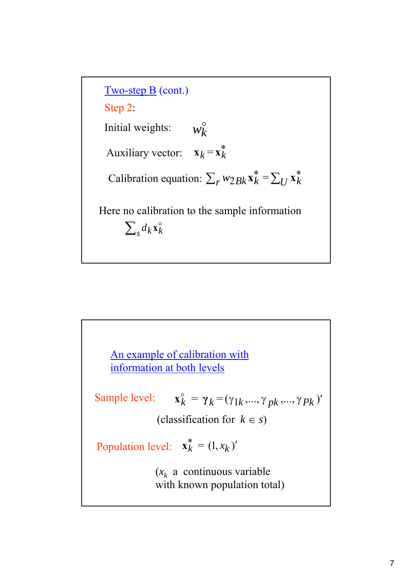Two-step B (cont.) Step 2: Initial weights: Auxiliary vector: Calibration equation:  $\sum_{r} w_{2Bk} \mathbf{x}_{k}^{*} = \sum_{U} \mathbf{x}_{k}^{*}$ o *wk*  $\mathbf{x}_k = \mathbf{x}_k^*$ Here no calibration to the sample information  $\sum_{s} d_k \mathbf{x}_k^{\circ}$ 

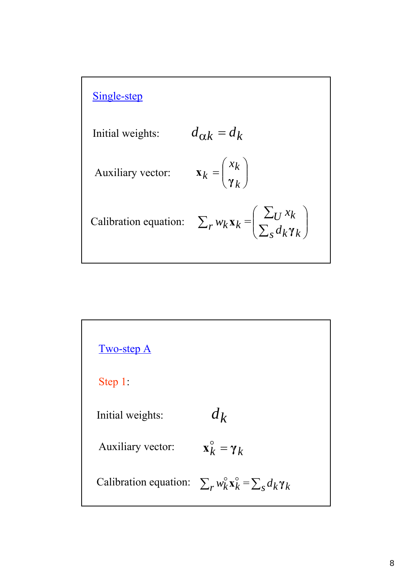

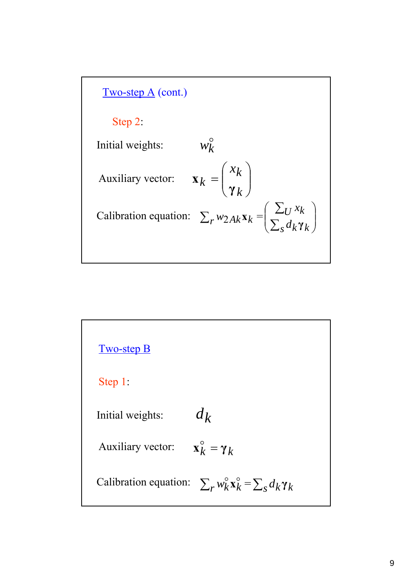

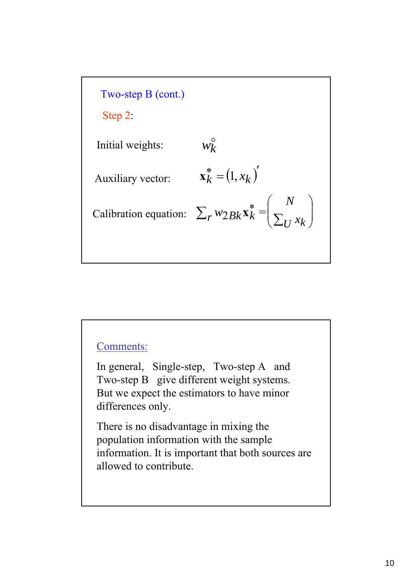

#### Comments:

In general, Single-step, Two-step A and Two-step B give different weight systems. But we expect the estimators to have minor differences only.

There is no disadvantage in mixing the population information with the sample information. It is important that both sources are allowed to contribute.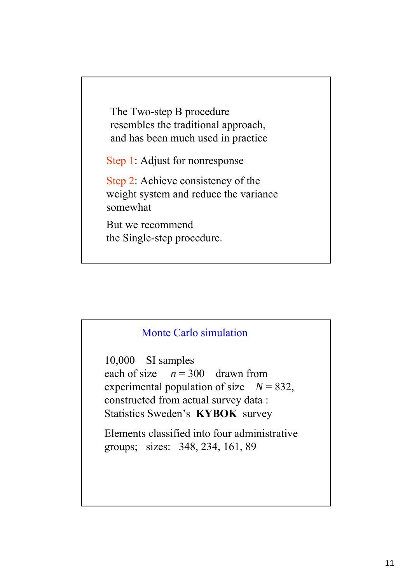The Two-step B procedure resembles the traditional approach, and has been much used in practice

Step 1: Adjust for nonresponse

Step 2: Achieve consistency of the weight system and reduce the variance somewhat

But we recommend the Single-step procedure.

### Monte Carlo simulation

10,000 SI samples each of size  $n = 300$  drawn from experimental population of size  $N = 832$ , constructed from actual survey data : Statistics Sweden's **KYBOK** survey

Elements classified into four administrative groups; sizes: 348, 234, 161, 89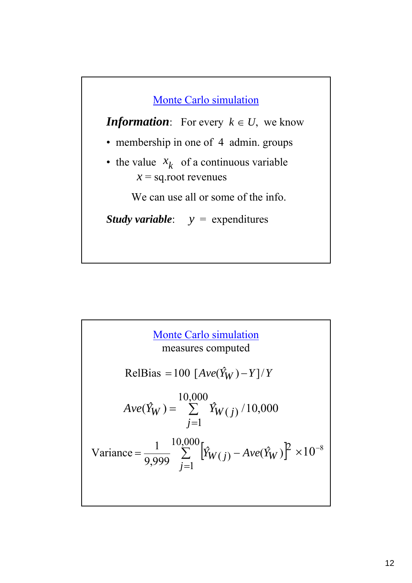

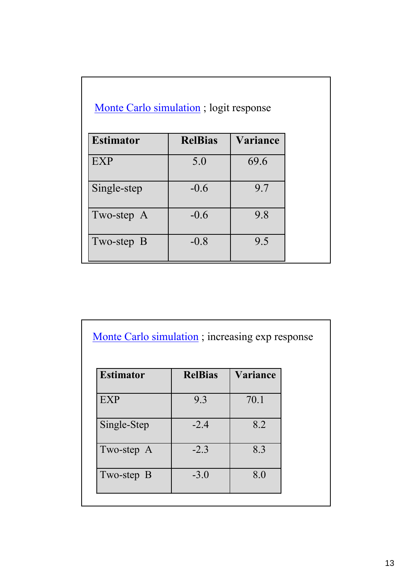| Monte Carlo simulation; logit response |                |                 |  |  |
|----------------------------------------|----------------|-----------------|--|--|
| <b>Estimator</b>                       | <b>RelBias</b> | <b>Variance</b> |  |  |
| <b>EXP</b>                             | 5.0            | 69.6            |  |  |
| Single-step                            | $-0.6$         | 9.7             |  |  |
| Two-step A                             | $-0.6$         | 9.8             |  |  |
| Two-step B                             | $-0.8$         | 9.5             |  |  |

|  | Monte Carlo simulation; increasing exp response |
|--|-------------------------------------------------|

| <b>Estimator</b> | <b>RelBias</b> | <b>Variance</b> |
|------------------|----------------|-----------------|
| <b>EXP</b>       | 9.3            | 70.1            |
| Single-Step      | $-2.4$         | 8.2             |
| Two-step A       | $-2.3$         | 8.3             |
| Two-step B       | $-3.0$         | 8.0             |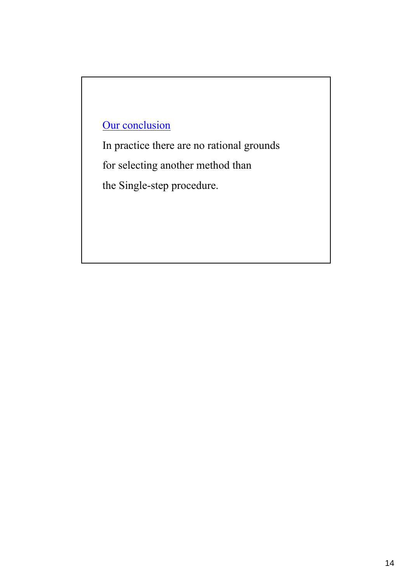# Our conclusion

In practice there are no rational grounds

for selecting another method than

the Single-step procedure.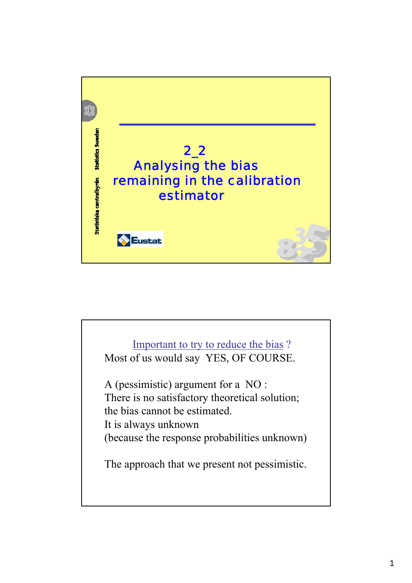

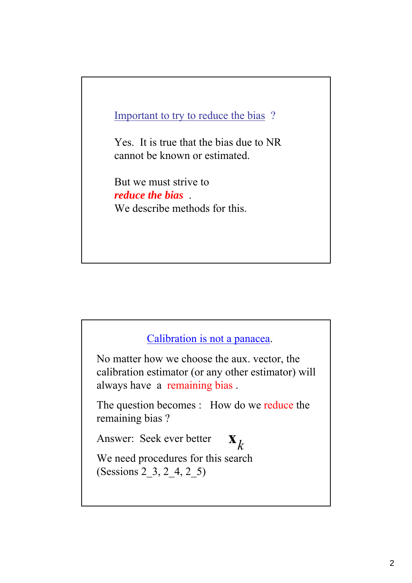## Important to try to reduce the bias ?

Yes. It is true that the bias due to NR cannot be known or estimated.

But we must strive to *reduce the bias* . We describe methods for this.



No matter how we choose the aux. vector, the calibration estimator (or any other estimator) will always have a remaining bias .

The question becomes : How do we reduce the remaining bias ?

Answer: Seek ever better

*k* **x**

We need procedures for this search (Sessions 2\_3, 2\_4, 2\_5)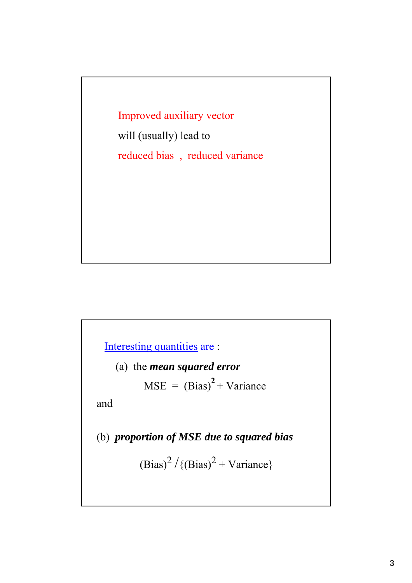Improved auxiliary vector

will (usually) lead to reduced bias , reduced variance

Interesting quantities are :

(a) the *mean squared error*

 $MSE = (Bias)^{2} + Variance$ 

and

(b) *proportion of MSE due to squared bias*

 $(Bias)^2 / {(Bias)^2 + Variance}$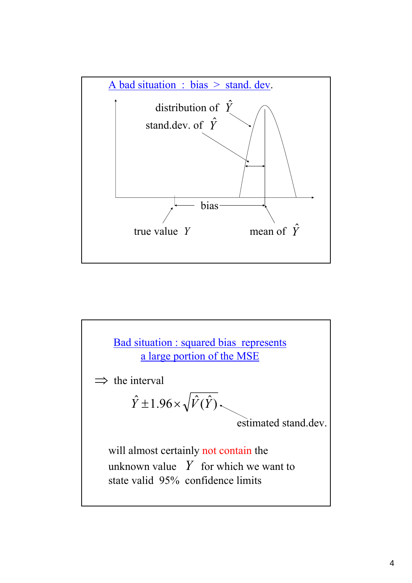

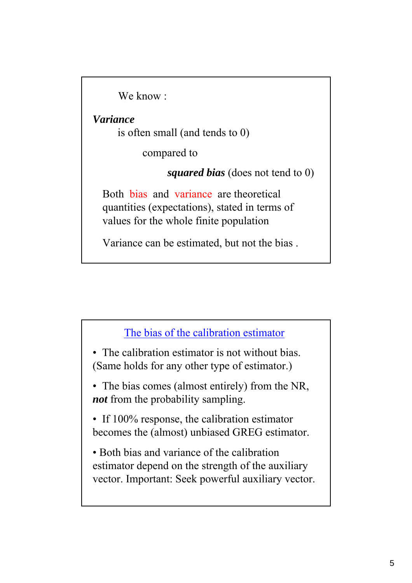We know ·

*Variance* 

is often small (and tends to 0)

compared to

*squared bias* (does not tend to 0)

Both bias and variance are theoretical quantities (expectations), stated in terms of values for the whole finite population

Variance can be estimated, but not the bias .

## The bias of the calibration estimator

• The calibration estimator is not without bias. (Same holds for any other type of estimator.)

• The bias comes (almost entirely) from the NR, *not* from the probability sampling.

• If 100% response, the calibration estimator becomes the (almost) unbiased GREG estimator.

• Both bias and variance of the calibration estimator depend on the strength of the auxiliary vector. Important: Seek powerful auxiliary vector.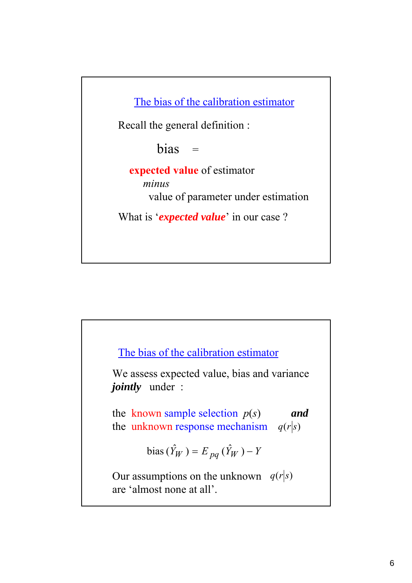The bias of the calibration estimator

Recall the general definition :

 $bias =$ 

**expected value** of estimator *minus* value of parameter under estimation

What is '*expected value*' in our case ?

The bias of the calibration estimator

We assess expected value, bias and variance *jointly* under :

the known sample selection  $p(s)$  *and* the unknown response mechanism  $q(r|s)$ 

bias 
$$
(\hat{Y}_W)
$$
 =  $E_{pq}(\hat{Y}_W)$  - Y

Our assumptions on the unknown  $q(r|s)$ are 'almost none at all'.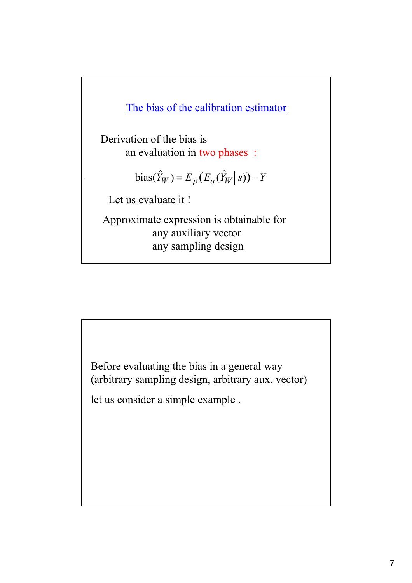

Derivation of the bias is an evaluation in two phases :

$$
bias(\hat{Y}_W) = E_p(E_q(\hat{Y}_W | s)) - Y
$$

Let us evaluate it !

Approximate expression is obtainable for any auxiliary vector any sampling design

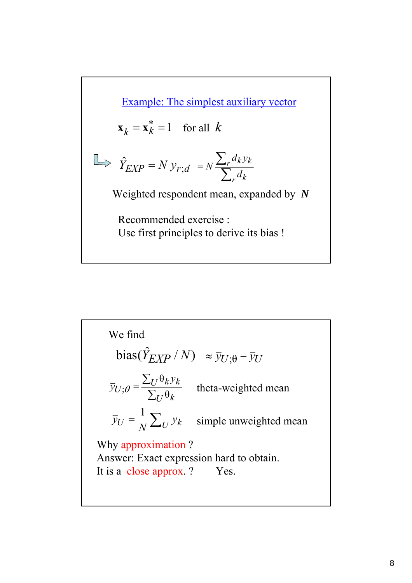Example: The simplest auxiliary vector  $\mathbf{x}_k = \mathbf{x}_k^* = 1$  for all *k* 

$$
\Box \Rightarrow \hat{Y}_{EXP} = N \, \overline{y}_{r;d} = N \frac{\sum_{r} d_k y_k}{\sum_{r} d_k}
$$

Weighted respondent mean, expanded by *N*

Recommended exercise : Use first principles to derive its bias !

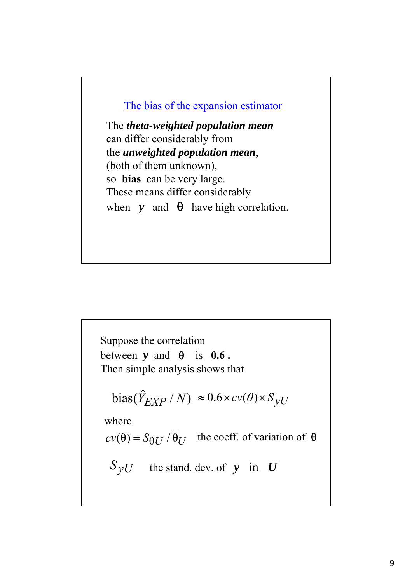### The bias of the expansion estimator

The *theta-weighted population mean* can differ considerably from the *unweighted population mean*, (both of them unknown), so **bias** can be very large. These means differ considerably when  $y$  and  $\theta$  have high correlation.

 $bias(\hat{Y}_{EXP}/N) \approx 0.6 \times cv(\theta) \times S_{VU}$ where  $cv(\theta) = S_{\theta U} / \overline{\theta}_U$  the coeff. of variation of  $\theta$  $S_yU$  the stand. dev. of *y* in *U* Suppose the correlation between  $v$  and  $\theta$  is  $0.6$ . Then simple analysis shows that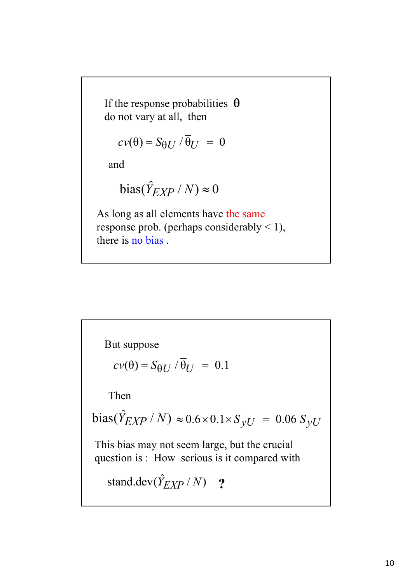If the response probabilities  $\theta$ do not vary at all, then

$$
cv(\theta) = S_{\theta U} / \overline{\theta}_U = 0
$$

and

bias(
$$
\hat{Y}_{EXP} / N
$$
)  $\approx 0$ 

As long as all elements have the same response prob. (perhaps considerably  $\leq$  1), there is no bias .

But suppose  
\n
$$
cv(\theta) = S_{\theta U} / \overline{\theta}_U = 0.1
$$
\nThen  
\nbias( $\hat{Y}_{EXP} / N$ )  $\approx 0.6 \times 0.1 \times S_{yU} = 0.06 S_{yU}$   
\nThis bias may not seem large, but the crucial  
\nquestion is : How serious is it compared with  
\nstand.dev( $\hat{Y}_{EXP} / N$ ) ?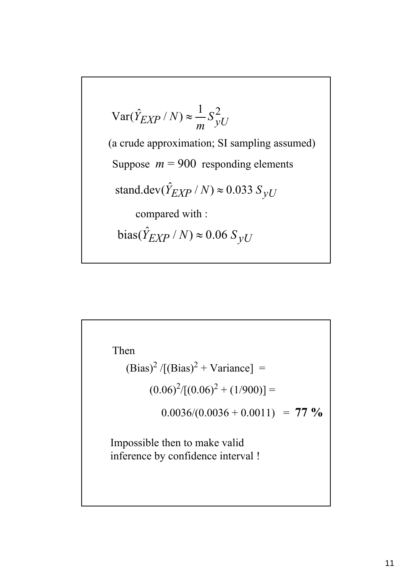$$
Var(\hat{Y}_{EXP} / N) \approx \frac{1}{m} S_{yU}^{2}
$$
  
(a crude approximation; SI sampling assumed)  
Suppose  $m = 900$  responding elements  
stand.dev( $\hat{Y}_{EXP} / N$ )  $\approx 0.033 S_{yU}$   
compared with :  
bias( $\hat{Y}_{EXP} / N$ )  $\approx 0.06 S_{yU}$ 

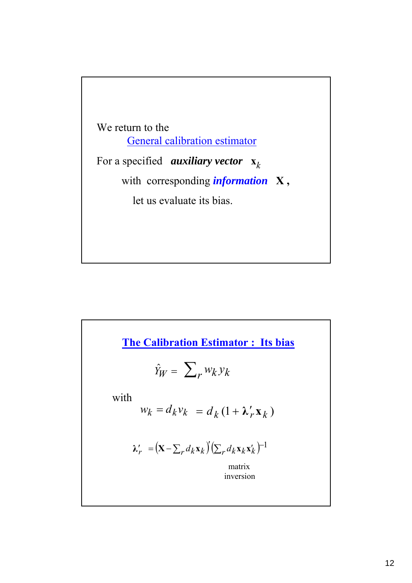

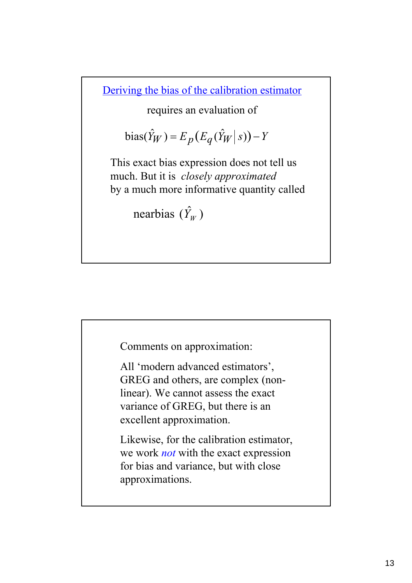Deriving the bias of the calibration estimator

requires an evaluation of

bias
$$
(\hat{Y}_W)
$$
 =  $E_p(E_q(\hat{Y}_W | s)) - Y$ 

This exact bias expression does not tell us much. But it is *closely approximated* by a much more informative quantity called

nearbias  $(\hat{Y}_W)$ 

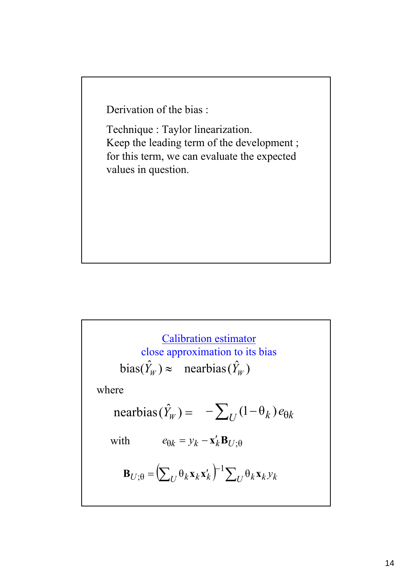Derivation of the bias :

Technique : Taylor linearization. Keep the leading term of the development ; for this term, we can evaluate the expected values in question.

 $bias(\hat{Y}_W) \approx$  nearbias( $\hat{Y}_W$ )  $\text{nearbias}(\hat{Y}_W) = -\sum_U (1 - \theta_k) e_{\theta k}$  $e_{\theta k} = y_k - \mathbf{x}'_k \mathbf{B}_{U;\theta}$  $\mathbf{B}_{U;\theta} = \left(\sum_{U} \theta_k \mathbf{x}_k \mathbf{x}_k'\right)^{-1} \sum_{U} \theta_k \mathbf{x}_k y_k$ ;θ where Calibration estimator close approximation to its bias with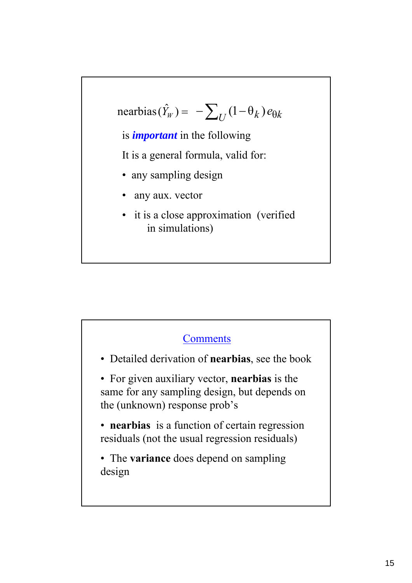$$
\text{nearbias}(\hat{Y}_W) = -\sum_U (1 - \theta_k) e_{\theta k}
$$

is *important* in the following

It is a general formula, valid for:

- any sampling design
- any aux. vector
- it is a close approximation (verified in simulations)

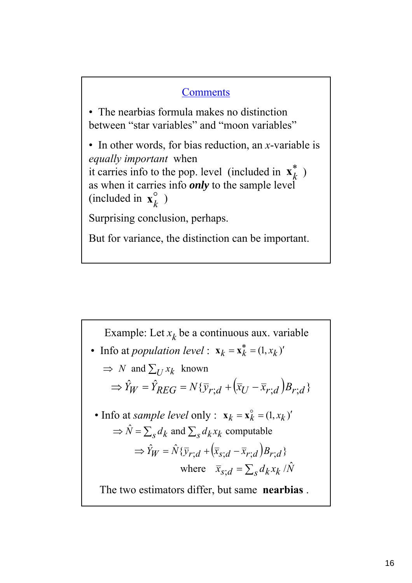## **Comments**

• The nearbias formula makes no distinction between "star variables" and "moon variables"

• In other words, for bias reduction, an *x*-variable is *equally important* when it carries info to the pop. level (included in  $\mathbf{x}_{k}^{*}$ ) as when it carries info *only* to the sample level (included in  $\mathbf{x}_k^{\circ}$ )

Surprising conclusion, perhaps.

But for variance, the distinction can be important.

 $\Rightarrow \hat{Y}_W = \hat{Y}_{REG} = N\{\bar{y}_{r:d} + (\bar{x}_U - \bar{x}_{r:d})B_{r:d}\}$ Example: Let  $x_k$  be a continuous aux. variable  $\Rightarrow \hat{Y}_W = \hat{N} \{ \bar{y}_r \cdot d + (\bar{x}_s \cdot d - \bar{x}_r \cdot d) B_r \cdot d \}$ where  $\bar{x}_{s:d} = \sum_{s} d_k x_k / \hat{N}$  $\Rightarrow$  *N* and  $\sum_{I} x_k$  known  $\Rightarrow \hat{N} = \sum_{s} d_k$  and  $\sum_{s} d_k x_k$  computable • Info at *population level* :  $\mathbf{x}_k = \mathbf{x}_k^* = (1, x_k)'$ • Info at *sample level* only :  $\mathbf{x}_k = \mathbf{x}_k^{\circ} = (1, x_k)'$ The two estimators differ, but same **nearbias** .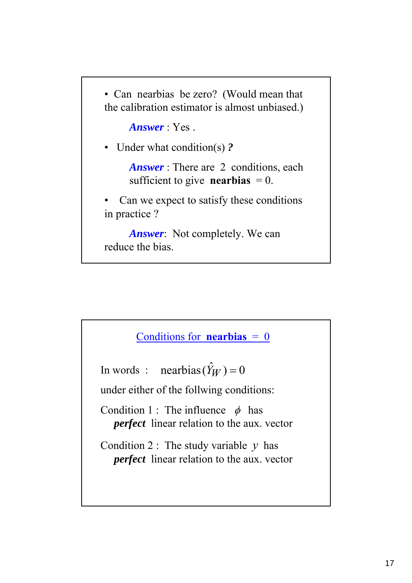• Can nearbias be zero? (Would mean that the calibration estimator is almost unbiased.)

*Answer* : Yes .

• Under what condition(s) *?*

*Answer* : There are 2 conditions, each sufficient to give **nearbias**  $= 0$ .

Can we expect to satisfy these conditions in practice ?

*Answer*: Not completely. We can reduce the bias.

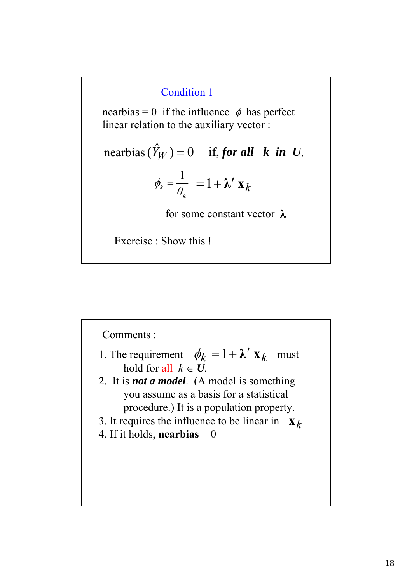## Condition 1

nearbias = 0 if the influence  $\phi$  has perfect linear relation to the auxiliary vector :

nearbias 
$$
(\hat{Y}_W)
$$
 = 0 if, **for all k in U**,  
\n
$$
\phi_k = \frac{1}{\theta_k} = 1 + \lambda' \mathbf{X}_k
$$
\nfor some constant vector λ

Exercise : Show this !

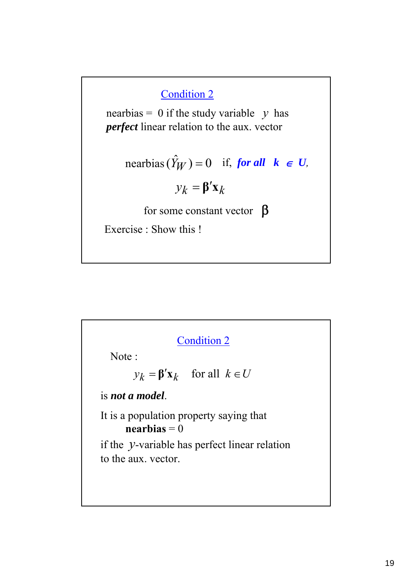## Condition 2

nearbias = 0 if the study variable  $y$  has *perfect* linear relation to the aux. vector

nearbias 
$$
(\hat{Y}_W)
$$
 = 0 if, ***for all***  $k \in U$ ,  
 $y_k = \beta' \mathbf{x}_k$ 

for some constant vector  $\beta$ 

Exercise : Show this !

# Condition 2

Note :

 $y_k = \beta' \mathbf{x}_k$  for all  $k \in U$ 

is *not a model*.

It is a population property saying that  $$ 

if the *y*-variable has perfect linear relation to the aux. vector.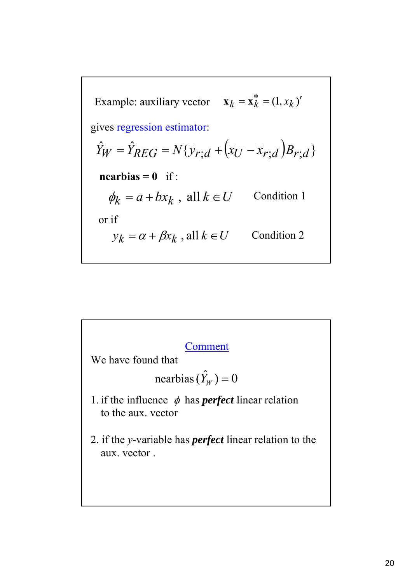Example: auxiliary vector 
$$
\mathbf{x}_k = \mathbf{x}_k^* = (1, x_k)'
$$
  
\ngives regression estimator:  
\n $\hat{Y}_W = \hat{Y}_{REG} = N\{\overline{y}_{r;d} + (\overline{x}_U - \overline{x}_{r;d})B_{r;d}\}$   
\n**nearbias = 0** if:  
\n $\phi_k = a + bx_k$ , all  $k \in U$  Condition 1  
\nor if  
\n $y_k = \alpha + \beta x_k$ , all  $k \in U$  Condition 2



We have found that

$$
nearbias(\hat{Y}_W) = 0
$$

- 1. if the influence  $\phi$  has *perfect* linear relation to the aux. vector
- 2. if the *y*-variable has *perfect* linear relation to the aux. vector .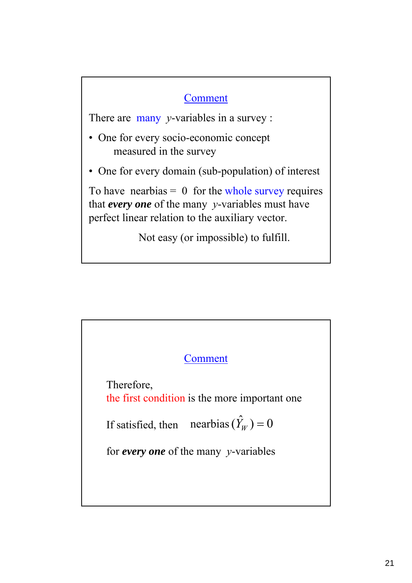# Comment

There are many *y*-variables in a survey :

- One for every socio-economic concept measured in the survey
- One for every domain (sub-population) of interest

To have nearbias  $= 0$  for the whole survey requires that *every one* of the many *y*-variables must have perfect linear relation to the auxiliary vector.

Not easy (or impossible) to fulfill.

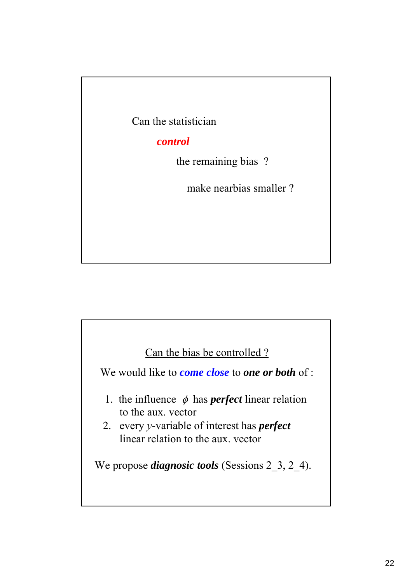Can the statistician

### *control*

the remaining bias ?

make nearbias smaller ?

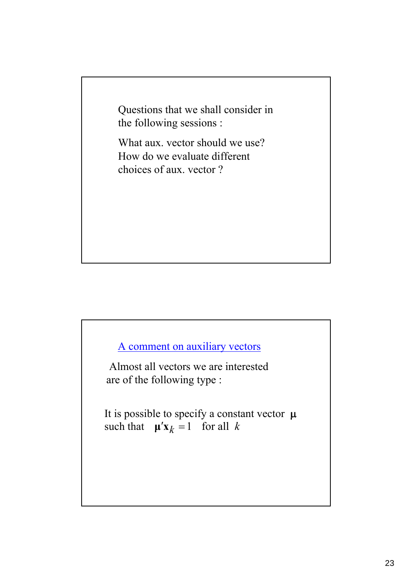Questions that we shall consider in the following sessions :

What aux. vector should we use? How do we evaluate different choices of aux. vector ?

# A comment on auxiliary vectors

Almost all vectors we are interested are of the following type :

It is possible to specify a constant vector  $\mu$ such that  $\mu' \mathbf{x}_k = 1$  for all k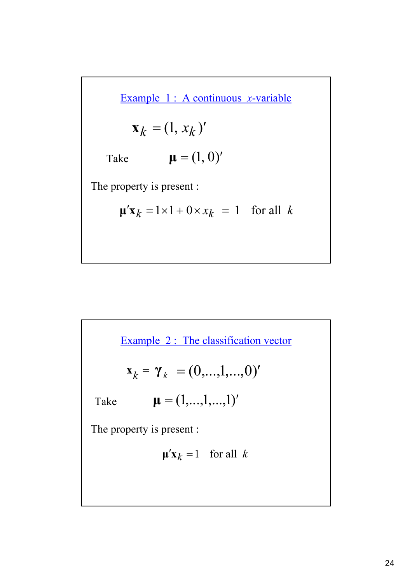Example 1 : A continuous *x*-variable

$$
\mathbf{x}_k = (1, x_k)'
$$

Take  $\mu = (1, 0)'$ 

The property is present :

$$
\mathbf{\mu}' \mathbf{x}_k = 1 \times 1 + 0 \times x_k = 1 \quad \text{for all } k
$$

Example 2 : The classification vector

$$
\mathbf{x}_k = \mathbf{y}_k = (0, \dots, 1, \dots, 0)'
$$

Take  $\mu = (1,...,1,...,1)'$ 

The property is present :

$$
\mathbf{\mu}' \mathbf{x}_k = 1 \quad \text{for all } k
$$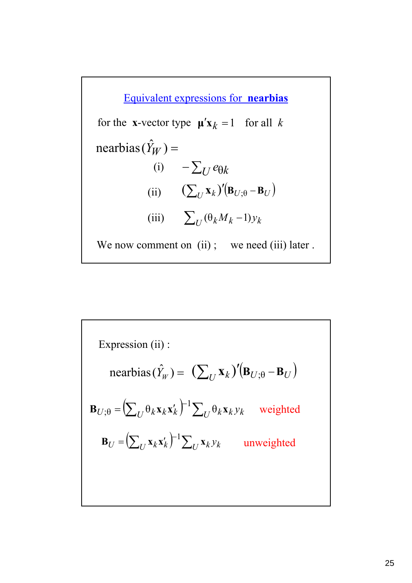$(i)$  −  $\sum_U e_{\theta k}$  $\mathrm{nearbias}(\hat{Y}_W) =$ Equivalent expressions for **nearbias** (ii)  $(\sum_{U} \mathbf{x}_{k})' (\mathbf{B}_{U;\theta} - \mathbf{B}_{U})$ (iii)  $\sum_{U} (\theta_k M_k - 1) y_k$ We now comment on (ii); we need (iii) later. for the **x**-vector type  $\boldsymbol{\mu}'\mathbf{x}_k = 1$  for all k

Expression (ii):  
\nnearbias 
$$
(\hat{Y}_W) = (\sum_U \mathbf{x}_k)'(\mathbf{B}_{U;\theta} - \mathbf{B}_U)
$$
  
\n
$$
\mathbf{B}_{U;\theta} = (\sum_U \theta_k \mathbf{x}_k \mathbf{x}_k')^{-1} \sum_U \theta_k \mathbf{x}_k y_k \text{ weighted}
$$
\n
$$
\mathbf{B}_U = (\sum_U \mathbf{x}_k \mathbf{x}_k')^{-1} \sum_U \mathbf{x}_k y_k \text{ unweighted}
$$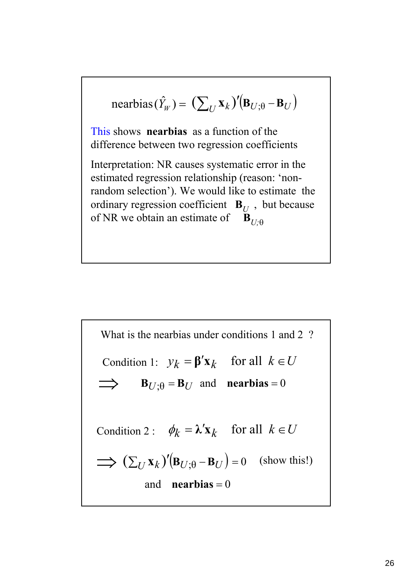nearbias 
$$
(\hat{Y}_W)
$$
 =  $(\sum_U \mathbf{x}_k)'(\mathbf{B}_{U;\theta} - \mathbf{B}_U)$   
This shows **nearbias** as a function of the  
difference between two regression coefficients  
Interpretation: NR causes systematic error in the  
estimated regression relationship (reason: 'non-  
random selection'). We would like to estimate the  
ordinary regression coefficient  $\mathbf{B}_U$ , but because  
of NR we obtain an estimate of  $\mathbf{B}_{U;\theta}$ 

What is the nearbias under conditions 1 and 2 ?  
\nCondition 1: 
$$
y_k = \beta' \mathbf{x}_k
$$
 for all  $k \in U$   
\n $\implies \mathbf{B}_{U;\theta} = \mathbf{B}_U$  and **nearbias** = 0  
\nCondition 2:  $\phi_k = \lambda' \mathbf{x}_k$  for all  $k \in U$   
\n $\implies (\sum_U \mathbf{x}_k)'(\mathbf{B}_{U;\theta} - \mathbf{B}_U) = 0$  (show this!)  
\nand **nearbias** = 0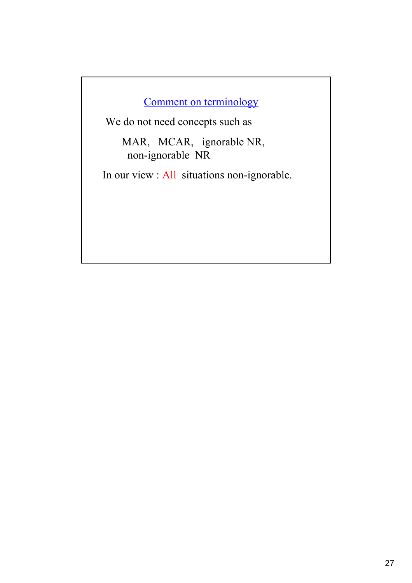# Comment on terminology

We do not need concepts such as

MAR, MCAR, ignorable NR, non-ignorable NR

In our view : All situations non-ignorable.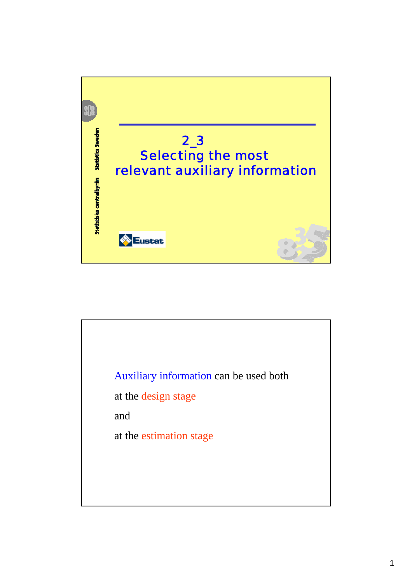

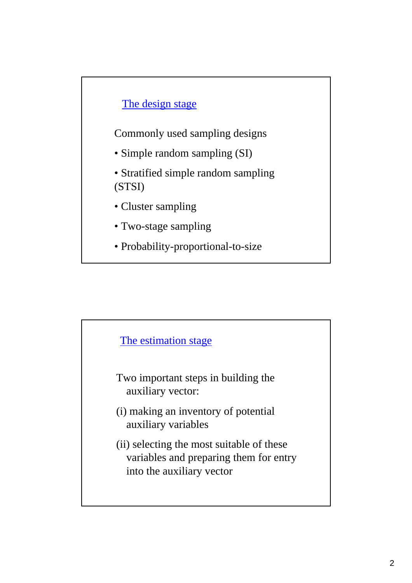# The design stage

Commonly used sampling designs

- Simple random sampling (SI)
- Stratified simple random sampling (STSI)
- Cluster sampling
- Two-stage sampling
- Probability-proportional-to-size

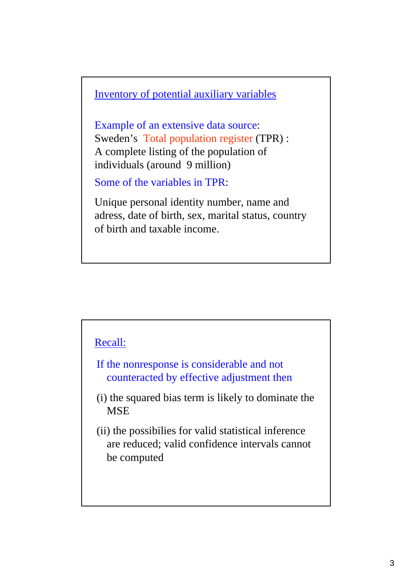Inventory of potential auxiliary variables

Example of an extensive data source: Sweden's Total population register (TPR) : A complete listing of the population of individuals (around 9 million)

Some of the variables in TPR:

Unique personal identity number, name and adress, date of birth, sex, marital status, country of birth and taxable income.

#### Recall:

- If the nonresponse is considerable and not counteracted by effective adjustment then
- (i) the squared bias term is likely to dominate the **MSE**
- (ii) the possibilies for valid statistical inference are reduced; valid confidence intervals cannot be computed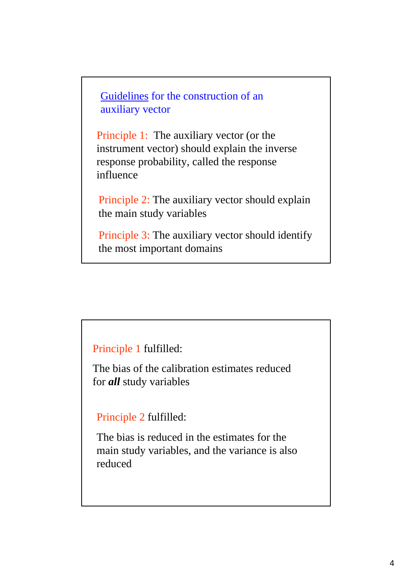Guidelines for the construction of an auxiliary vector

Principle 1: The auxiliary vector (or the instrument vector) should explain the inverse response probability, called the response influence

Principle 2: The auxiliary vector should explain the main study variables

Principle 3: The auxiliary vector should identify the most important domains

Principle 1 fulfilled:

The bias of the calibration estimates reduced for *all* study variables

Principle 2 fulfilled:

The bias is reduced in the estimates for the main study variables, and the variance is also reduced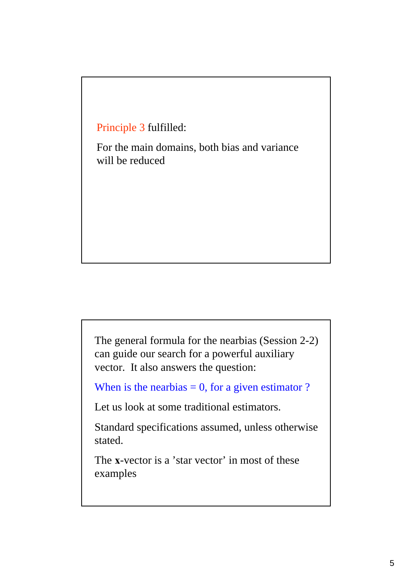Principle 3 fulfilled:

For the main domains, both bias and variance will be reduced

The general formula for the nearbias (Session 2-2) can guide our search for a powerful auxiliary vector. It also answers the question:

When is the nearbias  $= 0$ , for a given estimator ?

Let us look at some traditional estimators.

Standard specifications assumed, unless otherwise stated.

The **x**-vector is a 'star vector' in most of these examples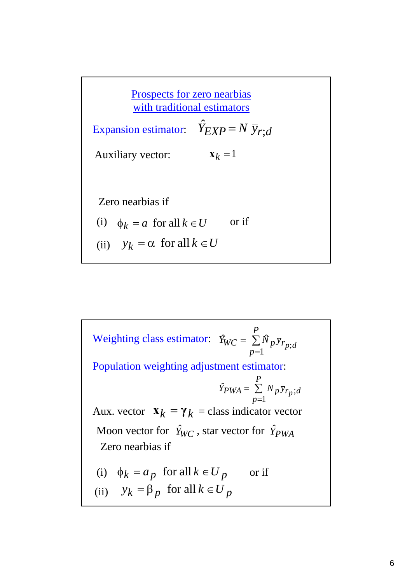Prospects for zero nearbias with traditional estimators Expansion estimator:  $\hat{Y}_{EXP} = N \bar{y}_{r,d}$ Auxiliary vector: (i)  $\phi_k = a$  for all  $k \in U$  or if Zero nearbias if  $\mathbf{x}_k = 1$ (ii)  $y_k = \alpha$  for all  $k \in U$ 

Weighting class estimator:  $\hat{Y}_{WC} = \sum_{i} \hat{N}_{p} \bar{y}_{r_{p}}$ Aux. vector  $\mathbf{x}_k = \gamma_k = \text{class indicator vector}$ Zero nearbias if Population weighting adjustment estimator: (i)  $\phi_k = a_p$  for all  $k \in U_p$  or if ∑ =  $=\frac{P}{\sum}$ *p*  $\hat{Y}_{PWA} = \sum_{i} N_{p} \bar{y}_{r_{p}}$ ;*d* 1  $\hat{P}_{PWA} = \sum N_p \bar{y}_{r_p};$ *P*  $\hat{Y}_{WC} = \sum_{p=1} \hat{N}_p \bar{y}_{r_p;}$ = = (ii)  $y_k = \beta_p$  for all  $k \in U_p$ Moon vector for  $\hat{Y}_{WC}$ , star vector for  $\hat{Y}_{PWA}$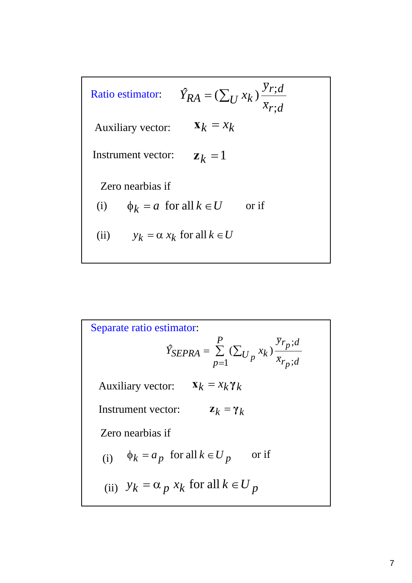

Separate ratio estimator:  
\n
$$
\hat{Y}_{SEPRA} = \sum_{p=1}^{P} (\sum_{U_p} x_k) \frac{\bar{y}_{r_p;d}}{\bar{x}_{r_p;d}}
$$
\nAuxiliary vector:  $\mathbf{x}_k = x_k \gamma_k$ 

\nInstrument vector:  $\mathbf{z}_k = \gamma_k$ 

\nZero nearby is  $\mathbf{z}_k = \mathbf{z}_k \mathbf{z}_k$ 

\n(i)  $\phi_k = a_p$  for all  $k \in U_p$  or if

\n(ii)  $y_k = \alpha_p x_k$  for all  $k \in U_p$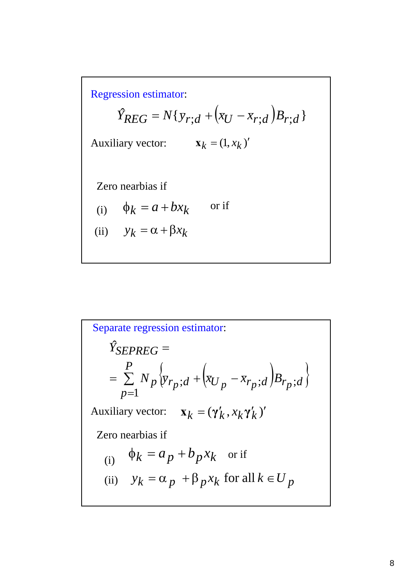Regression estimator:

$$
\hat{Y}_{REG} = N\{\bar{y}_{r;d} + (\bar{x}_U - \bar{x}_{r;d})B_{r;d}\}
$$
  
Auxiliary vector:  $\mathbf{x}_k = (1, x_k)'$   
Zero nearbias if  
(i)  $\phi_k = a + bx_k$  or if  
(ii)  $y_k = \alpha + \beta x_k$ 

Separate regression estimator:  
\n
$$
\hat{Y}_{SEPREG} =
$$
\n
$$
= \sum_{p=1}^{P} N_p \{ \bar{y}_{r_p}; d + (\bar{x}_{U_p} - \bar{x}_{r_p}; d) B_{r_p}; d \}
$$
\n
$$
\text{Auxiliary vector:} \quad \mathbf{x}_k = (\gamma'_k, x_k \gamma'_k)'
$$
\n
$$
\text{Zero nearbias if}
$$
\n(i) 
$$
\phi_k = a_p + b_p x_k \quad \text{or if}
$$
\n(ii) 
$$
y_k = \alpha_p + \beta_p x_k \quad \text{for all } k \in U_p
$$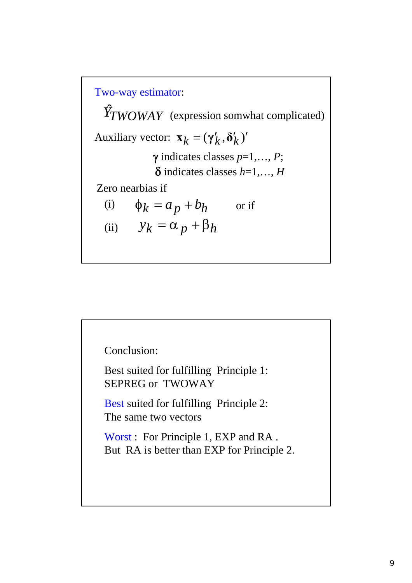Two-way estimator: Auxiliary vector:  $\mathbf{x}_k = (\gamma'_k, \delta'_k)'$ Zero nearbias if  $\phi_k = a_p + b_h$  or if  $\hat{Y}_T WOWAY$  (expression somwhat complicated) (i) (ii)  $y_k = \alpha_p + \beta_h$ γ indicates classes *p*=1,…, *P*; δ indicates classes *h*=1,…, *H*

Conclusion:

Best suited for fulfilling Principle 1: SEPREG or TWOWAY

Best suited for fulfilling Principle 2: The same two vectors

Worst : For Principle 1, EXP and RA . But RA is better than EXP for Principle 2.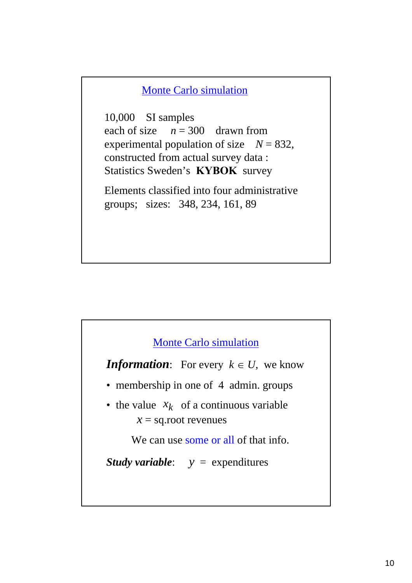#### Monte Carlo simulation

10,000 SI samples each of size  $n = 300$  drawn from experimental population of size  $N = 832$ , constructed from actual survey data : Statistics Sweden's **KYBOK** survey

Elements classified into four administrative groups; sizes: 348, 234, 161, 89



*Information*: For every  $k \in U$ , we know

- membership in one of 4 admin. groups
- the value  $x_k$  of a continuous variable  $x =$ sq.root revenues

We can use some or all of that info.

*Study variable*: *y* = expenditures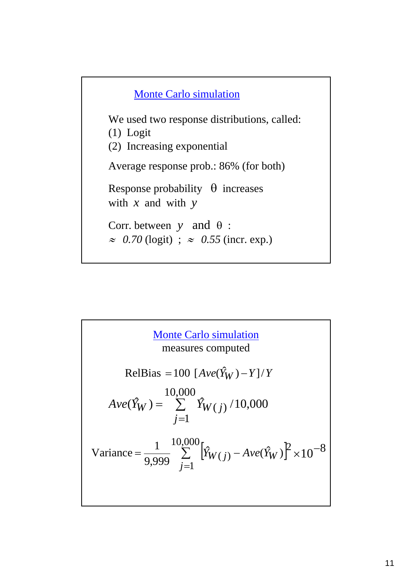

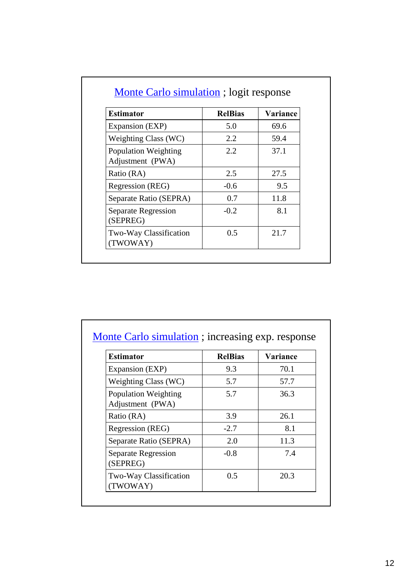| <b>Estimator</b>                                | <b>RelBias</b> | Variance |
|-------------------------------------------------|----------------|----------|
| Expansion (EXP)                                 | 5.0            | 69.6     |
| Weighting Class (WC)                            | 2.2            | 59.4     |
| <b>Population Weighting</b><br>Adjustment (PWA) | 2.2            | 37.1     |
| Ratio (RA)                                      | 2.5            | 27.5     |
| Regression (REG)                                | $-0.6$         | 9.5      |
| Separate Ratio (SEPRA)                          | 0.7            | 11.8     |
| Separate Regression<br>(SEPREG)                 | $-0.2$         | 8.1      |
| Two-Way Classification<br>(TWOWAY)              | 0.5            | 21.7     |

| <b>Estimator</b>                                | <b>RelBias</b> | Variance |
|-------------------------------------------------|----------------|----------|
| Expansion (EXP)                                 | 9.3            | 70.1     |
| Weighting Class (WC)                            | 5.7            | 57.7     |
| <b>Population Weighting</b><br>Adjustment (PWA) | 5.7            | 36.3     |
| Ratio (RA)                                      | 3.9            | 26.1     |
| Regression (REG)                                | $-2.7$         | 8.1      |
| Separate Ratio (SEPRA)                          | 2.0            | 11.3     |
| Separate Regression<br>(SEPREG)                 | $-0.8$         | 7.4      |
| Two-Way Classification<br>(TWOWAY)              | 0.5            | 20.3     |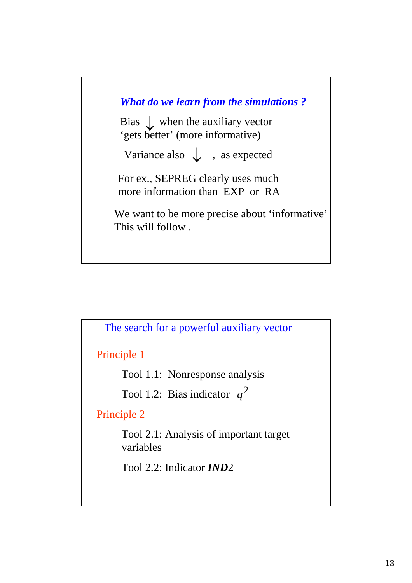



Principle 1

Tool 1.1: Nonresponse analysis

Tool 1.2: Bias indicator  $q^2$ 

Principle 2

Tool 2.1: Analysis of important target variables

Tool 2.2: Indicator *IND*2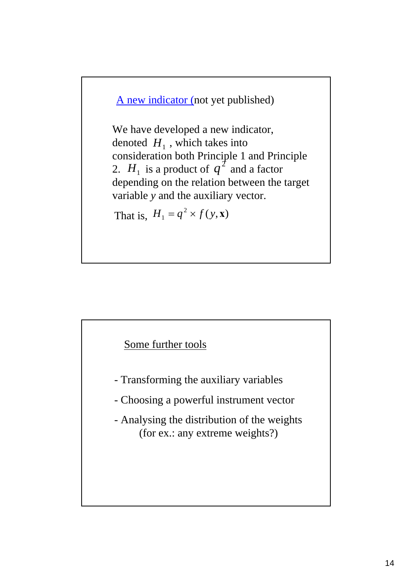A new indicator (not yet published)

We have developed a new indicator, denoted  $H_1$ , which takes into consideration both Principle 1 and Principle 2.  $H_1$  is a product of  $q^2$  and a factor depending on the relation between the target variable *y* and the auxiliary vector.

That is,  $H_1 = q^2 \times f(y, \mathbf{x})$ 



- Transforming the auxiliary variables
- Choosing a powerful instrument vector
- Analysing the distribution of the weights (for ex.: any extreme weights?)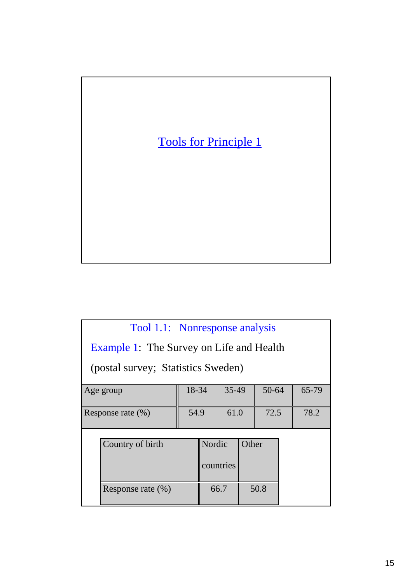

| Tool 1.1: Nonresponse analysis                  |       |        |           |       |       |       |
|-------------------------------------------------|-------|--------|-----------|-------|-------|-------|
| <b>Example 1: The Survey on Life and Health</b> |       |        |           |       |       |       |
| (postal survey; Statistics Sweden)              |       |        |           |       |       |       |
| Age group                                       | 18-34 |        | 35-49     |       | 50-64 | 65-79 |
| Response rate (%)                               | 54.9  |        | 61.0      |       | 72.5  | 78.2  |
| Country of birth                                |       | Nordic | countries | Other |       |       |
| Response rate $(\% )$                           |       |        | 66.7      |       | 50.8  |       |
|                                                 |       |        |           |       |       |       |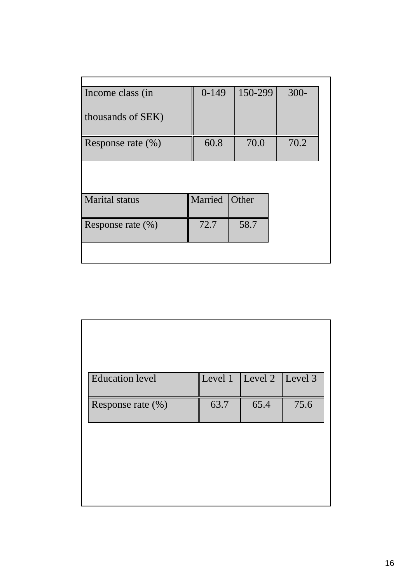| Income class (in      | $0-149$ | 150-299 | $300 -$ |
|-----------------------|---------|---------|---------|
|                       |         |         |         |
| thousands of SEK)     |         |         |         |
|                       |         |         |         |
| Response rate $(\%)$  | 60.8    | 70.0    | 70.2    |
|                       |         |         |         |
|                       |         |         |         |
|                       |         |         |         |
|                       |         |         |         |
| <b>Marital</b> status | Married | Other   |         |
|                       |         |         |         |
| Response rate (%)     | 72.7    | 58.7    |         |
|                       |         |         |         |
|                       |         |         |         |
|                       |         |         |         |

| <b>Education</b> level |      | Level 1 $\vert$ Level 2 | Level 3 |
|------------------------|------|-------------------------|---------|
| Response rate (%)      | 63.7 | 65.4                    | 75.6    |
|                        |      |                         |         |
|                        |      |                         |         |
|                        |      |                         |         |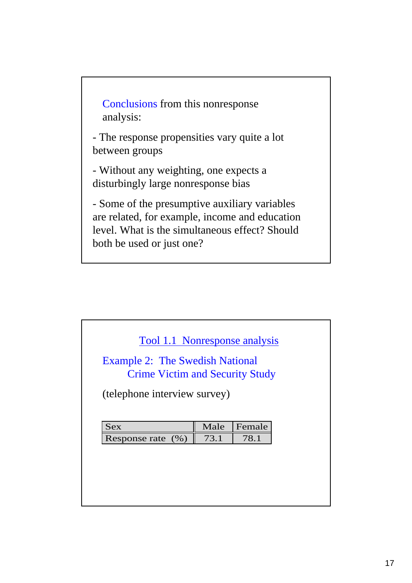Conclusions from this nonresponse analysis:

- The response propensities vary quite a lot between groups

- Without any weighting, one expects a disturbingly large nonresponse bias

- Some of the presumptive auxiliary variables are related, for example, income and education level. What is the simultaneous effect? Should both be used or just one?

| <b>Example 2: The Swedish National</b><br><b>Crime Victim and Security Study</b> |              |                |  |
|----------------------------------------------------------------------------------|--------------|----------------|--|
| (telephone interview survey)                                                     |              |                |  |
|                                                                                  |              |                |  |
|                                                                                  |              |                |  |
|                                                                                  |              |                |  |
| <b>Sex</b><br>Response rate<br>(% )                                              | Male<br>73.1 | Female<br>78.1 |  |
|                                                                                  |              |                |  |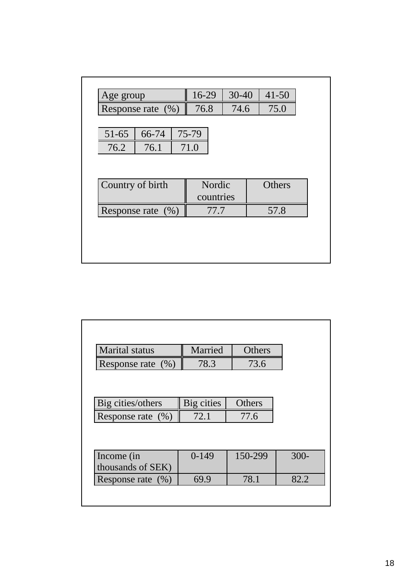| 76.8<br>74.6<br>75.0<br>Response rate $(\% )$<br>75-79<br>66-74<br>51-65<br>76.1<br>76.2<br>71.0<br>Country of birth<br>Nordic<br>Others<br>countries<br>77.7<br>57.8<br>Response rate $(\% )$ | Age group | 16-29 | $30 - 40$ | $41 - 50$ |
|------------------------------------------------------------------------------------------------------------------------------------------------------------------------------------------------|-----------|-------|-----------|-----------|
|                                                                                                                                                                                                |           |       |           |           |
|                                                                                                                                                                                                |           |       |           |           |
|                                                                                                                                                                                                |           |       |           |           |
|                                                                                                                                                                                                |           |       |           |           |
|                                                                                                                                                                                                |           |       |           |           |
|                                                                                                                                                                                                |           |       |           |           |
|                                                                                                                                                                                                |           |       |           |           |
|                                                                                                                                                                                                |           |       |           |           |

| <b>Marital</b> status | Married    | Others        |         |
|-----------------------|------------|---------------|---------|
| Response rate $(\% )$ | 78.3       | 73.6          |         |
|                       |            |               |         |
|                       |            |               |         |
| Big cities/others     | Big cities | <b>Others</b> |         |
| Response rate $(\% )$ | 72.1       | 77.6          |         |
|                       |            |               |         |
|                       |            |               |         |
| Income (in            | $0-149$    | 150-299       | $300 -$ |
|                       |            |               |         |
| thousands of SEK)     |            |               |         |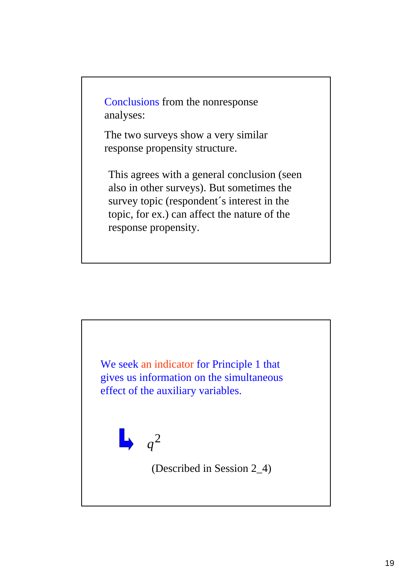Conclusions from the nonresponse analyses:

The two surveys show a very similar response propensity structure.

This agrees with a general conclusion (seen also in other surveys). But sometimes the survey topic (respondent´s interest in the topic, for ex.) can affect the nature of the response propensity.

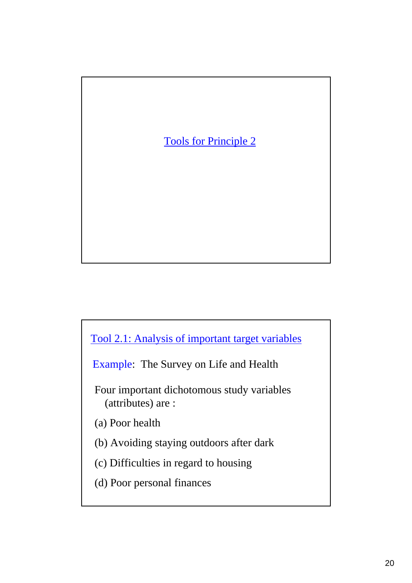

Tool 2.1: Analysis of important target variables

Example: The Survey on Life and Health

Four important dichotomous study variables (attributes) are :

(a) Poor health

(b) Avoiding staying outdoors after dark

(c) Difficulties in regard to housing

(d) Poor personal finances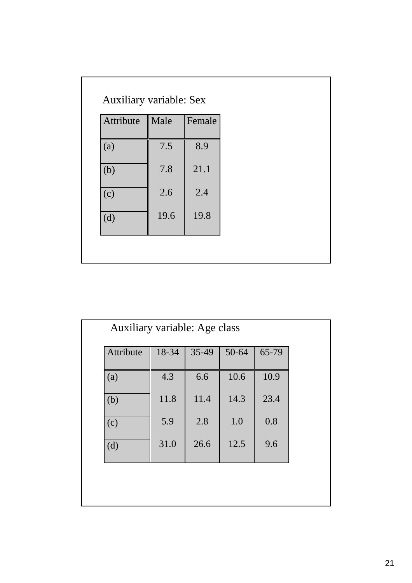| Attribute | Male | Female |  |  |
|-----------|------|--------|--|--|
| (a)       | 7.5  | 8.9    |  |  |
| (b)       | 7.8  | 21.1   |  |  |
| (c)       | 2.6  | 2.4    |  |  |
| (d)       | 19.6 | 19.8   |  |  |

| Attribute | 18-34 | 35-49 | 50-64 | 65-79 |
|-----------|-------|-------|-------|-------|
| (a)       | 4.3   | 6.6   | 10.6  | 10.9  |
| (b)       | 11.8  | 11.4  | 14.3  | 23.4  |
| (c)       | 5.9   | 2.8   | 1.0   | 0.8   |
| (d)       | 31.0  | 26.6  | 12.5  | 9.6   |
|           |       |       |       |       |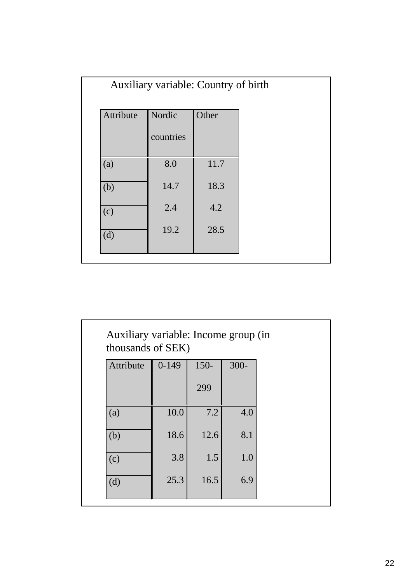|     |           | Auxiliary variable: Country of birth |       |  |
|-----|-----------|--------------------------------------|-------|--|
|     | Attribute | Nordic<br>countries                  | Other |  |
| (a) |           | 8.0                                  | 11.7  |  |
| (b) |           | 14.7                                 | 18.3  |  |
| (c) |           | 2.4                                  | 4.2   |  |
| (d) |           | 19.2                                 | 28.5  |  |

| Auxiliary variable: Income group (in<br>thousands of SEK) |         |         |         |  |
|-----------------------------------------------------------|---------|---------|---------|--|
| Attribute                                                 | $0-149$ | $150 -$ | $300 -$ |  |
|                                                           |         | 299     |         |  |
| (a)                                                       | 10.0    | 7.2     | 4.0     |  |
| (b)                                                       | 18.6    | 12.6    | 8.1     |  |
| (c)                                                       | 3.8     | 1.5     | 1.0     |  |
| (d)                                                       | 25.3    | 16.5    | 6.9     |  |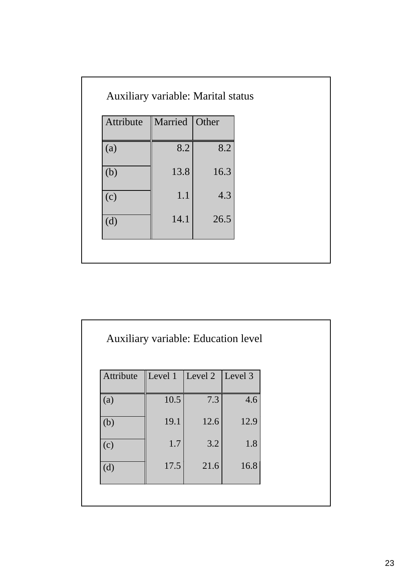| Married Other<br>Attribute |
|----------------------------|
| 8.2<br>8.2<br>(a)          |
| 13.8<br>16.3<br>(b)        |
| 1.1<br>4.3<br>(c)          |
| 14.1<br>26.5<br>(d)        |

| <b>Auxiliary variable: Education level</b> |                             |      |      |  |
|--------------------------------------------|-----------------------------|------|------|--|
| Attribute                                  | Level 1   Level 2   Level 3 |      |      |  |
| (a)                                        | 10.5                        | 7.3  | 4.6  |  |
| (b)                                        | 19.1                        | 12.6 | 12.9 |  |
| (c)                                        | 1.7                         | 3.2  | 1.8  |  |
| (d)                                        | 17.5                        | 21.6 | 16.8 |  |
|                                            |                             |      |      |  |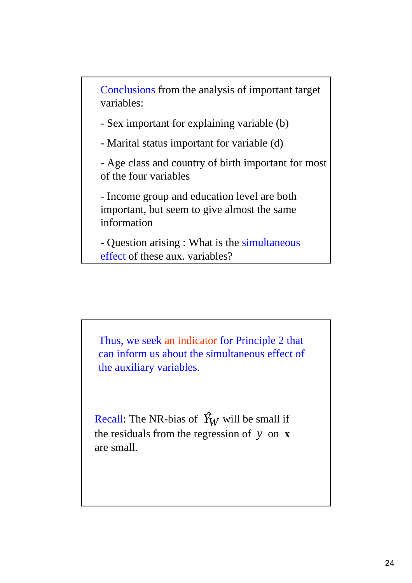Conclusions from the analysis of important target variables:

- Sex important for explaining variable (b)

- Marital status important for variable (d)

- Age class and country of birth important for most of the four variables

- Income group and education level are both important, but seem to give almost the same information

- Question arising : What is the simultaneous effect of these aux. variables?

Thus, we seek an indicator for Principle 2 that can inform us about the simultaneous effect of the auxiliary variables.

Recall: The NR-bias of  $\hat{Y}_W$  will be small if the residuals from the regression of *y* on **x** are small.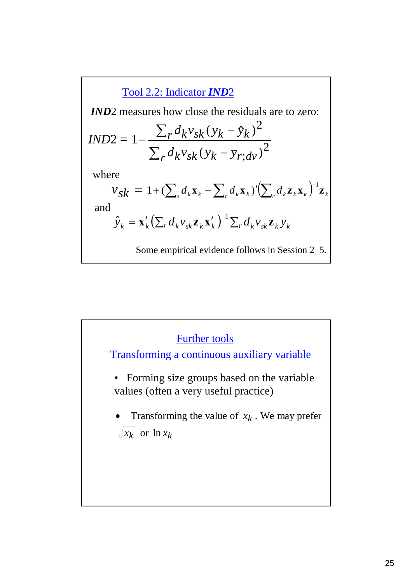**1ND2** measures how close the residuals are to zero:  
\n**IND2** = 
$$
1 - \frac{\sum_r d_k v_{sk} (y_k - \hat{y}_k)^2}{\sum_r d_k v_{sk} (y_k - \bar{y}_r; dv)^2}
$$
  
\nwhere  
\n $v_{sk} = 1 + (\sum_s d_k x_k - \sum_r d_k x_k)' (\sum_r d_k z_k x_k)^{-1} z_k$   
\nand  
\n $\hat{y}_k = x'_k (\sum_r d_k v_{sk} z_k x'_k)^{-1} \sum_r d_k v_{sk} z_k y_k$   
\nSome empirical evidence follows in Session 2\_5.

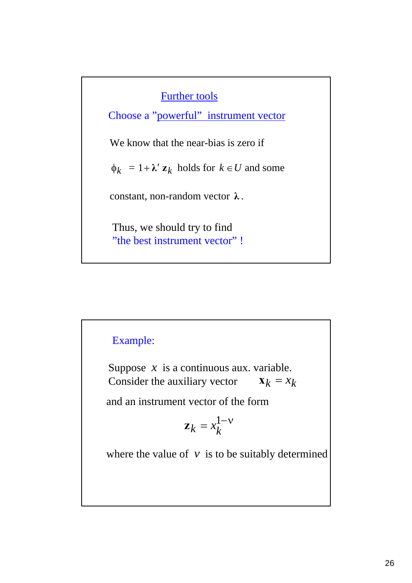### Further tools

We know that the near-bias is zero if  $\phi_k = 1 + \lambda' \mathbf{z}_k$  holds for  $k \in U$  and some constant, non-random vector **λ** . Thus, we should try to find "the best instrument vector" ! Choose a "powerful" instrument vector

# Example:

Suppose  $x$  is a continuous aux. variable. Consider the auxiliary vector  $\mathbf{x}_k = x_k$ 

and an instrument vector of the form

$$
\mathbf{z}_k = x_k^{1-\nu}
$$

where the value of  $\nu$  is to be suitably determined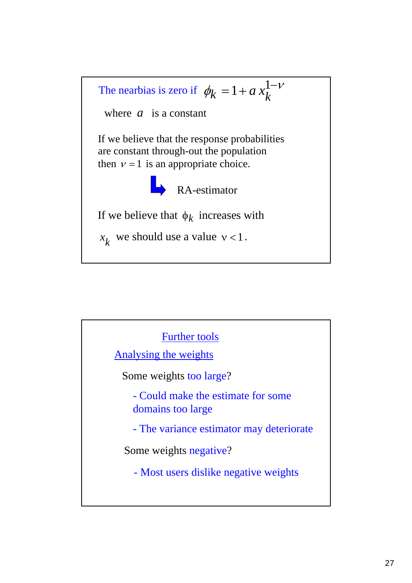

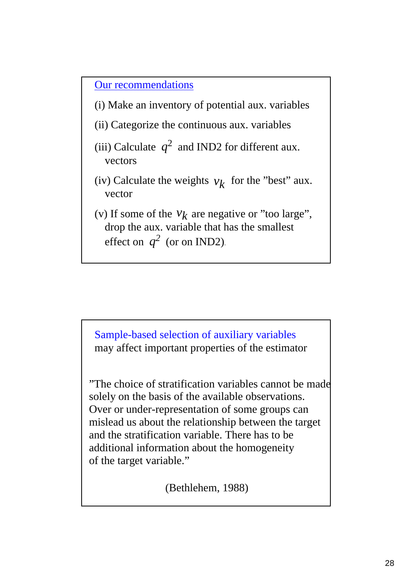Our recommendations

- (i) Make an inventory of potential aux. variables
- (ii) Categorize the continuous aux. variables
- (iii) Calculate  $q^2$  and IND2 for different aux. vectors
- (iv) Calculate the weights  $v_k$  for the "best" aux. vector
- (v) If some of the  $v_k$  are negative or "too large", drop the aux. variable that has the smallest effect on  $q^2$  (or on IND2).

Sample-based selection of auxiliary variables may affect important properties of the estimator

"The choice of stratification variables cannot be made solely on the basis of the available observations. Over or under-representation of some groups can mislead us about the relationship between the target and the stratification variable. There has to be additional information about the homogeneity of the target variable."

(Bethlehem, 1988)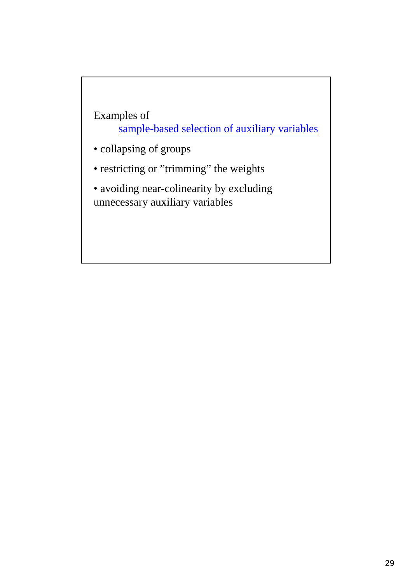Examples of sample-based selection of auxiliary variables

- collapsing of groups
- restricting or "trimming" the weights

• avoiding near-colinearity by excluding unnecessary auxiliary variables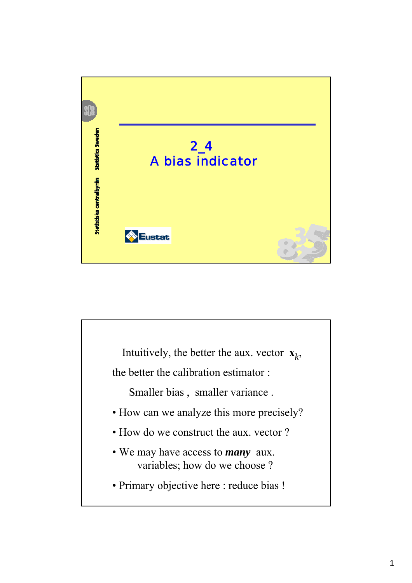

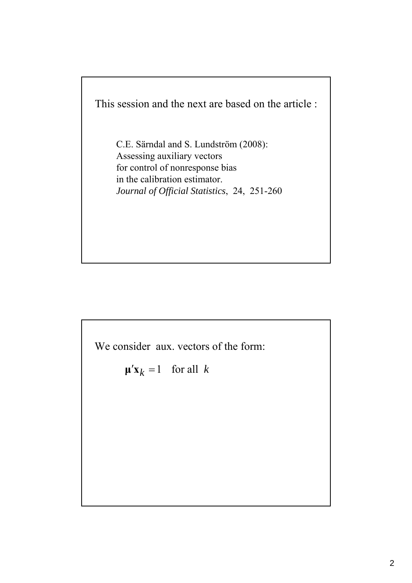

C.E. Särndal and S. Lundström (2008): Assessing auxiliary vectors for control of nonresponse bias in the calibration estimator. *Journal of Official Statistics*, 24, 251-260

We consider aux. vectors of the form:

$$
\mathbf{\mu}' \mathbf{x}_k = 1 \quad \text{for all } k
$$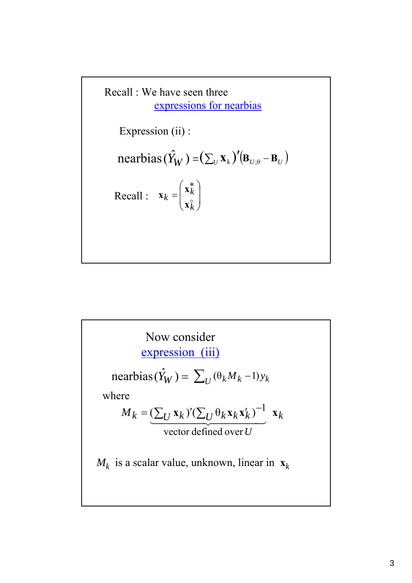

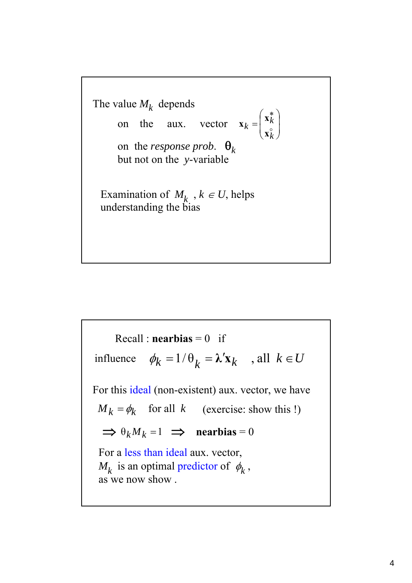The value  $M_k$  depends on the aux. vector  $\mathbf{x}_k = \begin{bmatrix} \mathbf{x}_k \\ \mathbf{x}_k^{\circ} \end{bmatrix}$ on the *response prob*.  $\theta_k$ but not on the *y*-variable Examination of  $M_k$ ,  $k \in U$ , helps understanding the bias  $\vert$ ⎠ ⎞  $\overline{\phantom{a}}$  $\mathsf{L}$ ⎝  $\big($ = ∗ o *k*  $k = \left| \begin{array}{c} \mathbf{x}_k \\ \circ \end{array} \right|$ **x x x**

 $\phi_k = 1/\theta_k = \lambda' \mathbf{x}_k$ , all  $k \in U$  $\Rightarrow \theta_k M_k = 1 \Rightarrow$  **nearbias** = 0  $M_k = \phi_k$  for all k (exercise: show this !)  $Recall : **nearbias** = 0$  if For this ideal (non-existent) aux. vector, we have For a less than ideal aux. vector,  $M_k$  is an optimal predictor of  $\phi_k$ , as we now show . influence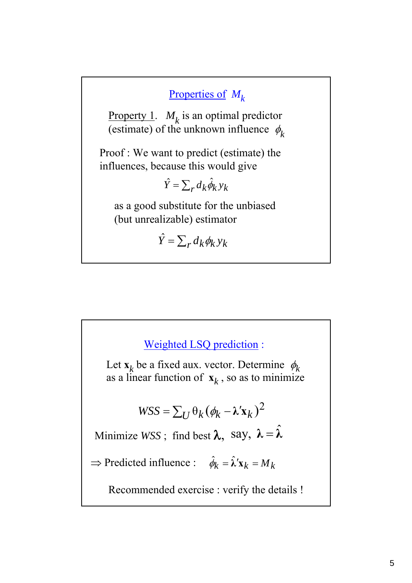## Properties of *Mk*

Property 1.  $M_k$  is an optimal predictor (estimate) of the unknown influence  $\phi_k$ 

Proof : We want to predict (estimate) the influences, because this would give

$$
\hat{Y} = \sum_{r} d_{k} \hat{\phi}_{k} y_{k}
$$

as a good substitute for the unbiased (but unrealizable) estimator

 $\hat{Y} = \sum_{r} d_k \phi_k y_k$ 

# Weighted LSQ prediction :  $WSS = \sum_{U} \theta_k (\phi_k - \lambda' \mathbf{x}_k)^2$  $\Rightarrow$  Predicted influence :  $\hat{\phi}_k = \hat{\lambda}' \mathbf{x}_k = M_k$ Let  $\mathbf{x}_k$  be a fixed aux. vector. Determine  $\phi_k$ as a linear function of  $\mathbf{x}_k$ , so as to minimize Minimize WSS; find best  $\lambda$ , say,  $\lambda = \hat{\lambda}$ Recommended exercise : verify the details !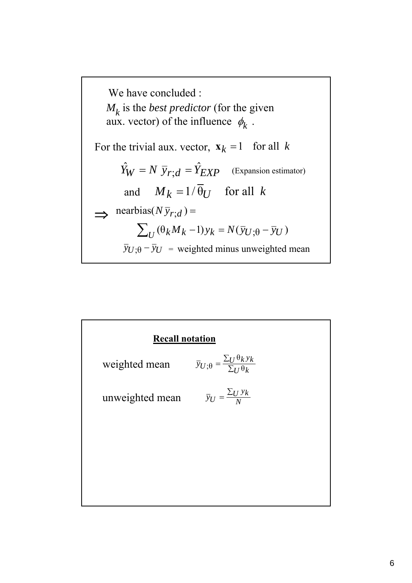

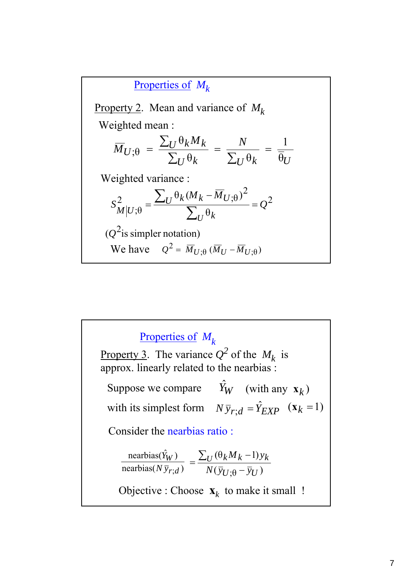Property 2. Mean and variance of  $M_k$  $U^{\mathbf{\theta}} k$   $Z_U^{\mathbf{\theta}} k$   $\mathbf{\theta}_U$  $U^{\mathop{}\mathsf{U}} k^{\mathop{}\mathsf{M}} k$  $\overline{M}_{U;\theta} = \frac{\sum_{U} \theta_k M_k}{\sum_{U} Q_{U}} = \frac{N}{\sum_{U}}$ θ 1  $\theta_k$   $\sum_{I} \theta$ θ  $\zeta_{;\theta} = \frac{\Delta U^{\sigma_{K} \cdot \mu_{K}}}{\sum_{U} \theta_{k}} = \frac{1}{\sum_{U} \theta_{k}}$ ∑ Weighted mean : Weighted variance : 2 2 2  $\qquad \qquad \_ \mathcal{L}_U^{\, \theta} k^{(M} k - M_{U;\theta}$ ; $\theta$   $\sum_{IJ} \theta$  $\theta_k (M_k - \overline{M}_{U} \cdot _\Theta)$ *Q*  $M_{\it k}$  –  $\overline{M}$ *S*  $U^{\mathbf{\mathsf{U}}}$  $\frac{2}{M|U;\theta} = \frac{\sum_U \theta_k (M_k - \overline{M}_{U;\theta})^2}{\sum_U \theta_k} =$ ∑  $(Q^2)$  is simpler notation) We have  $Q^2 = \overline{M}_{U;\theta} (\overline{M}_U - \overline{M}_{U;\theta})$ Properties of *Mk*

nearbias( $N \bar{y}_{r}$ ) nearbias( $\hat{Y}_W$ ) *r*;*d W N y Y*  $(\bar{y}_{U} \cdot \theta - \bar{y}_{U})$  $(\theta_k M_k - 1)$  $U$ ;θ  $^{-}$   $y_U$  $k^M k^{-1}$  $N(\bar{y}_U \cdot \theta - \bar{y})$  $U^{(\theta_k M_k - 1)y}$ −  $=\frac{\sum_U(\theta_k M_k -$ Property 3. The variance  $Q^2$  of the  $M_k$  is approx. linearly related to the nearbias : Suppose we compare with its simplest form  $N \bar{y}_{r,d} = \hat{Y}_{EXP}$  ( $\mathbf{x}_k = 1$ ) Properties of  $M_k$  $\hat{Y}_W$  (with any  $\mathbf{x}_k$ ) Consider the nearbias ratio : Objective : Choose  $\mathbf{x}_k$  to make it small !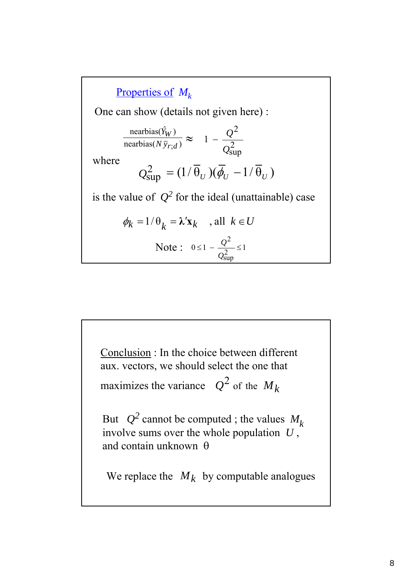2 sup 2 1 *Q*  $\frac{\text{nearbias}(Y_W)}{\text{nearbias}(N\bar{y}_{r \cdot d})} \approx 1 - \frac{Q}{Q^2}$ Properties of *Mk*  $Q_{\text{sun}}^2 = (1/\overline{\theta}_U)(\overline{\phi}_U - 1/\overline{\theta}_U)$ One can show (details not given here) : nearbias( $\hat{Y}_W$ ) *r*;*d W N y Y* where  $0 \leq 1 - \frac{9}{\Omega^2} \leq 1$ sup 2  $\leq 1 - \frac{2}{2} \leq$ *Q* Note :  $0 \leq 1 - \frac{Q}{a}$  $\phi_k = 1/\theta_k = \lambda' \mathbf{x}_k$ , all  $k \in U$ is the value of  $Q^2$  for the ideal (unattainable) case

Conclusion : In the choice between different aux. vectors, we should select the one that maximizes the variance  $Q^2$  of the  $M_k$ But  $Q^2$  cannot be computed; the values  $M_k$ involve sums over the whole population *U* , and contain unknown θ We replace the  $M_k$  by computable analogues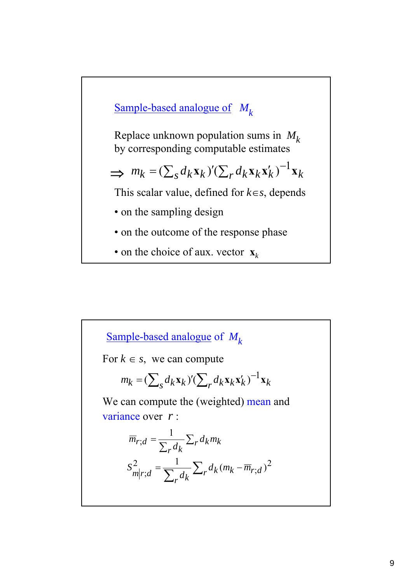

Replace unknown population sums in  $M_k$ by corresponding computable estimates

$$
\implies m_k = (\sum_s d_k \mathbf{x}_k)' (\sum_r d_k \mathbf{x}_k \mathbf{x}'_k)^{-1} \mathbf{x}_k
$$

This scalar value, defined for *k*∈*s*, depends

- on the sampling design
- on the outcome of the response phase
- on the choice of aux. vector  $\mathbf{x}_k$

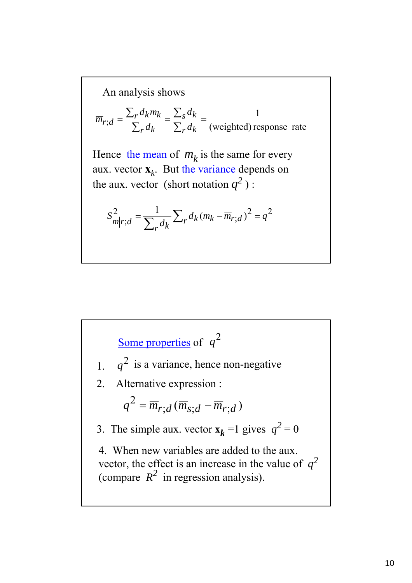An analysis shows  
\n
$$
\overline{m}_{r;d} = \frac{\sum_r d_k m_k}{\sum_r d_k} = \frac{\sum_s d_k}{\sum_r d_k} = \frac{1}{(\text{weighted}) \text{ response rate}}
$$
\nHence the mean of  $m_k$  is the same for every  
\naux. vector  $\mathbf{x}_k$ . But the variance depends on  
\nthe aux. vector (short notation  $q^2$ ) :  
\n
$$
S_{m|r;d}^2 = \frac{1}{\sum_r d_k} \sum_r d_k (m_k - \overline{m}_{r;d})^2 = q^2
$$

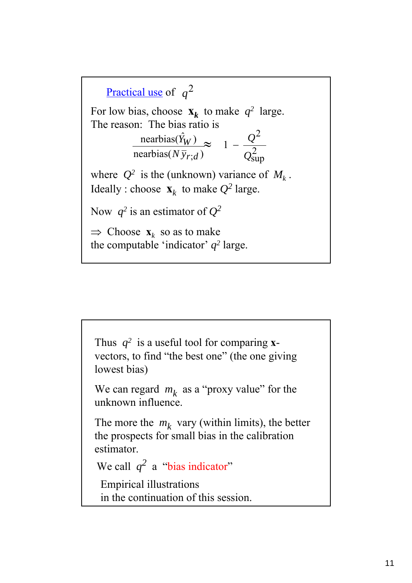

Thus  $q^2$  is a useful tool for comparing **x**vectors, to find "the best one" (the one giving lowest bias) We can regard  $m_k$  as a "proxy value" for the unknown influence. The more the  $m_k$  vary (within limits), the better the prospects for small bias in the calibration estimator. We call  $q^2$  a "bias indicator" Empirical illustrations in the continuation of this session.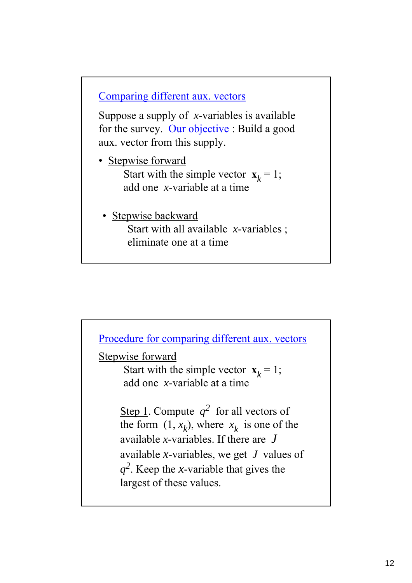Comparing different aux. vectors

Suppose a supply of *x*-variables is available for the survey. Our objective : Build a good aux. vector from this supply.

- Stepwise forward Start with the simple vector  $\mathbf{x}_k = 1$ ; add one *x*-variable at a time
- Stepwise backward Start with all available *x*-variables ; eliminate one at a time

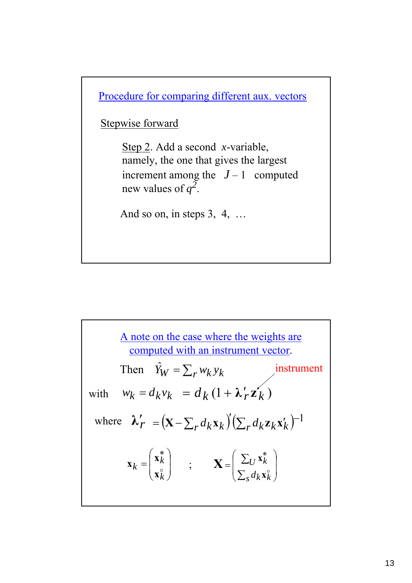Procedure for comparing different aux. vectors

Stepwise forward

Step 2. Add a second *x*-variable, namely, the one that gives the largest increment among the  $J-1$  computed new values of  $q^2$ .

And so on, in steps 3, 4, …

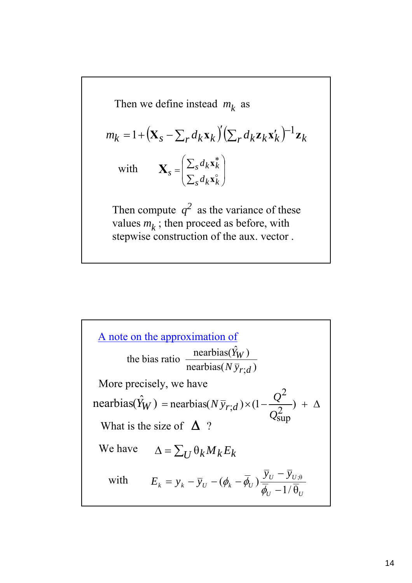Then we define instead 
$$
m_k
$$
 as  
\n
$$
m_k = 1 + (\mathbf{X}_s - \sum_r d_k \mathbf{x}_k)' (\sum_r d_k \mathbf{z}_k \mathbf{x}_k')^{-1} \mathbf{z}_k
$$
\nwith\n
$$
\mathbf{X}_s = \begin{pmatrix} \sum_s d_k \mathbf{x}_k^* \\ \sum_s d_k \mathbf{x}_k^* \end{pmatrix}
$$
\nThen compute  $q^2$  as the variance of these values  $m_k$ ; then proceed as before, with stepwise construction of the aux. vector.

A note on the approximation of  
\nthe bias ratio 
$$
\frac{\text{nearbias}(\hat{Y}_W)}{\text{nearbias}(N\bar{y}_{r;d})}
$$
  
\nMore precisely, we have  
\nnearbias( $\hat{Y}_W$ ) = nearbias( $N\bar{y}_{r;d}$ )×(1- $\frac{Q^2}{Q_{\text{sup}}^2}$ ) + Δ  
\nWhat is the size of Δ ?  
\nWe have  $\Delta = \sum_U \theta_k M_k E_k$   
\nwith  $E_k = y_k - \bar{y}_U - (\phi_k - \bar{\phi}_U) \frac{\bar{y}_U - \bar{y}_{U;\theta}}{\bar{\phi}_U - 1/\bar{\theta}_U}$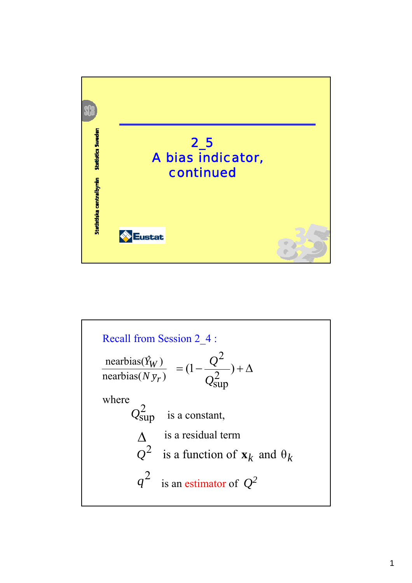

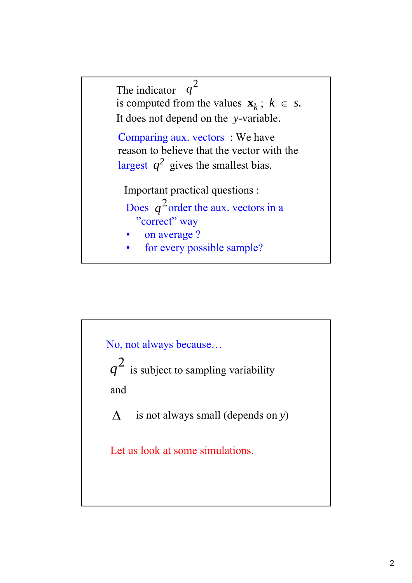

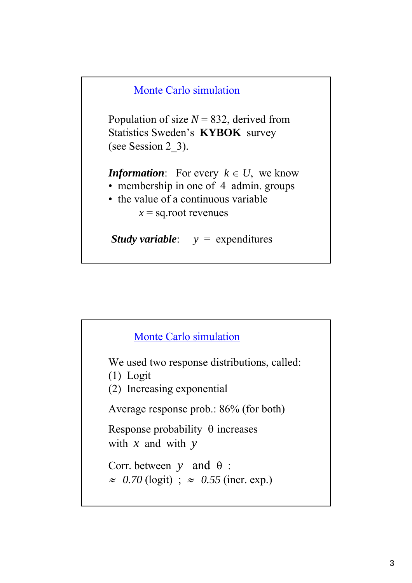

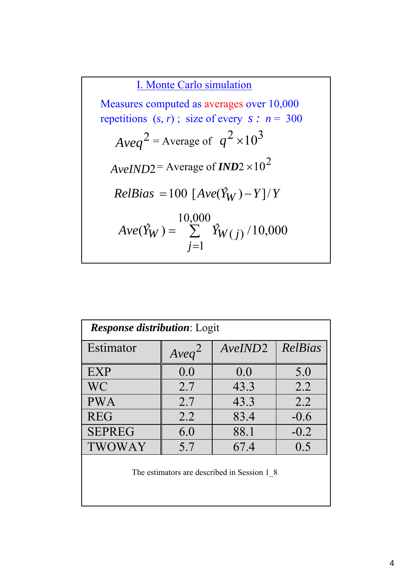I. Monte Carlo simulation

 $RelBias = 100 [Ave(\hat{Y}_W) - Y]/Y$  $Aveq^2$  = Average of  $q^2 \times 10^3$  $A$ *veIND*2 = Average of *IND*2  $\times$ 10<sup>2</sup>  $(\hat{Y}_W) = \sum_{i=1}^{N} \hat{Y}_{W(i)} / 10,000$ 10,000  $= \sum_{j=1}^{\infty} \hat{Y}_{W(j)}$ *j*  $Ave(\hat{Y}_W) = \sum \hat{Y}_{W(j)}$ Measures computed as averages over 10,000 repetitions  $(s, r)$ ; size of every  $s : n = 300$ 

| <b>Response distribution:</b> Logit         |          |         |         |  |
|---------------------------------------------|----------|---------|---------|--|
| Estimator                                   | $Aveq^2$ | AveIND2 | RelBias |  |
| <b>EXP</b>                                  | 0.0      | 0.0     | 5.0     |  |
| <b>WC</b>                                   | 2.7      | 43.3    | 2.2     |  |
| <b>PWA</b>                                  | 2.7      | 43.3    | 2.2     |  |
| <b>REG</b>                                  | 2.2      | 83.4    | $-0.6$  |  |
| <b>SEPREG</b>                               | 6.0      | 88.1    | $-0.2$  |  |
| <b>TWOWAY</b>                               | 5.7      | 67.4    | 0.5     |  |
| The estimators are described in Session 1 8 |          |         |         |  |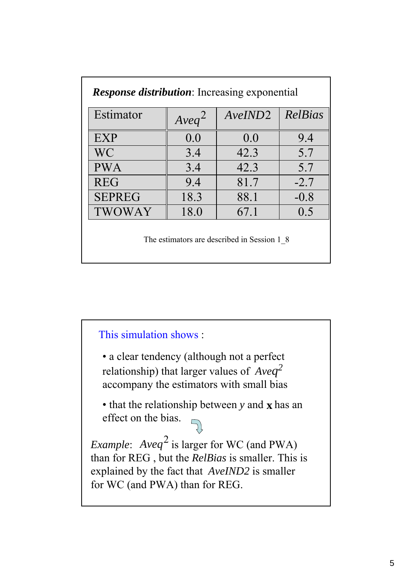| <b>Response distribution</b> : Increasing exponential |          |         |         |
|-------------------------------------------------------|----------|---------|---------|
| Estimator                                             | $Aveq^2$ | AveIND2 | RelBias |
| EXP                                                   | 0.0      | 0.0     | 9.4     |
| WC                                                    | 3.4      | 42.3    | 5.7     |
| <b>PWA</b>                                            | 3.4      | 42.3    | 5.7     |
| <b>REG</b>                                            | 9.4      | 81.7    | $-2.7$  |
| <b>SEPREG</b>                                         | 18.3     | 88.1    | $-0.8$  |
| <b>TWOWAY</b>                                         | 18.0     | 67.1    | 0.5     |
| The estimators are described in Session 1 8           |          |         |         |

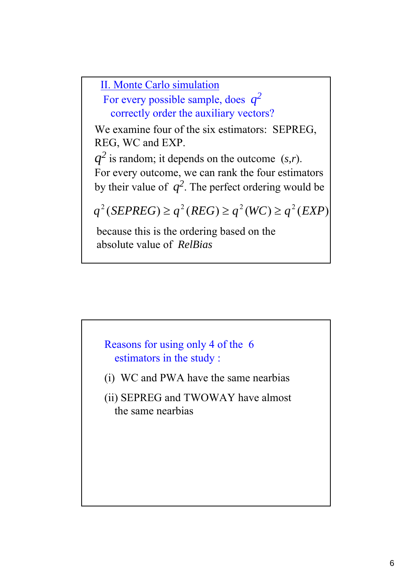II. Monte Carlo simulation

For every possible sample, does *q2* correctly order the auxiliary vectors?

We examine four of the six estimators: SEPREG, REG, WC and EXP.

 $q^2$  is random; it depends on the outcome  $(s,r)$ . For every outcome, we can rank the four estimators by their value of  $q^2$ . The perfect ordering would be

 $q^2(SEPREG) \ge q^2(REG) \ge q^2(WC) \ge q^2(EXP)$ 

because this is the ordering based on the absolute value of *RelBias*

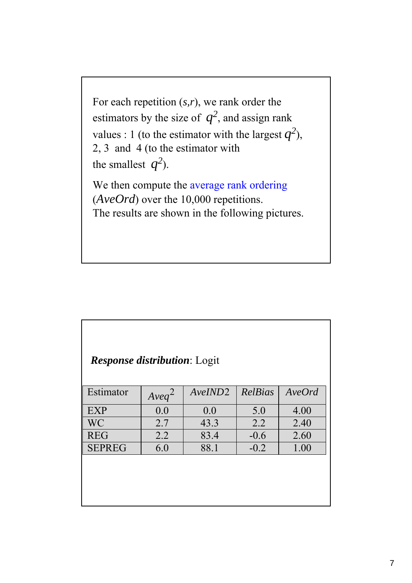For each repetition (*s,r*), we rank order the estimators by the size of  $q^2$ , and assign rank values : 1 (to the estimator with the largest  $q^2$ ), 2, 3 and 4 (to the estimator with the smallest  $q^2$ ). We then compute the average rank ordering (*AveOrd*) over the 10,000 repetitions. The results are shown in the following pictures.

| <b>Response distribution:</b> Logit |          |         |         |        |
|-------------------------------------|----------|---------|---------|--------|
| Estimator                           | $Aveq^2$ | AveIND2 | RelBias | AveOrd |
| <b>EXP</b>                          | 0.0      | 0.0     | 5.0     | 4.00   |
| <b>WC</b>                           | 2.7      | 43.3    | 2.2     | 2.40   |
| <b>REG</b>                          | 2.2      | 83.4    | $-0.6$  | 2.60   |
| <b>SEPREG</b>                       | 6.0      | 88.1    | $-0.2$  | 1.00   |
|                                     |          |         |         |        |
|                                     |          |         |         |        |
|                                     |          |         |         |        |
|                                     |          |         |         |        |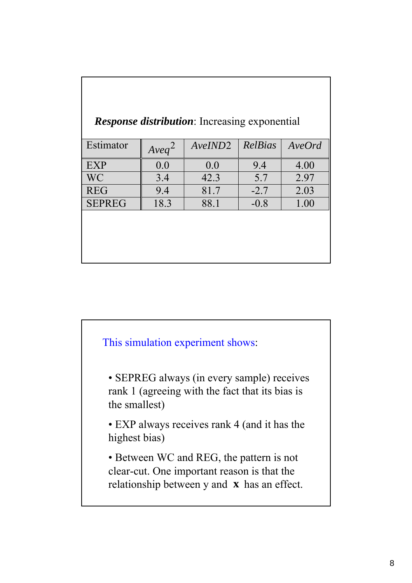| <i>Response distribution</i> : Increasing exponential |          |         |         |        |
|-------------------------------------------------------|----------|---------|---------|--------|
| Estimator                                             | $Aveq^2$ | AveIND2 | RelBias | AveOrd |
| EXP                                                   | 0.0      | 0.0     | 9.4     | 4.00   |
| <b>WC</b>                                             | 3.4      | 42.3    | 5.7     | 2.97   |
| <b>REG</b>                                            | 9.4      | 81.7    | $-2.7$  | 2.03   |
| <b>SEPREG</b>                                         | 18.3     | 88.1    | $-0.8$  | 1.00   |
|                                                       |          |         |         |        |
|                                                       |          |         |         |        |
|                                                       |          |         |         |        |
|                                                       |          |         |         |        |

Г

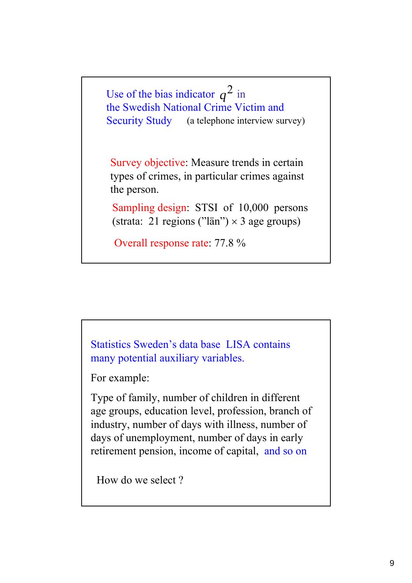Use of the bias indicator  $q^2$  in the Swedish National Crime Victim and Security Study (a telephone interview survey)

Survey objective: Measure trends in certain types of crimes, in particular crimes against the person.

Sampling design: STSI of 10,000 persons (strata: 21 regions ("län")  $\times$  3 age groups)

Overall response rate: 77.8 %

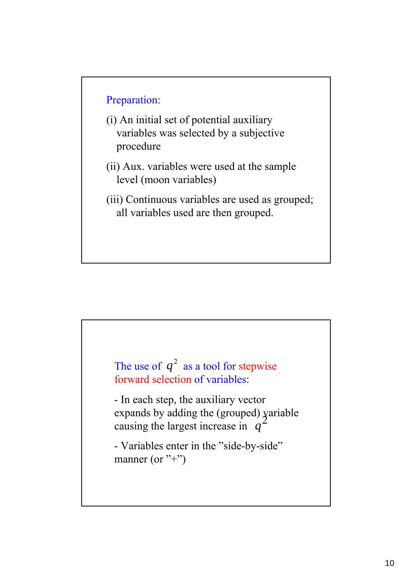#### Preparation:

- (i) An initial set of potential auxiliary variables was selected by a subjective procedure
- (ii) Aux. variables were used at the sample level (moon variables)
- (iii) Continuous variables are used as grouped; all variables used are then grouped.

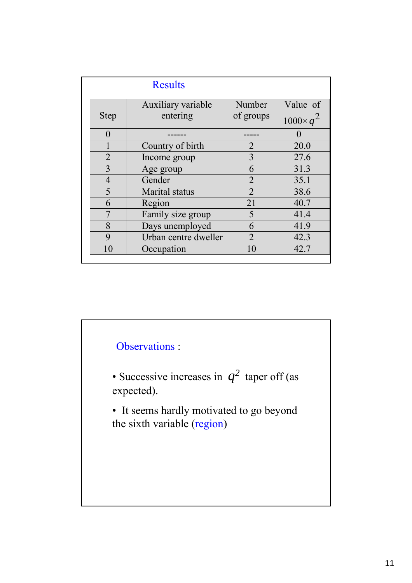|                | <b>Results</b>       |                             |                   |
|----------------|----------------------|-----------------------------|-------------------|
|                | Auxiliary variable   | Number                      | Value of          |
| <b>Step</b>    | entering             | of groups                   | $1000 \times q^2$ |
| $\Omega$       |                      |                             |                   |
|                | Country of birth     | $\overline{2}$              | 20.0              |
| $\overline{2}$ | Income group         | 3                           | 27.6              |
| 3              | Age group            | 6                           | 31.3              |
| $\overline{4}$ | Gender               | $\overline{2}$              | 35.1              |
| 5              | Marital status       | $\mathcal{D}_{\mathcal{L}}$ | 38.6              |
| 6              | Region               | 21                          | 40.7              |
|                | Family size group    | 5                           | 41.4              |
| 8              | Days unemployed      | 6                           | 41.9              |
| 9              | Urban centre dweller | $\overline{2}$              | 42.3              |
| 10             | Occupation           | 10                          | 42.7              |

# Observations :

- Successive increases in  $q^2$  taper off (as expected).
- It seems hardly motivated to go beyond the sixth variable (region)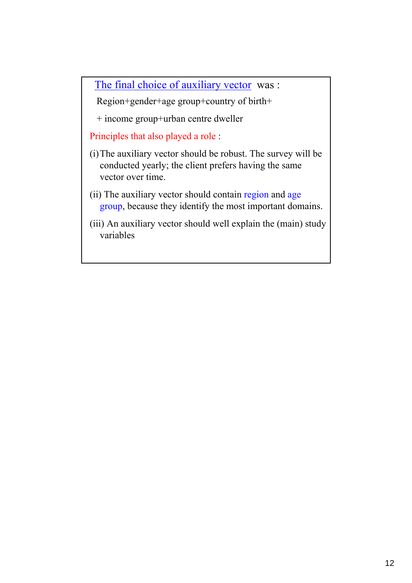The final choice of auxiliary vector was :

Region+gender+age group+country of birth+

+ income group+urban centre dweller

Principles that also played a role :

- (i)The auxiliary vector should be robust. The survey will be conducted yearly; the client prefers having the same vector over time.
- (ii) The auxiliary vector should contain region and age group, because they identify the most important domains.
- (iii) An auxiliary vector should well explain the (main) study variables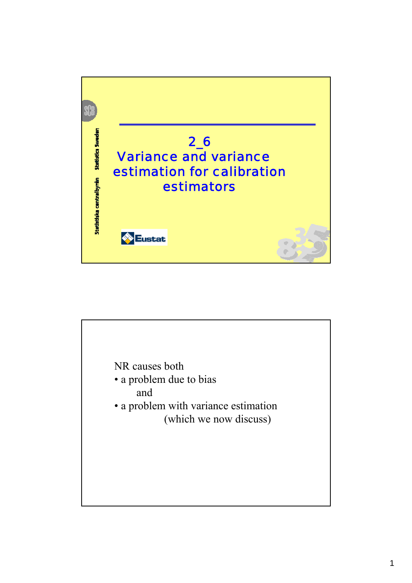

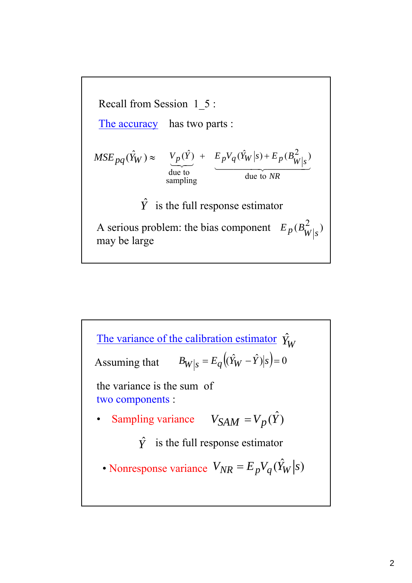

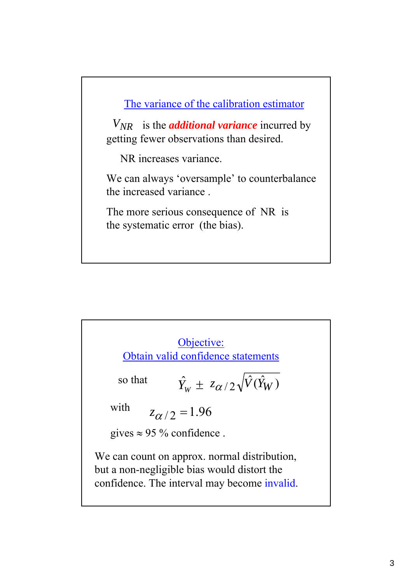The variance of the calibration estimator

 $V_{NR}$  is the *additional variance* incurred by getting fewer observations than desired.

NR increases variance.

We can always 'oversample' to counterbalance the increased variance .

The more serious consequence of NR is the systematic error (the bias).

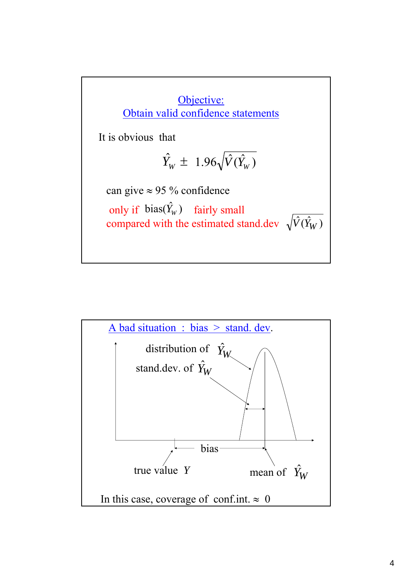

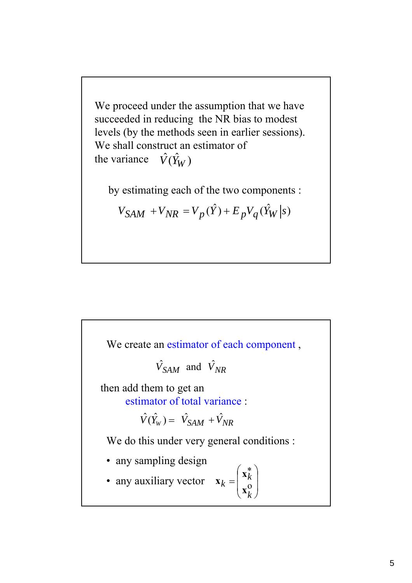We proceed under the assumption that we have succeeded in reducing the NR bias to modest levels (by the methods seen in earlier sessions). We shall construct an estimator of the variance  $\hat{V}(\hat{Y}_W)$ 

by estimating each of the two components :

$$
V_{SAM} + V_{NR} = V_p(\hat{Y}) + E_p V_q(\hat{Y}_W|s)
$$

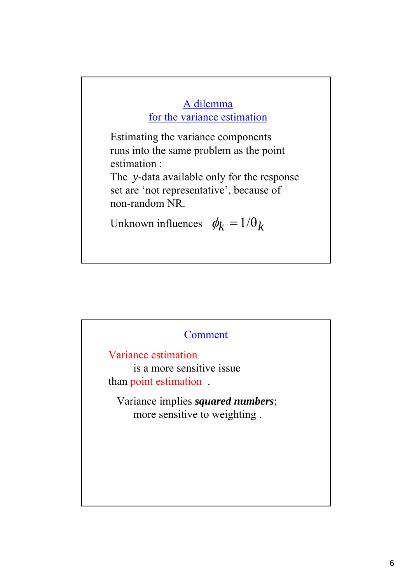### A dilemma for the variance estimation

Estimating the variance components runs into the same problem as the point estimation :

The *y*-data available only for the response set are 'not representative', because of non-random NR.

Unknown influences  $\phi_k = 1/\theta_k$ 

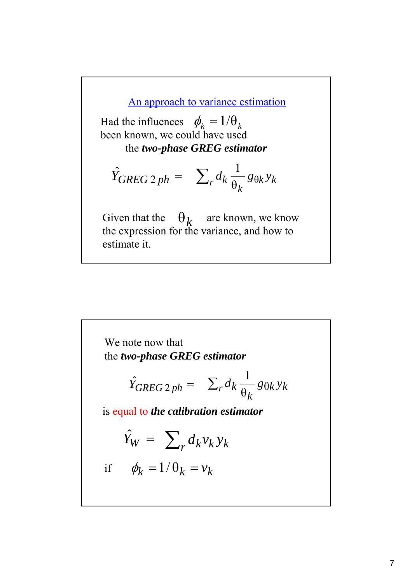An approach to variance estimation

Had the influences  $\phi_k = 1/\theta_k$ been known, we could have used the *two-phase GREG estimator*

$$
\hat{Y}_{GREG\ 2\ ph} = \sum_r d_k \frac{1}{\theta_k} g_{\theta k} y_k
$$

Given that the  $\theta_k$  are known, we know the expression for the variance, and how to estimate it.  $\theta_k$ 

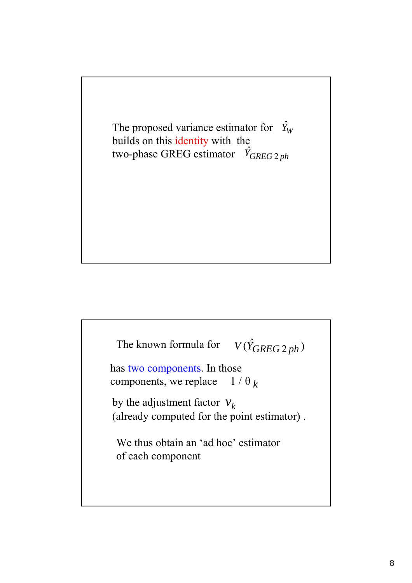The proposed variance estimator for  $\hat{Y}_W$ builds on this identity with the two-phase GREG estimator  $\hat{Y}_{GREG2ph}$ 

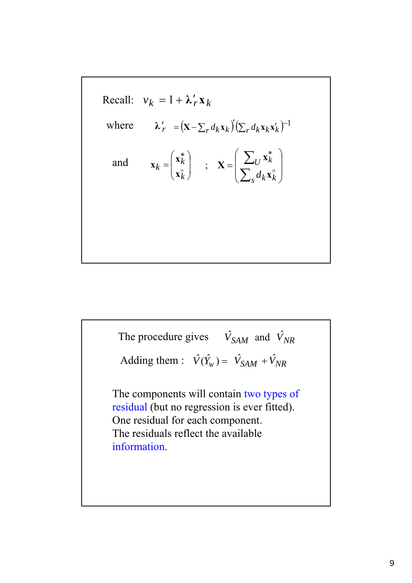Recall: 
$$
v_k = 1 + \lambda'_r \mathbf{x}_k
$$
  
\nwhere  $\lambda'_r = (\mathbf{x} - \sum_r d_k \mathbf{x}_k)' (\sum_r d_k \mathbf{x}_k \mathbf{x}'_k)^{-1}$   
\nand  $\mathbf{x}_k = \begin{pmatrix} \mathbf{x}_k^* \\ \mathbf{x}_k^* \end{pmatrix}$ ;  $\mathbf{X} = \begin{pmatrix} \sum_U \mathbf{x}_k^* \\ \sum_S d_k \mathbf{x}_k^* \end{pmatrix}$ 

The components will contain two types of residual (but no regression is ever fitted). One residual for each component. The residuals reflect the available information. The procedure gives  $\hat{V}_{SAM}$  and  $\hat{V}_{NR}$ Adding them :  $\hat{V}(\hat{Y}_w) = \hat{V}_{SAM} + \hat{V}_{NR}$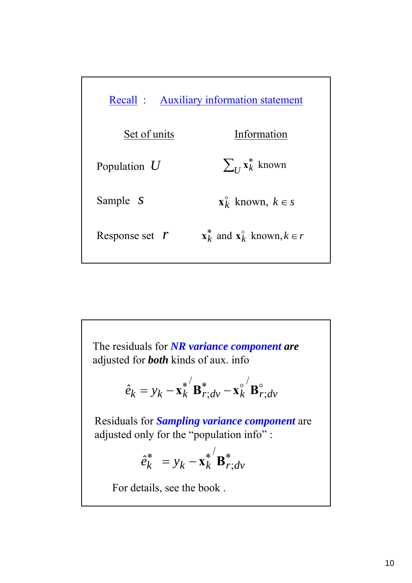| Recall : Auxiliary information statement |                                                                |
|------------------------------------------|----------------------------------------------------------------|
| Set of units                             | Information                                                    |
| Population $U$                           | $\sum_{I} x_k^*$ known                                         |
| Sample <i>S</i>                          | $\mathbf{x}_{k}^{\circ}$ known, $k \in s$                      |
| Response set $r$                         | $\mathbf{x}_{k}^{*}$ and $\mathbf{x}_{k}^{0}$ known, $k \in r$ |

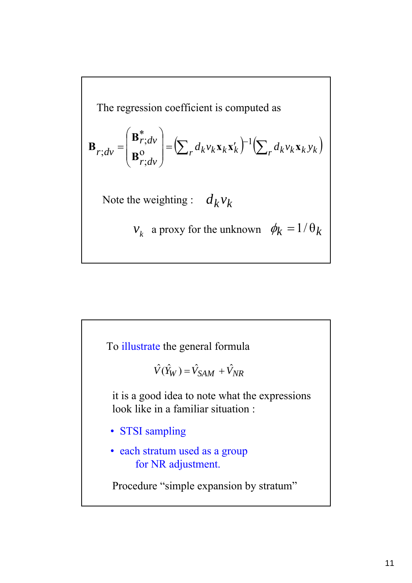The regression coefficient is computed as  
\n
$$
\mathbf{B}_{r;dv} = \begin{pmatrix} \mathbf{B}_{r;dv}^{*} \\ \mathbf{B}_{r;dv}^{0} \end{pmatrix} = \left( \sum_{r} d_{k} v_{k} \mathbf{x}_{k} \mathbf{x}_{k}^{\prime} \right)^{-1} \left( \sum_{r} d_{k} v_{k} \mathbf{x}_{k} y_{k} \right)
$$
\nNote the weighting :  $d_{k} v_{k}$   
\n $v_{k}$  a proxy for the unknown  $\phi_{k} = 1/\theta_{k}$ 

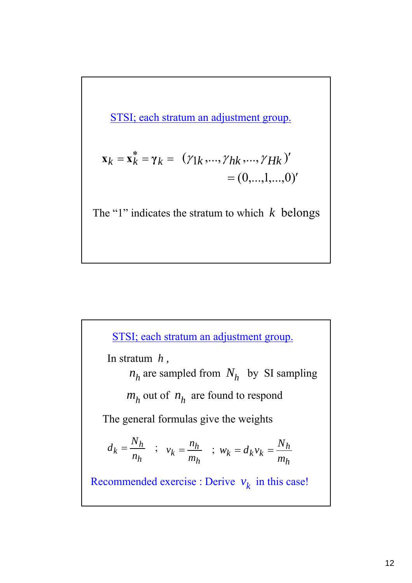STSI; each stratum an adjustment group.

$$
\mathbf{x}_{k} = \mathbf{x}_{k}^{*} = \gamma_{k} = (\gamma_{1k}, ..., \gamma_{hk}, ..., \gamma_{Hk})' = (0, ..., 1, ..., 0)'
$$

The "1" indicates the stratum to which *k* belongs

; *h h*  $k = \frac{-}{n}$  $d_k = \frac{N_h}{N}$  ;  $v_k = \frac{n_h}{N}$  ; The general formulas give the weights STSI; each stratum an adjustment group. *h h*  $k = \frac{m}{m}$ *n*  $v_k =$ *h h*  $k = a_k v_k = \frac{m}{m}$ *N*  $w_k = d_k v_k =$ In stratum *h ,*   $n_h$  are sampled from  $N_h$  by SI sampling  $m_h$  out of  $n_h$  are found to respond Recommended exercise : Derive  $v_k$  in this case!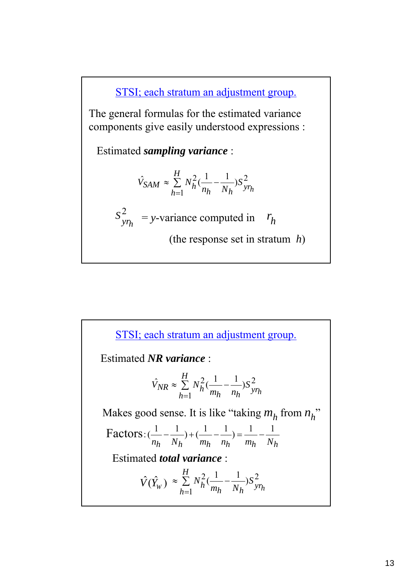STSI; each stratum an adjustment group.

The general formulas for the estimated variance components give easily understood expressions :

Estimated *sampling variance* :

$$
\hat{V}_{SAM} \approx \sum_{h=1}^{H} N_h^2 (\frac{1}{n_h} - \frac{1}{N_h}) S_{y r_h}^2
$$

$$
S_{y r_h}^2 = y\text{-variance computed in } r_h
$$

(the response set in stratum *h*)

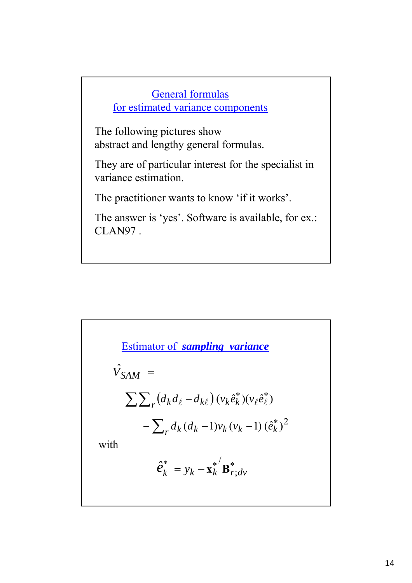# General formulas for estimated variance components

The following pictures show abstract and lengthy general formulas.

They are of particular interest for the specialist in variance estimation.

The practitioner wants to know 'if it works'.

The answer is 'yes'. Software is available, for ex.: CLAN97 .

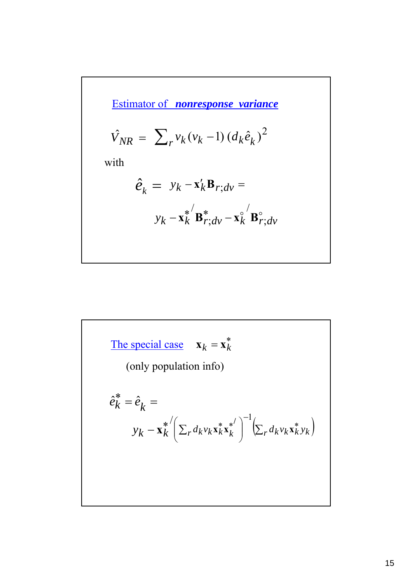Estimator of *nonresponse variance*

$$
\hat{V}_{NR} = \sum_{r} v_k (v_k - 1) (d_k \hat{e}_k)^2
$$

with

$$
\hat{e}_k = y_k - \mathbf{x}_k' \mathbf{B}_{r;dv} =
$$

$$
y_k - \mathbf{x}_k^{*'} \mathbf{B}_{r;dv}^{*} - \mathbf{x}_k^{\circ'} \mathbf{B}_{r;dv}^{\circ}
$$

The special case 
$$
\mathbf{x}_k = \mathbf{x}_k^*
$$
  
\n(only population info)  
\n
$$
\hat{e}_k^* = \hat{e}_k = \mathbf{y}_k - \mathbf{x}_k^{*'} \left( \sum_r d_k v_k \mathbf{x}_k^* \mathbf{x}_k^* \right)^{-1} \left( \sum_r d_k v_k \mathbf{x}_k^* y_k \right)
$$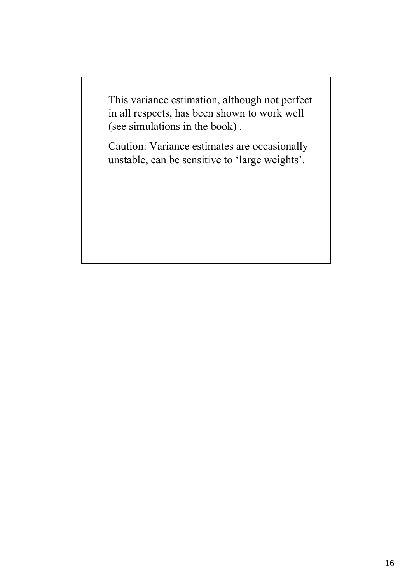This variance estimation, although not perfect in all respects, has been shown to work well (see simulations in the book) .

Caution: Variance estimates are occasionally unstable, can be sensitive to 'large weights'.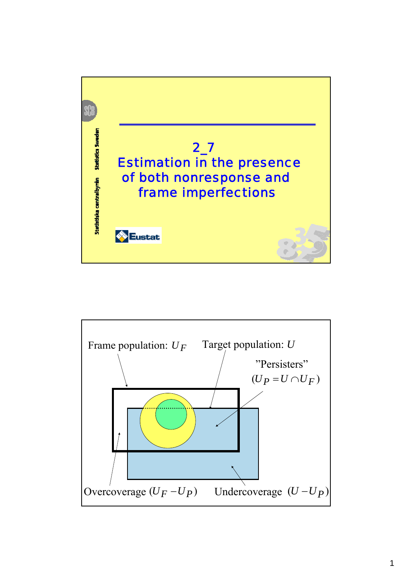

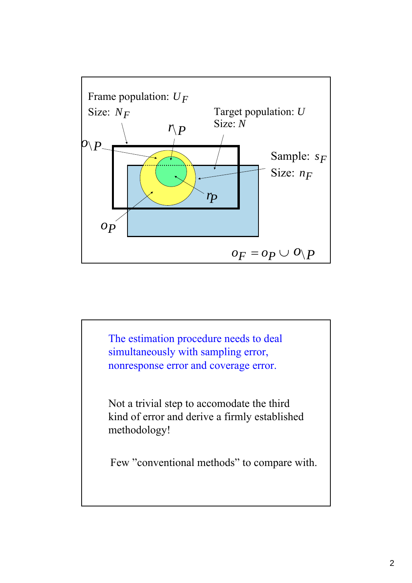

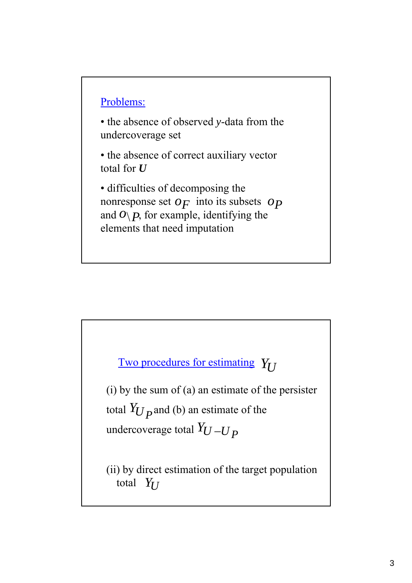#### Problems:

• the absence of observed *y*-data from the undercoverage set

• the absence of correct auxiliary vector total for *U*

• difficulties of decomposing the nonresponse set  $o_F$  into its subsets  $o_P$ and  $O(\frac{P}{P})$ , for example, identifying the elements that need imputation

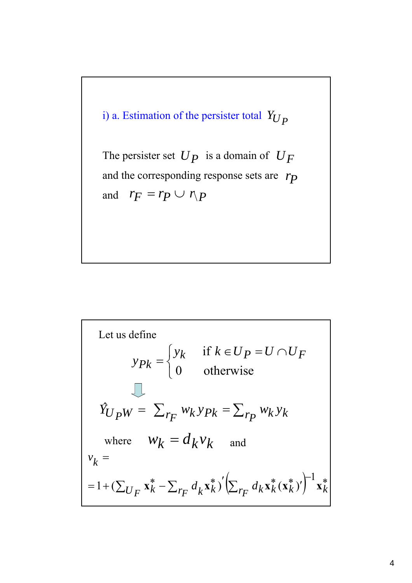

Let us define  
\n
$$
y_{Pk} = \begin{cases} y_k & \text{if } k \in U_P = U \cap U_F \\ 0 & \text{otherwise} \end{cases}
$$
\n
$$
\hat{Y}_{U_PW} = \sum_{r_F} w_k y_{Pk} = \sum_{r_P} w_k y_k
$$
\nwhere  $W_k = d_k V_k$  and  
\n $v_k =$   
\n $= 1 + (\sum_{U_F} x_k^* - \sum_{r_F} d_k x_k^*)' (\sum_{r_F} d_k x_k^* (x_k^*))^{-1} x_k^*$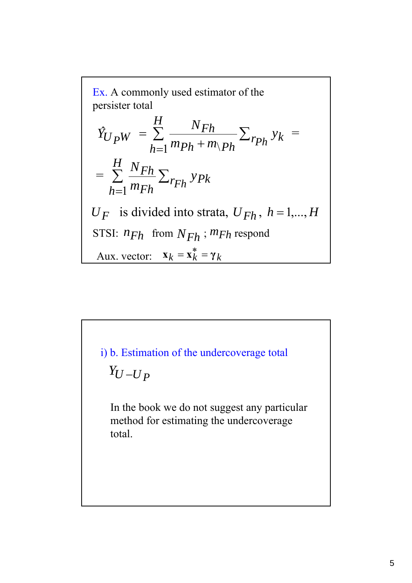Ex. A commonly used estimator of the  
\npersister total  
\n
$$
\hat{Y}_{U}{}_{PW} = \sum_{h=1}^{H} \frac{N_{Fh}}{m_{Ph} + m_{\backslash Ph}} \sum_{r_{Ph}} y_k =
$$
\n
$$
= \sum_{h=1}^{H} \frac{N_{Fh}}{m_{Fh}} \sum_{r_{Fh}} y_{Pk}
$$
\n
$$
U_F \text{ is divided into strata, } U_{Fh}, h = 1,...,H
$$
\nSTSI:  $n_{Fh} \text{ from } N_{Fh} ; m_{Fh} \text{ respond}$   
\nAux. vector:  $\mathbf{x}_k = \mathbf{x}_k^* = \gamma_k$ 

 $Y_U - U_P$ i) b. Estimation of the undercoverage total In the book we do not suggest any particular method for estimating the undercoverage total.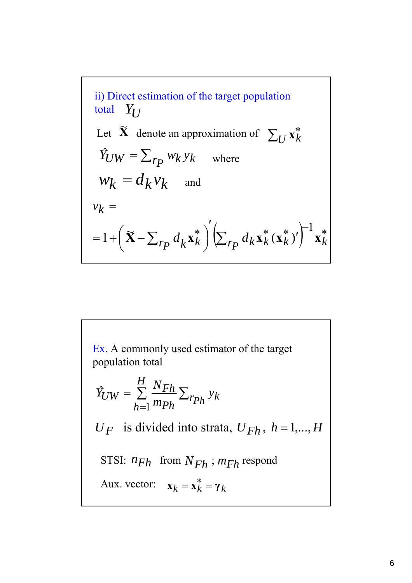ii) Direct estimation of the target population  
total 
$$
Y_U
$$
  
Let  $\tilde{X}$  denote an approximation of  $\sum_U \tilde{x}_k^*$   
 $\hat{Y}_{UW} = \sum_{rp} w_k y_k$  where  
 $w_k = d_k v_k$  and  
 $v_k =$   
 $= 1 + (\tilde{X} - \sum_{rp} d_k \tilde{x}_k^*)' (\sum_{rp} d_k \tilde{x}_k^* (\tilde{x}_k^*)')^{-1} \tilde{x}_k^*$ 

Ex. A commonly used estimator of the target population total

$$
\hat{Y}_{UW} = \sum_{h=1}^{H} \frac{N_{Fh}}{m_{Ph}} \sum_{r_{Ph}} y_k
$$
\n
$$
U_F \text{ is divided into strata, } U_{Fh}, h = 1,...,H
$$
\n
$$
\text{STSI: } n_{Fh} \text{ from } N_{Fh} \text{; } m_{Fh} \text{ respond}
$$
\n
$$
\text{Aux. vector: } \mathbf{x}_k = \mathbf{x}_k^* = \gamma_k
$$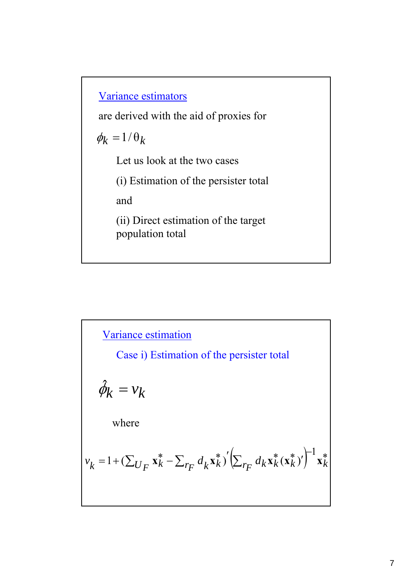Variance estimators

are derived with the aid of proxies for

 $\phi_k = 1/\theta_k$ 

Let us look at the two cases

(i) Estimation of the persister total

and

(ii) Direct estimation of the target population total

Variance estimation  
\nCase i) Estimation of the persistent total  
\n
$$
\hat{\phi}_k = v_k
$$
\nwhere  
\n
$$
v_k = 1 + (\sum_{U_F} \mathbf{x}_k^* - \sum_{r_F} d_k \mathbf{x}_k^*)' (\sum_{r_F} d_k \mathbf{x}_k^* (\mathbf{x}_k^*)')^{-1} \mathbf{x}_k^*
$$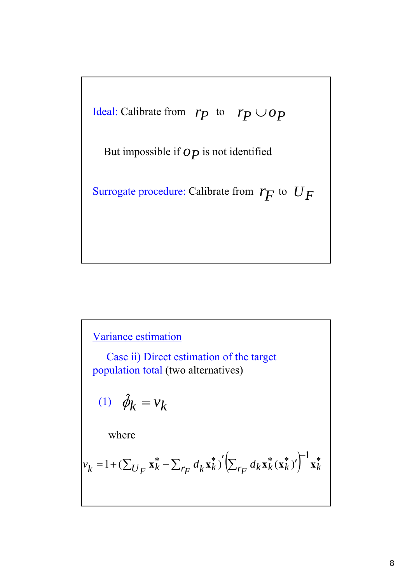

# Variance estimation

Case ii) Direct estimation of the target population total (two alternatives)

$$
(1) \quad \hat{\phi}_k = v_k
$$

where

$$
v_k = 1 + (\sum_{U_F} \mathbf{x}_k^* - \sum_{F_F} d_k \mathbf{x}_k^*)' \left( \sum_{F_F} d_k \mathbf{x}_k^* (\mathbf{x}_k^*)' \right)^{-1} \mathbf{x}_k^*
$$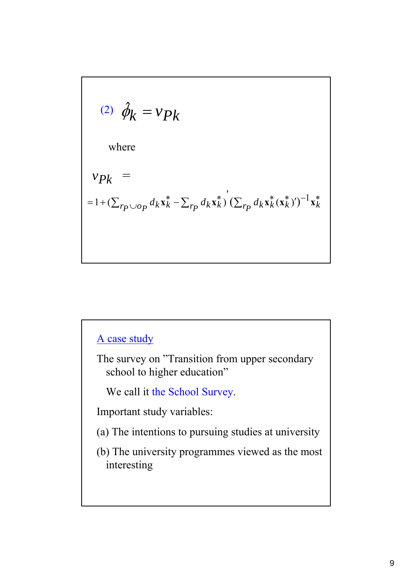(2) 
$$
\hat{\phi}_k = v_{pk}
$$
  
where  

$$
v_{pk} =
$$

$$
= 1 + (\sum_{rp \cup op} d_k \mathbf{x}_k^* - \sum_{rp} d_k \mathbf{x}_k^*) (\sum_{rp} d_k \mathbf{x}_k^* (\mathbf{x}_k^*)')^{-1} \mathbf{x}_k^*
$$

# A case study

The survey on "Transition from upper secondary school to higher education"

We call it the School Survey.

Important study variables:

- (a) The intentions to pursuing studies at university
- (b) The university programmes viewed as the most interesting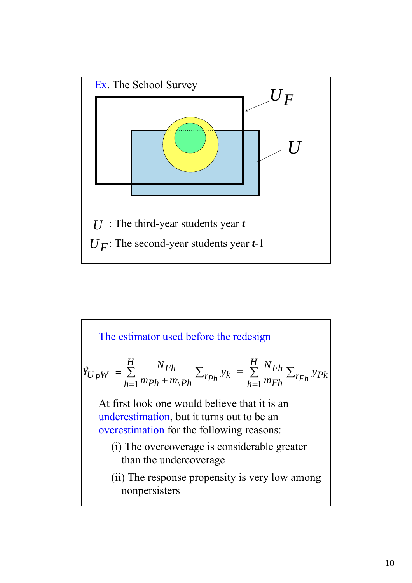

The estimator used before the redesign  
\n
$$
\hat{Y}_{UPW} = \sum_{h=1}^{H} \frac{N_{Fh}}{m_{Ph} + m_{V} + m_{V}} \sum_{r_{Ph}} y_k = \sum_{h=1}^{H} \frac{N_{Fh}}{m_{Fh}} \sum_{r_{Fh}} y_{Pk}
$$
\nAt first look one would believe that it is an  
\nunderestimation, but it turns out to be an  
\noverestimation for the following reasons:  
\n(i) The overcoverage is considerable greater  
\nthan the undercoverage  
\n(ii) The response propensity is very low among  
\nnonpersisters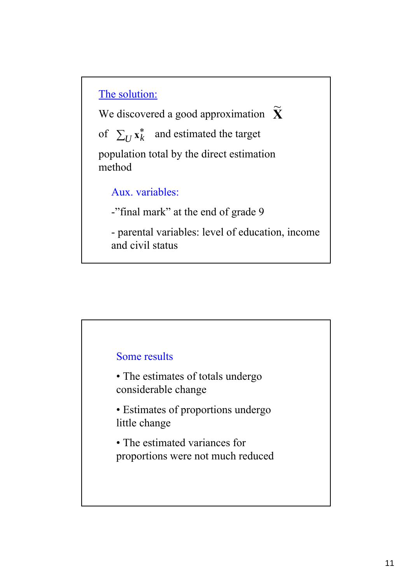# The solution:

We discovered a good approximation **X** of  $\sum_{U} x_k^*$  and estimated the target  $\widetilde{\mathbf{v}}$ 

population total by the direct estimation method

# Aux. variables:

-"final mark" at the end of grade 9

- parental variables: level of education, income and civil status

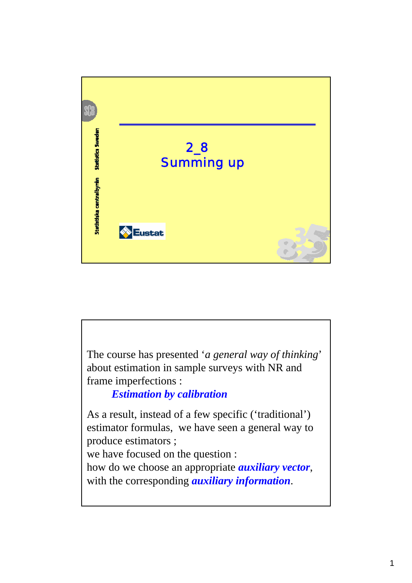

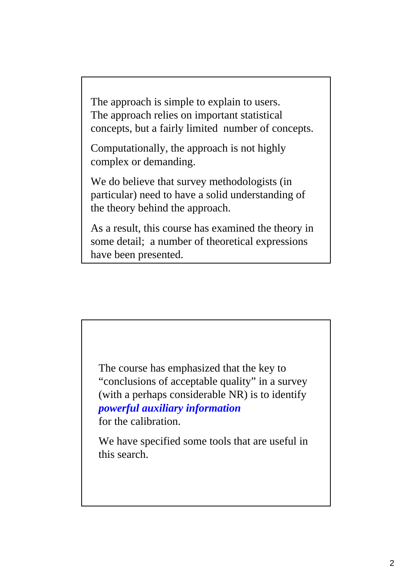The approach is simple to explain to users. The approach relies on important statistical concepts, but a fairly limited number of concepts.

Computationally, the approach is not highly complex or demanding.

We do believe that survey methodologists (in particular) need to have a solid understanding of the theory behind the approach.

As a result, this course has examined the theory in some detail; a number of theoretical expressions have been presented.

The course has emphasized that the key to "conclusions of acceptable quality" in a survey (with a perhaps considerable NR) is to identify *powerful auxiliary information* for the calibration.

We have specified some tools that are useful in this search.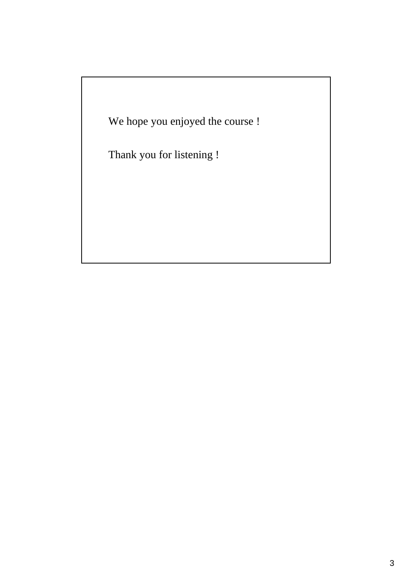We hope you enjoyed the course !

Thank you for listening !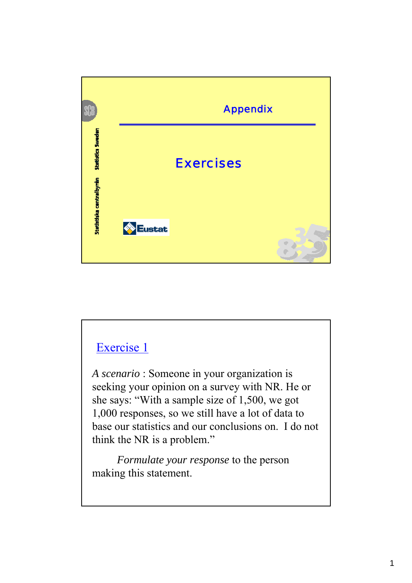

*A scenario* : Someone in your organization is seeking your opinion on a survey with NR. He or she says: "With a sample size of 1,500, we got 1,000 responses, so we still have a lot of data to base our statistics and our conclusions on. I do not think the NR is a problem."

*Formulate your response* to the person making this statement.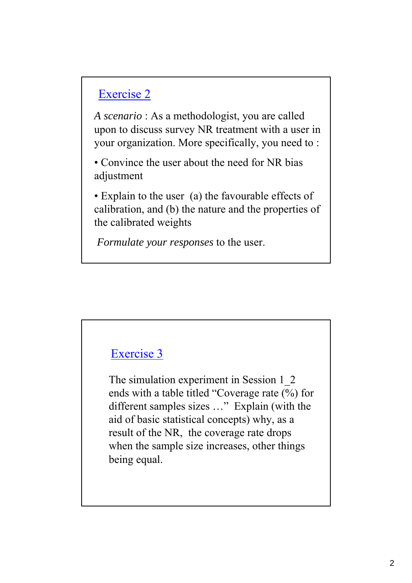*A scenario* : As a methodologist, you are called upon to discuss survey NR treatment with a user in your organization. More specifically, you need to :

• Convince the user about the need for NR bias adjustment

• Explain to the user (a) the favourable effects of calibration, and (b) the nature and the properties of the calibrated weights

*Formulate your responses* to the user.

# Exercise 3

The simulation experiment in Session 1\_2 ends with a table titled "Coverage rate (%) for different samples sizes …" Explain (with the aid of basic statistical concepts) why, as a result of the NR, the coverage rate drops when the sample size increases, other things being equal.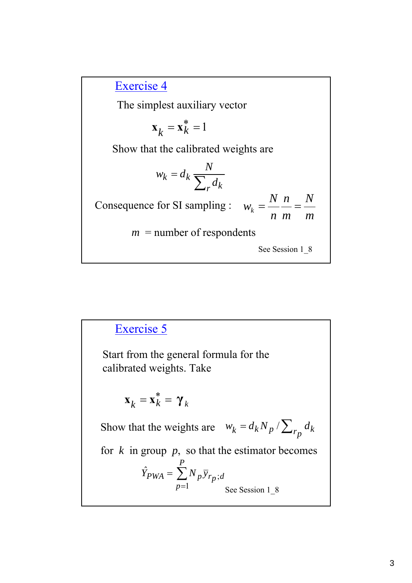The simplest auxiliary vector

$$
\mathbf{x}_k = \mathbf{x}_k^* = 1
$$

Show that the calibrated weights are

$$
w_k = d_k \frac{N}{\sum_r d_k}
$$

Consequence for SI sampling : *m N m n n N*  $w_k = \frac{N}{l} \frac{n}{l} =$ 

 $m =$  number of respondents

See Session 1\_8

#### ∑ = = *P p*  $Y_{PWA} = \sum N_p \bar{y}_{r_p; d}$ 1  $\hat{Y}_{PWA} = \sum N_p \bar{y}_{r_p};$ Start from the general formula for the calibrated weights. Take  $\mathbf{x}_k = \mathbf{x}_k^* = \boldsymbol{\gamma}_k$ Show that the weights are  $w_k = d_k N_p / \sum_{r_p} d_k$ for  $k$  in group  $p$ , so that the estimator becomes See Session 1\_8 Exercise 5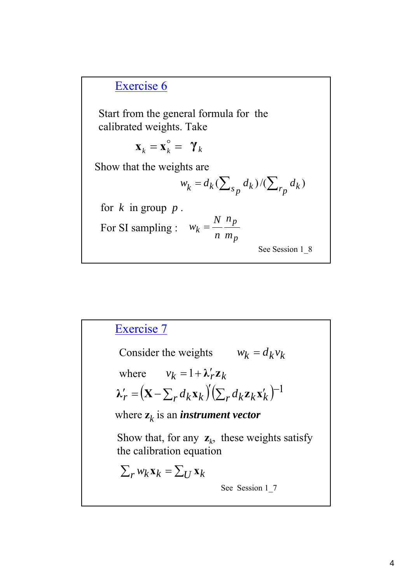Start from the general formula for the calibrated weights. Take

$$
\mathbf{x}_k = \mathbf{x}_k^\circ = \mathbf{Y}_k
$$

Show that the weights are

$$
w_k = d_k (\sum\nolimits_{s_p} d_k) / (\sum\nolimits_{r_p} d_k)
$$

for  $k$  in group  $p$ .

For SI sampling : 
$$
w_k = \frac{N}{n} \frac{n_p}{m_p}
$$

See Session 1\_8

# Consider the weights  $w_k = d_k v_k$ where  $v_k = 1 + \lambda'_r \mathbf{z}_k$  $\lambda'_r = (\mathbf{X} - \sum_r d_k \mathbf{x}_k)' (\sum_r d_k \mathbf{z}_k \mathbf{x}'_k)^{-1}$ where  $z_k$  is an *instrument vector*  $\sum_{r} w_k \mathbf{x}_k = \sum_{l} \mathbf{x}_k$ Show that, for any  $z_k$ , these weights satisfy the calibration equation See Session 1\_7 Exercise 7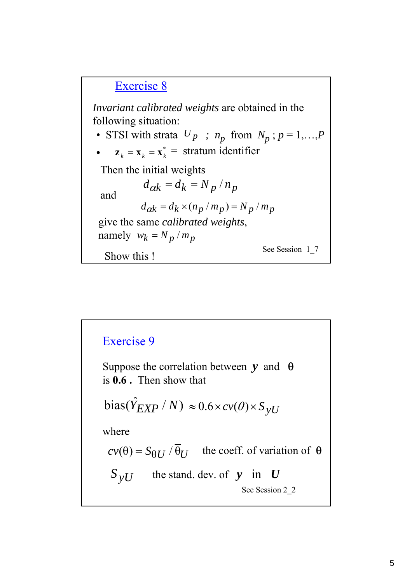